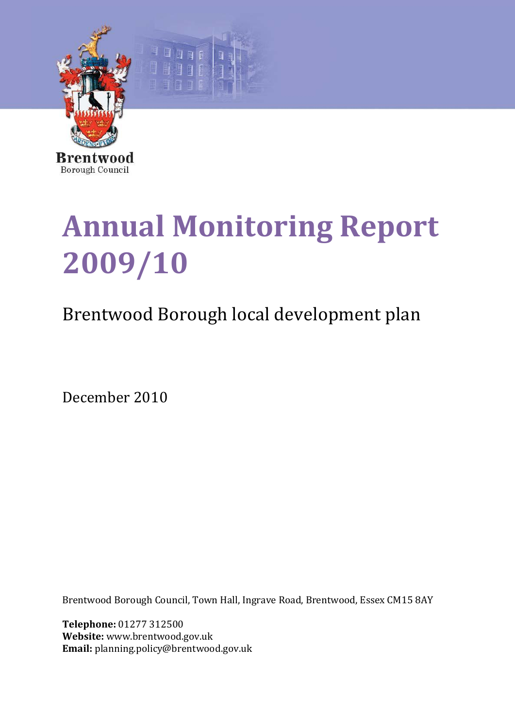

# **Annual Monitoring Report 2009/10**

## Brentwood Borough local development plan

December 2010

Brentwood Borough Council, Town Hall, Ingrave Road, Brentwood, Essex CM15 8AY

**Telephone:** 01277 312500 **Website:** www.brentwood.gov.uk **Email:** planning.policy@brentwood.gov.uk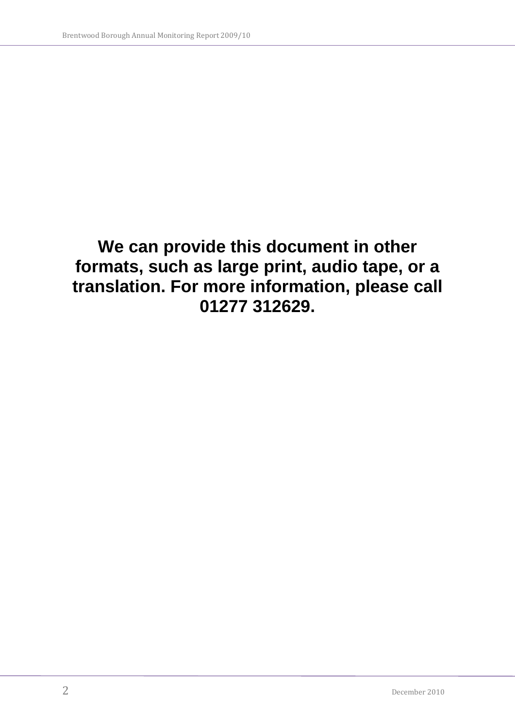## **We can provide this document in other formats, such as large print, audio tape, or a translation. For more information, please call 01277 312629.**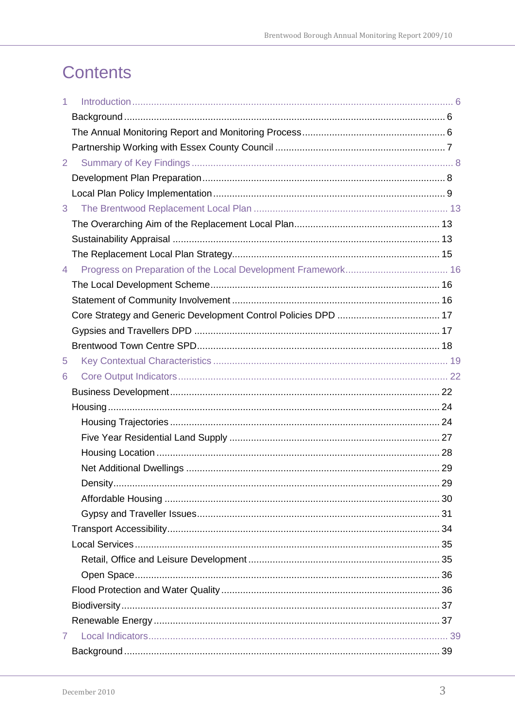## **Contents**

| 1              |  |
|----------------|--|
|                |  |
|                |  |
|                |  |
| $\overline{2}$ |  |
|                |  |
|                |  |
| 3              |  |
|                |  |
|                |  |
|                |  |
| $\overline{4}$ |  |
|                |  |
|                |  |
|                |  |
|                |  |
|                |  |
| 5              |  |
| 6              |  |
|                |  |
|                |  |
|                |  |
|                |  |
|                |  |
|                |  |
|                |  |
|                |  |
|                |  |
|                |  |
|                |  |
|                |  |
|                |  |
|                |  |
|                |  |
|                |  |
| $\mathbf{7}$   |  |
|                |  |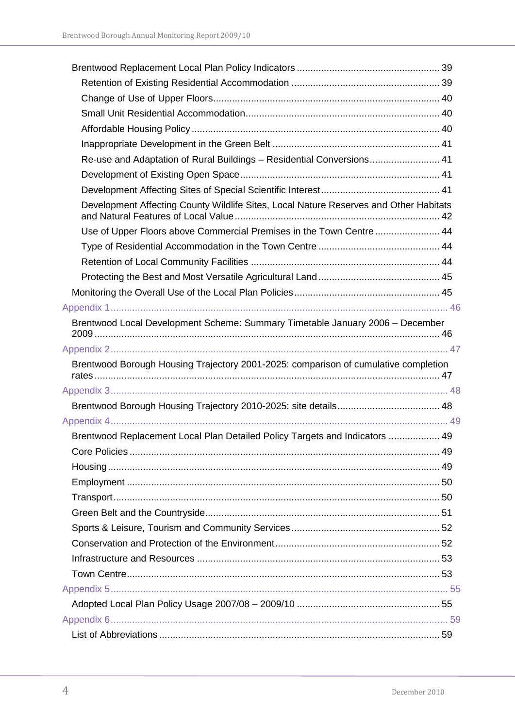| Re-use and Adaptation of Rural Buildings - Residential Conversions 41                 |  |
|---------------------------------------------------------------------------------------|--|
|                                                                                       |  |
|                                                                                       |  |
| Development Affecting County Wildlife Sites, Local Nature Reserves and Other Habitats |  |
| Use of Upper Floors above Commercial Premises in the Town Centre  44                  |  |
|                                                                                       |  |
|                                                                                       |  |
|                                                                                       |  |
|                                                                                       |  |
|                                                                                       |  |
| Brentwood Local Development Scheme: Summary Timetable January 2006 - December         |  |
|                                                                                       |  |
| Brentwood Borough Housing Trajectory 2001-2025: comparison of cumulative completion   |  |
|                                                                                       |  |
|                                                                                       |  |
|                                                                                       |  |
| Brentwood Replacement Local Plan Detailed Policy Targets and Indicators  49           |  |
|                                                                                       |  |
|                                                                                       |  |
|                                                                                       |  |
|                                                                                       |  |
|                                                                                       |  |
|                                                                                       |  |
|                                                                                       |  |
|                                                                                       |  |
|                                                                                       |  |
|                                                                                       |  |
|                                                                                       |  |
|                                                                                       |  |
|                                                                                       |  |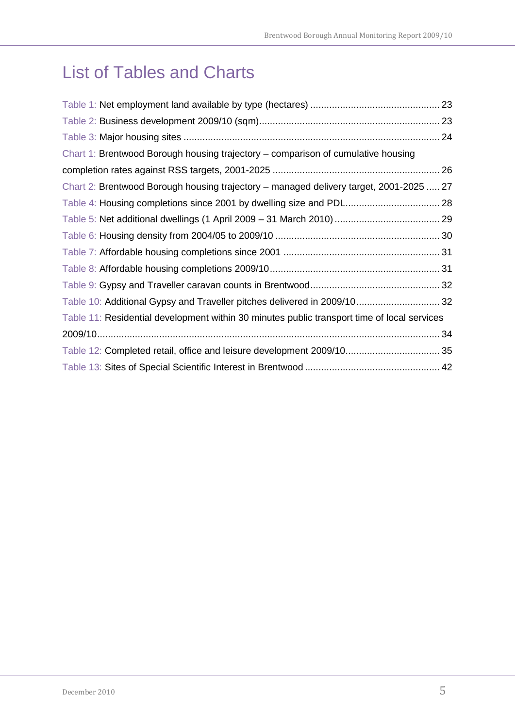## List of Tables and Charts

| Chart 1: Brentwood Borough housing trajectory - comparison of cumulative housing            |    |
|---------------------------------------------------------------------------------------------|----|
|                                                                                             |    |
| Chart 2: Brentwood Borough housing trajectory – managed delivery target, 2001-2025  27      |    |
|                                                                                             |    |
|                                                                                             |    |
|                                                                                             |    |
|                                                                                             |    |
|                                                                                             |    |
|                                                                                             |    |
| Table 10: Additional Gypsy and Traveller pitches delivered in 2009/10 32                    |    |
| Table 11: Residential development within 30 minutes public transport time of local services |    |
|                                                                                             | 34 |
|                                                                                             |    |
|                                                                                             |    |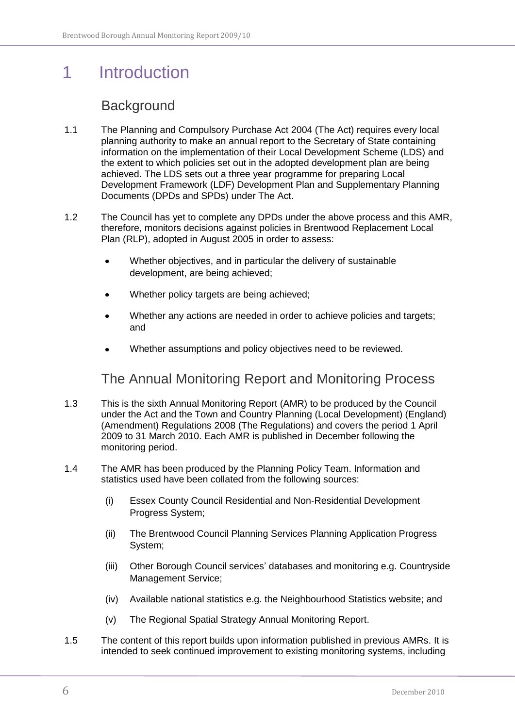## <span id="page-5-0"></span>1 Introduction

### **Background**

- <span id="page-5-1"></span>1.1 The Planning and Compulsory Purchase Act 2004 (The Act) requires every local planning authority to make an annual report to the Secretary of State containing information on the implementation of their Local Development Scheme (LDS) and the extent to which policies set out in the adopted development plan are being achieved. The LDS sets out a three year programme for preparing Local Development Framework (LDF) Development Plan and Supplementary Planning Documents (DPDs and SPDs) under The Act.
- 1.2 The Council has yet to complete any DPDs under the above process and this AMR, therefore, monitors decisions against policies in Brentwood Replacement Local Plan (RLP), adopted in August 2005 in order to assess:
	- $\bullet$ Whether objectives, and in particular the delivery of sustainable development, are being achieved;
	- Whether policy targets are being achieved;
	- Whether any actions are needed in order to achieve policies and targets; and
	- Whether assumptions and policy objectives need to be reviewed.

The Annual Monitoring Report and Monitoring Process

- <span id="page-5-2"></span>1.3 This is the sixth Annual Monitoring Report (AMR) to be produced by the Council under the Act and the Town and Country Planning (Local Development) (England) (Amendment) Regulations 2008 (The Regulations) and covers the period 1 April 2009 to 31 March 2010. Each AMR is published in December following the monitoring period.
- 1.4 The AMR has been produced by the Planning Policy Team. Information and statistics used have been collated from the following sources:
	- (i) Essex County Council Residential and Non-Residential Development Progress System;
	- (ii) The Brentwood Council Planning Services Planning Application Progress System;
	- (iii) Other Borough Council services" databases and monitoring e.g. Countryside Management Service;
	- (iv) Available national statistics e.g. the Neighbourhood Statistics website; and
	- (v) The Regional Spatial Strategy Annual Monitoring Report.
- 1.5 The content of this report builds upon information published in previous AMRs. It is intended to seek continued improvement to existing monitoring systems, including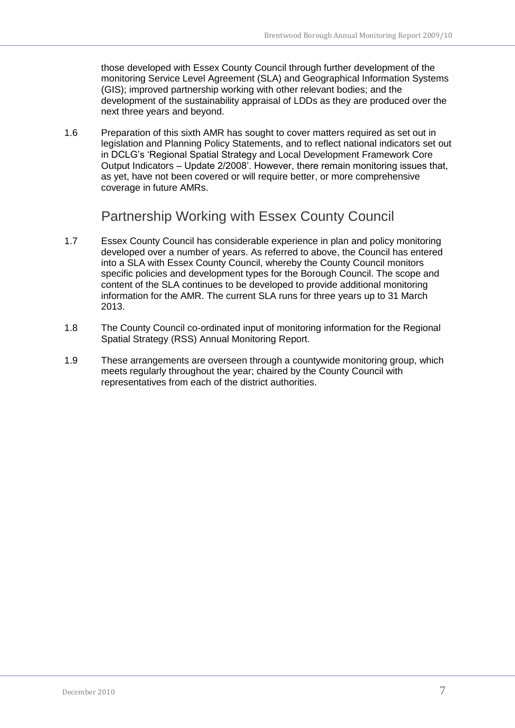those developed with Essex County Council through further development of the monitoring Service Level Agreement (SLA) and Geographical Information Systems (GIS); improved partnership working with other relevant bodies; and the development of the sustainability appraisal of LDDs as they are produced over the next three years and beyond.

1.6 Preparation of this sixth AMR has sought to cover matters required as set out in legislation and Planning Policy Statements, and to reflect national indicators set out in DCLG"s "Regional Spatial Strategy and Local Development Framework Core Output Indicators – Update 2/2008". However, there remain monitoring issues that, as yet, have not been covered or will require better, or more comprehensive coverage in future AMRs.

Partnership Working with Essex County Council

- <span id="page-6-0"></span>1.7 Essex County Council has considerable experience in plan and policy monitoring developed over a number of years. As referred to above, the Council has entered into a SLA with Essex County Council, whereby the County Council monitors specific policies and development types for the Borough Council. The scope and content of the SLA continues to be developed to provide additional monitoring information for the AMR. The current SLA runs for three years up to 31 March 2013.
- 1.8 The County Council co-ordinated input of monitoring information for the Regional Spatial Strategy (RSS) Annual Monitoring Report.
- 1.9 These arrangements are overseen through a countywide monitoring group, which meets regularly throughout the year; chaired by the County Council with representatives from each of the district authorities.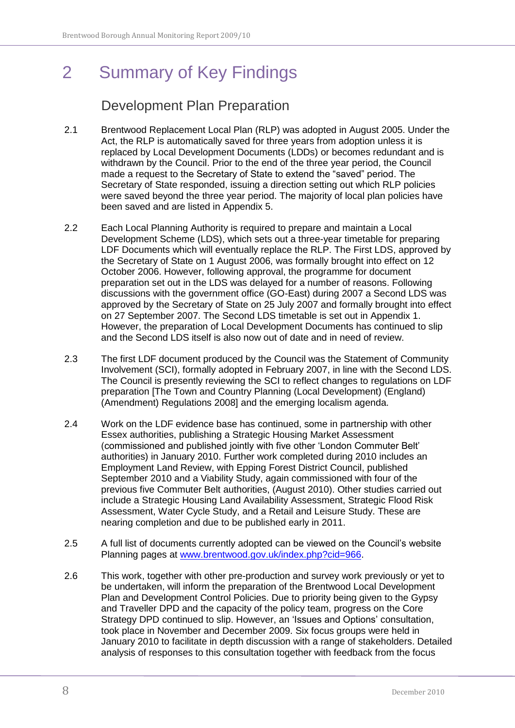## <span id="page-7-0"></span>2 Summary of Key Findings

### Development Plan Preparation

- <span id="page-7-1"></span>2.1 Brentwood Replacement Local Plan (RLP) was adopted in August 2005. Under the Act, the RLP is automatically saved for three years from adoption unless it is replaced by Local Development Documents (LDDs) or becomes redundant and is withdrawn by the Council. Prior to the end of the three year period, the Council made a request to the Secretary of State to extend the "saved" period. The Secretary of State responded, issuing a direction setting out which RLP policies were saved beyond the three year period. The majority of local plan policies have been saved and are listed in Appendix 5.
- 2.2 Each Local Planning Authority is required to prepare and maintain a Local Development Scheme (LDS), which sets out a three-year timetable for preparing LDF Documents which will eventually replace the RLP. The First LDS, approved by the Secretary of State on 1 August 2006, was formally brought into effect on 12 October 2006. However, following approval, the programme for document preparation set out in the LDS was delayed for a number of reasons. Following discussions with the government office (GO-East) during 2007 a Second LDS was approved by the Secretary of State on 25 July 2007 and formally brought into effect on 27 September 2007. The Second LDS timetable is set out in Appendix 1. However, the preparation of Local Development Documents has continued to slip and the Second LDS itself is also now out of date and in need of review.
- 2.3 The first LDF document produced by the Council was the Statement of Community Involvement (SCI), formally adopted in February 2007, in line with the Second LDS. The Council is presently reviewing the SCI to reflect changes to regulations on LDF preparation [The Town and Country Planning (Local Development) (England) (Amendment) Regulations 2008] and the emerging localism agenda.
- 2.4 Work on the LDF evidence base has continued, some in partnership with other Essex authorities, publishing a Strategic Housing Market Assessment (commissioned and published jointly with five other "London Commuter Belt" authorities) in January 2010. Further work completed during 2010 includes an Employment Land Review, with Epping Forest District Council, published September 2010 and a Viability Study, again commissioned with four of the previous five Commuter Belt authorities, (August 2010). Other studies carried out include a Strategic Housing Land Availability Assessment, Strategic Flood Risk Assessment, Water Cycle Study, and a Retail and Leisure Study. These are nearing completion and due to be published early in 2011.
- 2.5 A full list of documents currently adopted can be viewed on the Council"s website Planning pages at [www.brentwood.gov.uk/index.php?cid=966.](http://www.brentwood.gov.uk/index.php?cid=966)
- 2.6 This work, together with other pre-production and survey work previously or yet to be undertaken, will inform the preparation of the Brentwood Local Development Plan and Development Control Policies. Due to priority being given to the Gypsy and Traveller DPD and the capacity of the policy team, progress on the Core Strategy DPD continued to slip. However, an "Issues and Options" consultation, took place in November and December 2009. Six focus groups were held in January 2010 to facilitate in depth discussion with a range of stakeholders. Detailed analysis of responses to this consultation together with feedback from the focus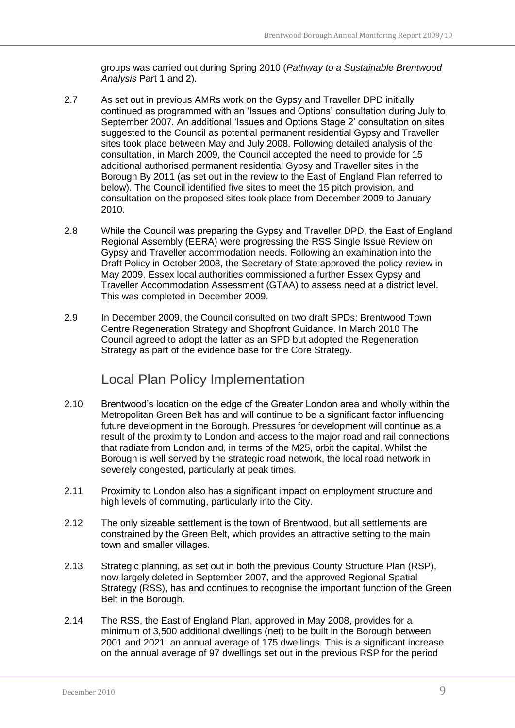groups was carried out during Spring 2010 (*Pathway to a Sustainable Brentwood Analysis* Part 1 and 2).

- 2.7 As set out in previous AMRs work on the Gypsy and Traveller DPD initially continued as programmed with an "Issues and Options" consultation during July to September 2007. An additional "Issues and Options Stage 2" consultation on sites suggested to the Council as potential permanent residential Gypsy and Traveller sites took place between May and July 2008. Following detailed analysis of the consultation, in March 2009, the Council accepted the need to provide for 15 additional authorised permanent residential Gypsy and Traveller sites in the Borough By 2011 (as set out in the review to the East of England Plan referred to below). The Council identified five sites to meet the 15 pitch provision, and consultation on the proposed sites took place from December 2009 to January 2010.
- 2.8 While the Council was preparing the Gypsy and Traveller DPD, the East of England Regional Assembly (EERA) were progressing the RSS Single Issue Review on Gypsy and Traveller accommodation needs. Following an examination into the Draft Policy in October 2008, the Secretary of State approved the policy review in May 2009. Essex local authorities commissioned a further Essex Gypsy and Traveller Accommodation Assessment (GTAA) to assess need at a district level. This was completed in December 2009.
- 2.9 In December 2009, the Council consulted on two draft SPDs: Brentwood Town Centre Regeneration Strategy and Shopfront Guidance. In March 2010 The Council agreed to adopt the latter as an SPD but adopted the Regeneration Strategy as part of the evidence base for the Core Strategy.

### Local Plan Policy Implementation

- <span id="page-8-0"></span>2.10 Brentwood"s location on the edge of the Greater London area and wholly within the Metropolitan Green Belt has and will continue to be a significant factor influencing future development in the Borough. Pressures for development will continue as a result of the proximity to London and access to the major road and rail connections that radiate from London and, in terms of the M25, orbit the capital. Whilst the Borough is well served by the strategic road network, the local road network in severely congested, particularly at peak times.
- 2.11 Proximity to London also has a significant impact on employment structure and high levels of commuting, particularly into the City.
- 2.12 The only sizeable settlement is the town of Brentwood, but all settlements are constrained by the Green Belt, which provides an attractive setting to the main town and smaller villages.
- 2.13 Strategic planning, as set out in both the previous County Structure Plan (RSP), now largely deleted in September 2007, and the approved Regional Spatial Strategy (RSS), has and continues to recognise the important function of the Green Belt in the Borough.
- 2.14 The RSS, the East of England Plan, approved in May 2008, provides for a minimum of 3,500 additional dwellings (net) to be built in the Borough between 2001 and 2021: an annual average of 175 dwellings. This is a significant increase on the annual average of 97 dwellings set out in the previous RSP for the period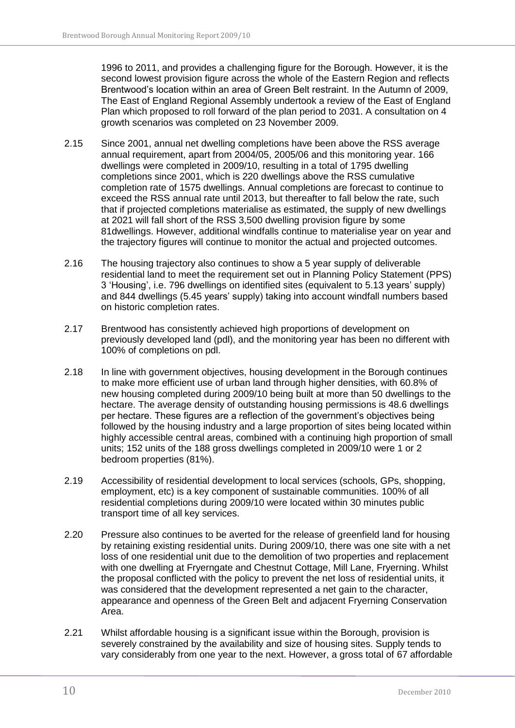1996 to 2011, and provides a challenging figure for the Borough. However, it is the second lowest provision figure across the whole of the Eastern Region and reflects Brentwood"s location within an area of Green Belt restraint. In the Autumn of 2009, The East of England Regional Assembly undertook a review of the East of England Plan which proposed to roll forward of the plan period to 2031. A consultation on 4 growth scenarios was completed on 23 November 2009.

- 2.15 Since 2001, annual net dwelling completions have been above the RSS average annual requirement, apart from 2004/05, 2005/06 and this monitoring year. 166 dwellings were completed in 2009/10, resulting in a total of 1795 dwelling completions since 2001, which is 220 dwellings above the RSS cumulative completion rate of 1575 dwellings. Annual completions are forecast to continue to exceed the RSS annual rate until 2013, but thereafter to fall below the rate, such that if projected completions materialise as estimated, the supply of new dwellings at 2021 will fall short of the RSS 3,500 dwelling provision figure by some 81dwellings. However, additional windfalls continue to materialise year on year and the trajectory figures will continue to monitor the actual and projected outcomes.
- 2.16 The housing trajectory also continues to show a 5 year supply of deliverable residential land to meet the requirement set out in Planning Policy Statement (PPS) 3 "Housing", i.e. 796 dwellings on identified sites (equivalent to 5.13 years" supply) and 844 dwellings (5.45 years" supply) taking into account windfall numbers based on historic completion rates.
- 2.17 Brentwood has consistently achieved high proportions of development on previously developed land (pdl), and the monitoring year has been no different with 100% of completions on pdl.
- 2.18 In line with government objectives, housing development in the Borough continues to make more efficient use of urban land through higher densities, with 60.8% of new housing completed during 2009/10 being built at more than 50 dwellings to the hectare. The average density of outstanding housing permissions is 48.6 dwellings per hectare. These figures are a reflection of the government"s objectives being followed by the housing industry and a large proportion of sites being located within highly accessible central areas, combined with a continuing high proportion of small units; 152 units of the 188 gross dwellings completed in 2009/10 were 1 or 2 bedroom properties (81%).
- 2.19 Accessibility of residential development to local services (schools, GPs, shopping, employment, etc) is a key component of sustainable communities. 100% of all residential completions during 2009/10 were located within 30 minutes public transport time of all key services.
- 2.20 Pressure also continues to be averted for the release of greenfield land for housing by retaining existing residential units. During 2009/10, there was one site with a net loss of one residential unit due to the demolition of two properties and replacement with one dwelling at Fryerngate and Chestnut Cottage, Mill Lane, Fryerning. Whilst the proposal conflicted with the policy to prevent the net loss of residential units, it was considered that the development represented a net gain to the character, appearance and openness of the Green Belt and adjacent Fryerning Conservation Area.
- 2.21 Whilst affordable housing is a significant issue within the Borough, provision is severely constrained by the availability and size of housing sites. Supply tends to vary considerably from one year to the next. However, a gross total of 67 affordable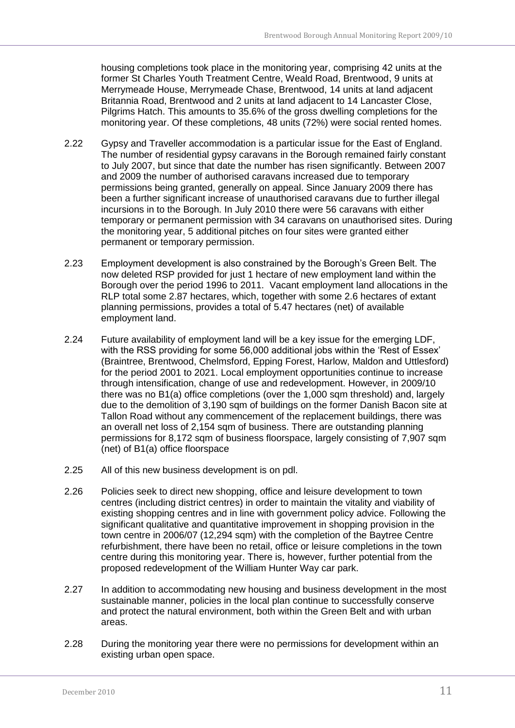housing completions took place in the monitoring year, comprising 42 units at the former St Charles Youth Treatment Centre, Weald Road, Brentwood, 9 units at Merrymeade House, Merrymeade Chase, Brentwood, 14 units at land adjacent Britannia Road, Brentwood and 2 units at land adjacent to 14 Lancaster Close, Pilgrims Hatch. This amounts to 35.6% of the gross dwelling completions for the monitoring year. Of these completions, 48 units (72%) were social rented homes.

- 2.22 Gypsy and Traveller accommodation is a particular issue for the East of England. The number of residential gypsy caravans in the Borough remained fairly constant to July 2007, but since that date the number has risen significantly. Between 2007 and 2009 the number of authorised caravans increased due to temporary permissions being granted, generally on appeal. Since January 2009 there has been a further significant increase of unauthorised caravans due to further illegal incursions in to the Borough. In July 2010 there were 56 caravans with either temporary or permanent permission with 34 caravans on unauthorised sites. During the monitoring year, 5 additional pitches on four sites were granted either permanent or temporary permission.
- 2.23 Employment development is also constrained by the Borough"s Green Belt. The now deleted RSP provided for just 1 hectare of new employment land within the Borough over the period 1996 to 2011. Vacant employment land allocations in the RLP total some 2.87 hectares, which, together with some 2.6 hectares of extant planning permissions, provides a total of 5.47 hectares (net) of available employment land.
- 2.24 Future availability of employment land will be a key issue for the emerging LDF, with the RSS providing for some 56,000 additional jobs within the 'Rest of Essex' (Braintree, Brentwood, Chelmsford, Epping Forest, Harlow, Maldon and Uttlesford) for the period 2001 to 2021. Local employment opportunities continue to increase through intensification, change of use and redevelopment. However, in 2009/10 there was no B1(a) office completions (over the 1,000 sqm threshold) and, largely due to the demolition of 3,190 sqm of buildings on the former Danish Bacon site at Tallon Road without any commencement of the replacement buildings, there was an overall net loss of 2,154 sqm of business. There are outstanding planning permissions for 8,172 sqm of business floorspace, largely consisting of 7,907 sqm (net) of B1(a) office floorspace
- 2.25 All of this new business development is on pdl.
- 2.26 Policies seek to direct new shopping, office and leisure development to town centres (including district centres) in order to maintain the vitality and viability of existing shopping centres and in line with government policy advice. Following the significant qualitative and quantitative improvement in shopping provision in the town centre in 2006/07 (12,294 sqm) with the completion of the Baytree Centre refurbishment, there have been no retail, office or leisure completions in the town centre during this monitoring year. There is, however, further potential from the proposed redevelopment of the William Hunter Way car park.
- 2.27 In addition to accommodating new housing and business development in the most sustainable manner, policies in the local plan continue to successfully conserve and protect the natural environment, both within the Green Belt and with urban areas.
- 2.28 During the monitoring year there were no permissions for development within an existing urban open space.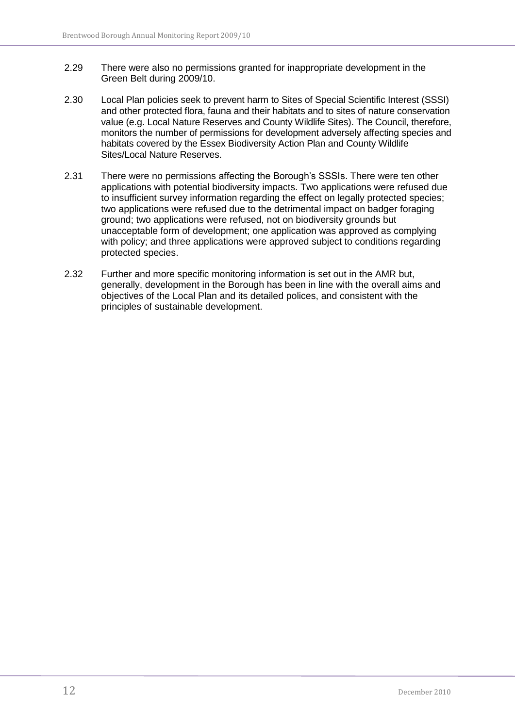- 2.29 There were also no permissions granted for inappropriate development in the Green Belt during 2009/10.
- 2.30 Local Plan policies seek to prevent harm to Sites of Special Scientific Interest (SSSI) and other protected flora, fauna and their habitats and to sites of nature conservation value (e.g. Local Nature Reserves and County Wildlife Sites). The Council, therefore, monitors the number of permissions for development adversely affecting species and habitats covered by the Essex Biodiversity Action Plan and County Wildlife Sites/Local Nature Reserves.
- 2.31 There were no permissions affecting the Borough"s SSSIs. There were ten other applications with potential biodiversity impacts. Two applications were refused due to insufficient survey information regarding the effect on legally protected species; two applications were refused due to the detrimental impact on badger foraging ground; two applications were refused, not on biodiversity grounds but unacceptable form of development; one application was approved as complying with policy; and three applications were approved subject to conditions regarding protected species.
- 2.32 Further and more specific monitoring information is set out in the AMR but, generally, development in the Borough has been in line with the overall aims and objectives of the Local Plan and its detailed polices, and consistent with the principles of sustainable development.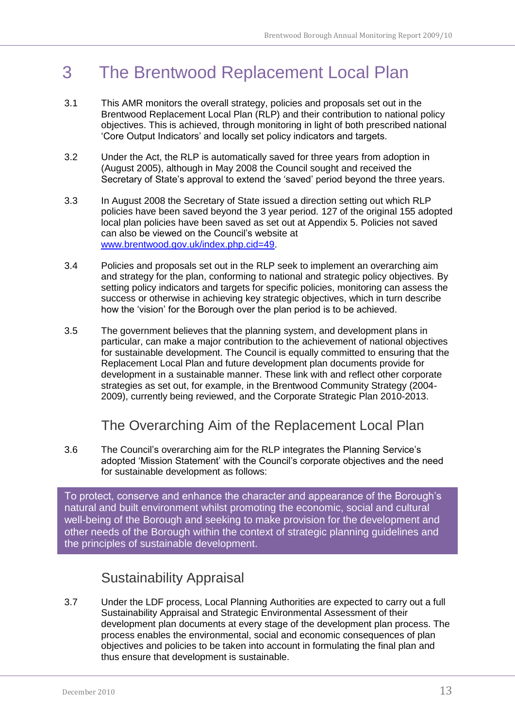## <span id="page-12-0"></span>3 The Brentwood Replacement Local Plan

- 3.1 This AMR monitors the overall strategy, policies and proposals set out in the Brentwood Replacement Local Plan (RLP) and their contribution to national policy objectives. This is achieved, through monitoring in light of both prescribed national "Core Output Indicators" and locally set policy indicators and targets.
- 3.2 Under the Act, the RLP is automatically saved for three years from adoption in (August 2005), although in May 2008 the Council sought and received the Secretary of State's approval to extend the 'saved' period beyond the three years.
- 3.3 In August 2008 the Secretary of State issued a direction setting out which RLP policies have been saved beyond the 3 year period. 127 of the original 155 adopted local plan policies have been saved as set out at Appendix 5. Policies not saved can also be viewed on the Council"s website at [www.brentwood.gov.uk/index.php.cid=49.](http://www.brentwood.gov.uk/index.php.cid=49)
- 3.4 Policies and proposals set out in the RLP seek to implement an overarching aim and strategy for the plan, conforming to national and strategic policy objectives. By setting policy indicators and targets for specific policies, monitoring can assess the success or otherwise in achieving key strategic objectives, which in turn describe how the "vision" for the Borough over the plan period is to be achieved.
- 3.5 The government believes that the planning system, and development plans in particular, can make a major contribution to the achievement of national objectives for sustainable development. The Council is equally committed to ensuring that the Replacement Local Plan and future development plan documents provide for development in a sustainable manner. These link with and reflect other corporate strategies as set out, for example, in the Brentwood Community Strategy (2004- 2009), currently being reviewed, and the Corporate Strategic Plan 2010-2013.

### The Overarching Aim of the Replacement Local Plan

<span id="page-12-1"></span>3.6 The Council"s overarching aim for the RLP integrates the Planning Service"s adopted "Mission Statement" with the Council"s corporate objectives and the need for sustainable development as follows:

To protect, conserve and enhance the character and appearance of the Borough"s natural and built environment whilst promoting the economic, social and cultural well-being of the Borough and seeking to make provision for the development and other needs of the Borough within the context of strategic planning guidelines and the principles of sustainable development.

### Sustainability Appraisal

<span id="page-12-2"></span>3.7 Under the LDF process, Local Planning Authorities are expected to carry out a full Sustainability Appraisal and Strategic Environmental Assessment of their development plan documents at every stage of the development plan process. The process enables the environmental, social and economic consequences of plan objectives and policies to be taken into account in formulating the final plan and thus ensure that development is sustainable.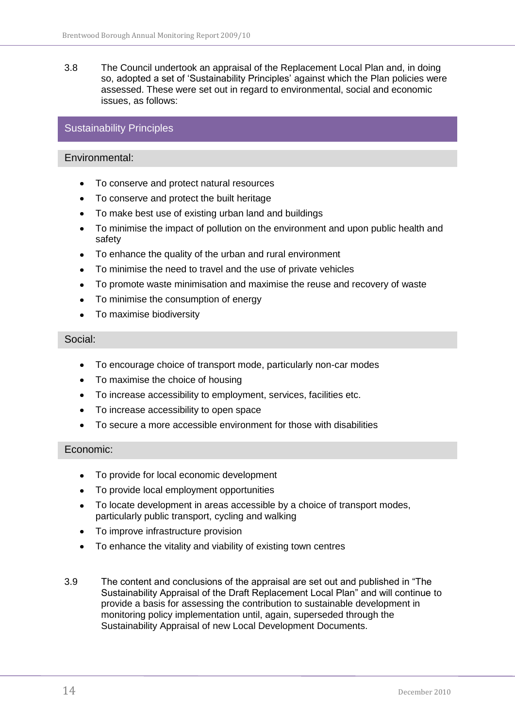3.8 The Council undertook an appraisal of the Replacement Local Plan and, in doing so, adopted a set of 'Sustainability Principles' against which the Plan policies were assessed. These were set out in regard to environmental, social and economic issues, as follows:

### Sustainability Principles

#### Environmental:

- To conserve and protect natural resources
- To conserve and protect the built heritage
- To make best use of existing urban land and buildings
- To minimise the impact of pollution on the environment and upon public health and  $\bullet$ safety
- To enhance the quality of the urban and rural environment
- To minimise the need to travel and the use of private vehicles
- To promote waste minimisation and maximise the reuse and recovery of waste
- To minimise the consumption of energy
- To maximise biodiversity  $\bullet$

#### Social:

- To encourage choice of transport mode, particularly non-car modes  $\bullet$
- To maximise the choice of housing
- To increase accessibility to employment, services, facilities etc.  $\bullet$
- To increase accessibility to open space
- To secure a more accessible environment for those with disabilities

#### Economic:

- To provide for local economic development
- To provide local employment opportunities
- To locate development in areas accessible by a choice of transport modes, particularly public transport, cycling and walking
- To improve infrastructure provision  $\bullet$
- To enhance the vitality and viability of existing town centres
- 3.9 The content and conclusions of the appraisal are set out and published in "The Sustainability Appraisal of the Draft Replacement Local Plan" and will continue to provide a basis for assessing the contribution to sustainable development in monitoring policy implementation until, again, superseded through the Sustainability Appraisal of new Local Development Documents.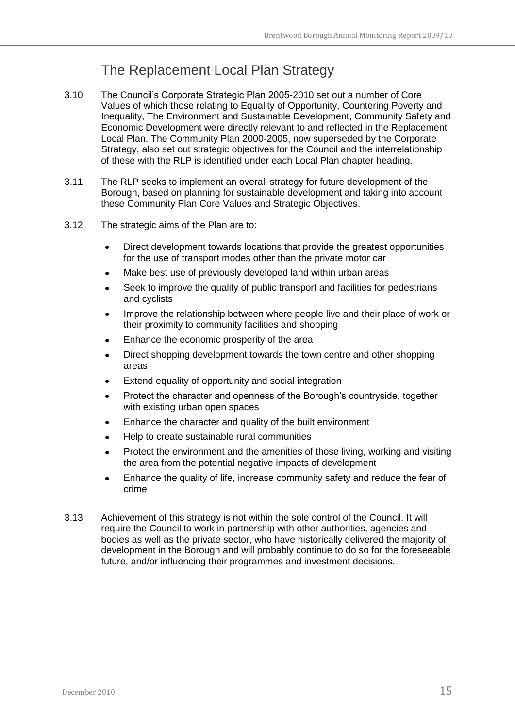### The Replacement Local Plan Strategy

- <span id="page-14-0"></span>3.10 The Council"s Corporate Strategic Plan 2005-2010 set out a number of Core Values of which those relating to Equality of Opportunity, Countering Poverty and Inequality, The Environment and Sustainable Development, Community Safety and Economic Development were directly relevant to and reflected in the Replacement Local Plan. The Community Plan 2000-2005, now superseded by the Corporate Strategy, also set out strategic objectives for the Council and the interrelationship of these with the RLP is identified under each Local Plan chapter heading.
- 3.11 The RLP seeks to implement an overall strategy for future development of the Borough, based on planning for sustainable development and taking into account these Community Plan Core Values and Strategic Objectives.
- 3.12 The strategic aims of the Plan are to:
	- Direct development towards locations that provide the greatest opportunities for the use of transport modes other than the private motor car
	- Make best use of previously developed land within urban areas  $\bullet$
	- Seek to improve the quality of public transport and facilities for pedestrians and cyclists
	- Improve the relationship between where people live and their place of work or their proximity to community facilities and shopping
	- Enhance the economic prosperity of the area
	- Direct shopping development towards the town centre and other shopping areas
	- Extend equality of opportunity and social integration
	- Protect the character and openness of the Borough"s countryside, together with existing urban open spaces
	- Enhance the character and quality of the built environment
	- Help to create sustainable rural communities
	- Protect the environment and the amenities of those living, working and visiting the area from the potential negative impacts of development
	- Enhance the quality of life, increase community safety and reduce the fear of crime
- 3.13 Achievement of this strategy is not within the sole control of the Council. It will require the Council to work in partnership with other authorities, agencies and bodies as well as the private sector, who have historically delivered the majority of development in the Borough and will probably continue to do so for the foreseeable future, and/or influencing their programmes and investment decisions.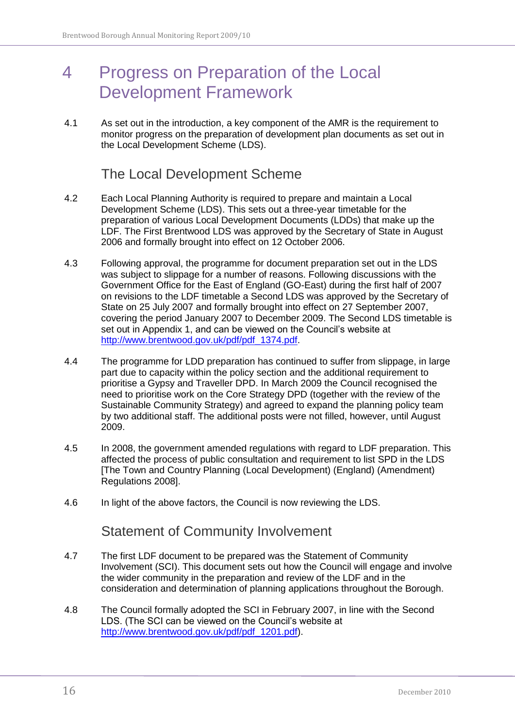## <span id="page-15-0"></span>4 Progress on Preparation of the Local Development Framework

4.1 As set out in the introduction, a key component of the AMR is the requirement to monitor progress on the preparation of development plan documents as set out in the Local Development Scheme (LDS).

### The Local Development Scheme

- <span id="page-15-1"></span>4.2 Each Local Planning Authority is required to prepare and maintain a Local Development Scheme (LDS). This sets out a three-year timetable for the preparation of various Local Development Documents (LDDs) that make up the LDF. The First Brentwood LDS was approved by the Secretary of State in August 2006 and formally brought into effect on 12 October 2006.
- 4.3 Following approval, the programme for document preparation set out in the LDS was subject to slippage for a number of reasons. Following discussions with the Government Office for the East of England (GO-East) during the first half of 2007 on revisions to the LDF timetable a Second LDS was approved by the Secretary of State on 25 July 2007 and formally brought into effect on 27 September 2007, covering the period January 2007 to December 2009. The Second LDS timetable is set out in Appendix 1, and can be viewed on the Council's website at [http://www.brentwood.gov.uk/pdf/pdf\\_1374.pdf.](http://www.brentwood.gov.uk/pdf/pdf_1374.pdf)
- 4.4 The programme for LDD preparation has continued to suffer from slippage, in large part due to capacity within the policy section and the additional requirement to prioritise a Gypsy and Traveller DPD. In March 2009 the Council recognised the need to prioritise work on the Core Strategy DPD (together with the review of the Sustainable Community Strategy) and agreed to expand the planning policy team by two additional staff. The additional posts were not filled, however, until August 2009.
- 4.5 In 2008, the government amended regulations with regard to LDF preparation. This affected the process of public consultation and requirement to list SPD in the LDS [The Town and Country Planning (Local Development) (England) (Amendment) Regulations 2008].
- <span id="page-15-2"></span>4.6 In light of the above factors, the Council is now reviewing the LDS.

### Statement of Community Involvement

- 4.7 The first LDF document to be prepared was the Statement of Community Involvement (SCI). This document sets out how the Council will engage and involve the wider community in the preparation and review of the LDF and in the consideration and determination of planning applications throughout the Borough.
- 4.8 The Council formally adopted the SCI in February 2007, in line with the Second LDS. (The SCI can be viewed on the Council"s website at [http://www.brentwood.gov.uk/pdf/pdf\\_1201.pdf\)](http://www.brentwood.gov.uk/pdf/pdf_1201.pdf).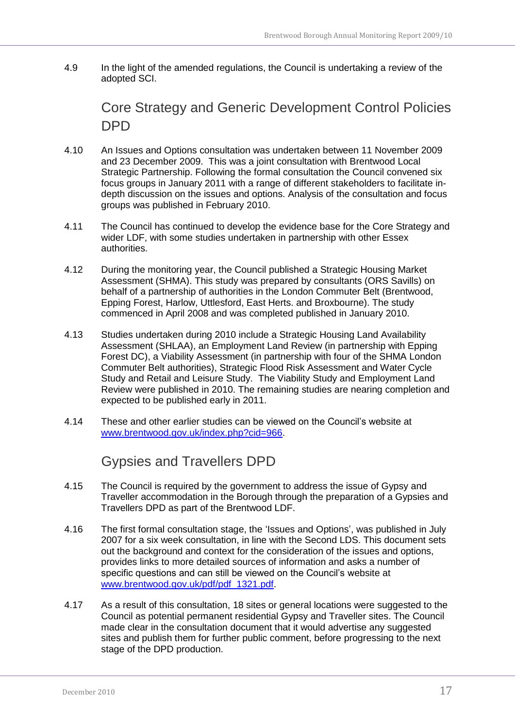<span id="page-16-0"></span>4.9 In the light of the amended regulations, the Council is undertaking a review of the adopted SCI.

Core Strategy and Generic Development Control Policies **DPD** 

- 4.10 An Issues and Options consultation was undertaken between 11 November 2009 and 23 December 2009. This was a joint consultation with Brentwood Local Strategic Partnership. Following the formal consultation the Council convened six focus groups in January 2011 with a range of different stakeholders to facilitate indepth discussion on the issues and options. Analysis of the consultation and focus groups was published in February 2010.
- 4.11 The Council has continued to develop the evidence base for the Core Strategy and wider LDF, with some studies undertaken in partnership with other Essex authorities.
- 4.12 During the monitoring year, the Council published a Strategic Housing Market Assessment (SHMA). This study was prepared by consultants (ORS Savills) on behalf of a partnership of authorities in the London Commuter Belt (Brentwood, Epping Forest, Harlow, Uttlesford, East Herts. and Broxbourne). The study commenced in April 2008 and was completed published in January 2010.
- 4.13 Studies undertaken during 2010 include a Strategic Housing Land Availability Assessment (SHLAA), an Employment Land Review (in partnership with Epping Forest DC), a Viability Assessment (in partnership with four of the SHMA London Commuter Belt authorities), Strategic Flood Risk Assessment and Water Cycle Study and Retail and Leisure Study. The Viability Study and Employment Land Review were published in 2010. The remaining studies are nearing completion and expected to be published early in 2011.
- <span id="page-16-1"></span>4.14 These and other earlier studies can be viewed on the Council"s website at [www.brentwood.gov.uk/index.php?cid=966.](http://www.brentwood.gov.uk/index.php?cid=966)

Gypsies and Travellers DPD

- 4.15 The Council is required by the government to address the issue of Gypsy and Traveller accommodation in the Borough through the preparation of a Gypsies and Travellers DPD as part of the Brentwood LDF.
- 4.16 The first formal consultation stage, the "Issues and Options", was published in July 2007 for a six week consultation, in line with the Second LDS. This document sets out the background and context for the consideration of the issues and options, provides links to more detailed sources of information and asks a number of specific questions and can still be viewed on the Council"s website at [www.brentwood.gov.uk/pdf/pdf\\_1321.pdf.](http://www.brentwood.gov.uk/pdf/pdf_1321.pdf)
- 4.17 As a result of this consultation, 18 sites or general locations were suggested to the Council as potential permanent residential Gypsy and Traveller sites. The Council made clear in the consultation document that it would advertise any suggested sites and publish them for further public comment, before progressing to the next stage of the DPD production.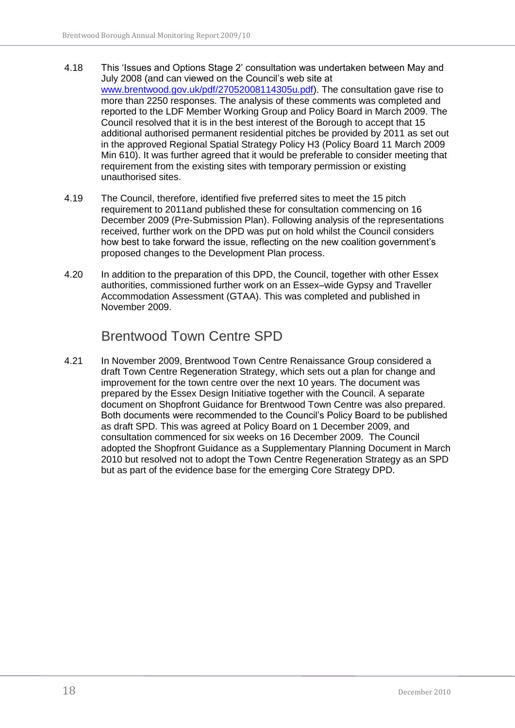- 4.18 This "Issues and Options Stage 2" consultation was undertaken between May and July 2008 (and can viewed on the Council"s web site at [www.brentwood.gov.uk/pdf/27052008114305u.pdf\)](http://www.brentwood.gov.uk/pdf/27052008114305u.pdf). The consultation gave rise to more than 2250 responses. The analysis of these comments was completed and reported to the LDF Member Working Group and Policy Board in March 2009. The Council resolved that it is in the best interest of the Borough to accept that 15 additional authorised permanent residential pitches be provided by 2011 as set out in the approved Regional Spatial Strategy Policy H3 (Policy Board 11 March 2009 Min 610). It was further agreed that it would be preferable to consider meeting that requirement from the existing sites with temporary permission or existing unauthorised sites.
- 4.19 The Council, therefore, identified five preferred sites to meet the 15 pitch requirement to 2011and published these for consultation commencing on 16 December 2009 (Pre-Submission Plan). Following analysis of the representations received, further work on the DPD was put on hold whilst the Council considers how best to take forward the issue, reflecting on the new coalition government"s proposed changes to the Development Plan process.
- 4.20 In addition to the preparation of this DPD, the Council, together with other Essex authorities, commissioned further work on an Essex–wide Gypsy and Traveller Accommodation Assessment (GTAA). This was completed and published in November 2009.

### Brentwood Town Centre SPD

<span id="page-17-0"></span>4.21 In November 2009, Brentwood Town Centre Renaissance Group considered a draft Town Centre Regeneration Strategy, which sets out a plan for change and improvement for the town centre over the next 10 years. The document was prepared by the Essex Design Initiative together with the Council. A separate document on Shopfront Guidance for Brentwood Town Centre was also prepared. Both documents were recommended to the Council"s Policy Board to be published as draft SPD. This was agreed at Policy Board on 1 December 2009, and consultation commenced for six weeks on 16 December 2009. The Council adopted the Shopfront Guidance as a Supplementary Planning Document in March 2010 but resolved not to adopt the Town Centre Regeneration Strategy as an SPD but as part of the evidence base for the emerging Core Strategy DPD.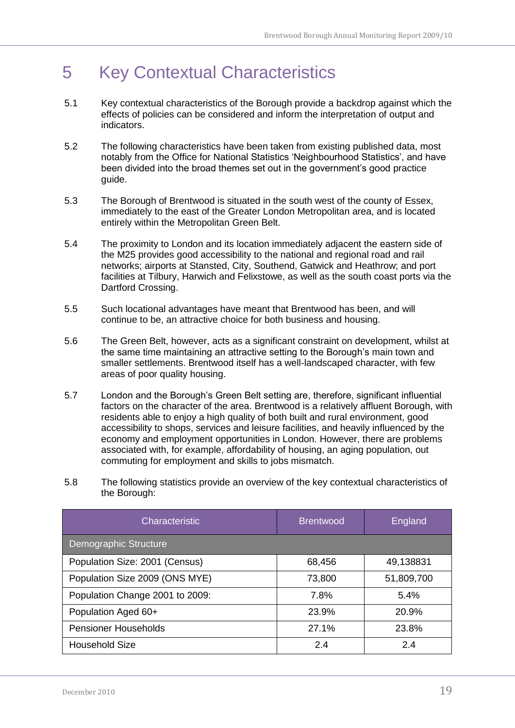## <span id="page-18-0"></span>5 Key Contextual Characteristics

- 5.1 Key contextual characteristics of the Borough provide a backdrop against which the effects of policies can be considered and inform the interpretation of output and indicators.
- 5.2 The following characteristics have been taken from existing published data, most notably from the Office for National Statistics "Neighbourhood Statistics", and have been divided into the broad themes set out in the government's good practice guide.
- 5.3 The Borough of Brentwood is situated in the south west of the county of Essex, immediately to the east of the Greater London Metropolitan area, and is located entirely within the Metropolitan Green Belt.
- 5.4 The proximity to London and its location immediately adjacent the eastern side of the M25 provides good accessibility to the national and regional road and rail networks; airports at Stansted, City, Southend, Gatwick and Heathrow; and port facilities at Tilbury, Harwich and Felixstowe, as well as the south coast ports via the Dartford Crossing.
- 5.5 Such locational advantages have meant that Brentwood has been, and will continue to be, an attractive choice for both business and housing.
- 5.6 The Green Belt, however, acts as a significant constraint on development, whilst at the same time maintaining an attractive setting to the Borough"s main town and smaller settlements. Brentwood itself has a well-landscaped character, with few areas of poor quality housing.
- 5.7 London and the Borough"s Green Belt setting are, therefore, significant influential factors on the character of the area. Brentwood is a relatively affluent Borough, with residents able to enjoy a high quality of both built and rural environment, good accessibility to shops, services and leisure facilities, and heavily influenced by the economy and employment opportunities in London. However, there are problems associated with, for example, affordability of housing, an aging population, out commuting for employment and skills to jobs mismatch.
- 5.8 The following statistics provide an overview of the key contextual characteristics of the Borough:

| Characteristic                  | <b>Brentwood</b> | England    |
|---------------------------------|------------------|------------|
| Demographic Structure           |                  |            |
| Population Size: 2001 (Census)  | 68,456           | 49,138831  |
| Population Size 2009 (ONS MYE)  | 73,800           | 51,809,700 |
| Population Change 2001 to 2009: | 7.8%             | 5.4%       |
| Population Aged 60+             | 23.9%            | 20.9%      |
| <b>Pensioner Households</b>     | 27.1%            | 23.8%      |
| Household Size                  | 2.4              | 2.4        |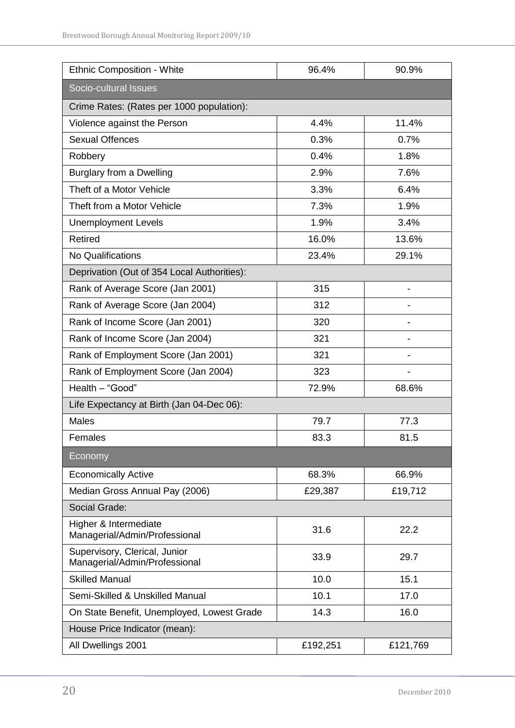| <b>Ethnic Composition - White</b>                              | 96.4%    | 90.9%                    |  |  |  |  |
|----------------------------------------------------------------|----------|--------------------------|--|--|--|--|
| Socio-cultural Issues                                          |          |                          |  |  |  |  |
| Crime Rates: (Rates per 1000 population):                      |          |                          |  |  |  |  |
| Violence against the Person                                    | 4.4%     | 11.4%                    |  |  |  |  |
| <b>Sexual Offences</b>                                         | 0.3%     | 0.7%                     |  |  |  |  |
| Robbery                                                        | 0.4%     | 1.8%                     |  |  |  |  |
| Burglary from a Dwelling                                       | 2.9%     | 7.6%                     |  |  |  |  |
| Theft of a Motor Vehicle                                       | 3.3%     | 6.4%                     |  |  |  |  |
| Theft from a Motor Vehicle                                     | 7.3%     | 1.9%                     |  |  |  |  |
| <b>Unemployment Levels</b>                                     | 1.9%     | 3.4%                     |  |  |  |  |
| <b>Retired</b>                                                 | 16.0%    | 13.6%                    |  |  |  |  |
| No Qualifications                                              | 23.4%    | 29.1%                    |  |  |  |  |
| Deprivation (Out of 354 Local Authorities):                    |          |                          |  |  |  |  |
| Rank of Average Score (Jan 2001)                               | 315      | -                        |  |  |  |  |
| Rank of Average Score (Jan 2004)                               | 312      |                          |  |  |  |  |
| Rank of Income Score (Jan 2001)                                | 320      | $\overline{\phantom{0}}$ |  |  |  |  |
| Rank of Income Score (Jan 2004)                                | 321      |                          |  |  |  |  |
| Rank of Employment Score (Jan 2001)                            | 321      |                          |  |  |  |  |
| Rank of Employment Score (Jan 2004)                            | 323      | -                        |  |  |  |  |
| Health - "Good"                                                | 72.9%    | 68.6%                    |  |  |  |  |
| Life Expectancy at Birth (Jan 04-Dec 06):                      |          |                          |  |  |  |  |
| <b>Males</b>                                                   | 79.7     | 77.3                     |  |  |  |  |
| Females                                                        | 83.3     | 81.5                     |  |  |  |  |
| Economy                                                        |          |                          |  |  |  |  |
| <b>Economically Active</b>                                     | 68.3%    | 66.9%                    |  |  |  |  |
| Median Gross Annual Pay (2006)                                 | £29,387  | £19,712                  |  |  |  |  |
| Social Grade:                                                  |          |                          |  |  |  |  |
| Higher & Intermediate<br>Managerial/Admin/Professional         | 31.6     | 22.2                     |  |  |  |  |
| Supervisory, Clerical, Junior<br>Managerial/Admin/Professional | 33.9     | 29.7                     |  |  |  |  |
| <b>Skilled Manual</b>                                          | 10.0     | 15.1                     |  |  |  |  |
| Semi-Skilled & Unskilled Manual                                | 10.1     | 17.0                     |  |  |  |  |
| On State Benefit, Unemployed, Lowest Grade                     | 14.3     | 16.0                     |  |  |  |  |
| House Price Indicator (mean):                                  |          |                          |  |  |  |  |
| All Dwellings 2001                                             | £192,251 | £121,769                 |  |  |  |  |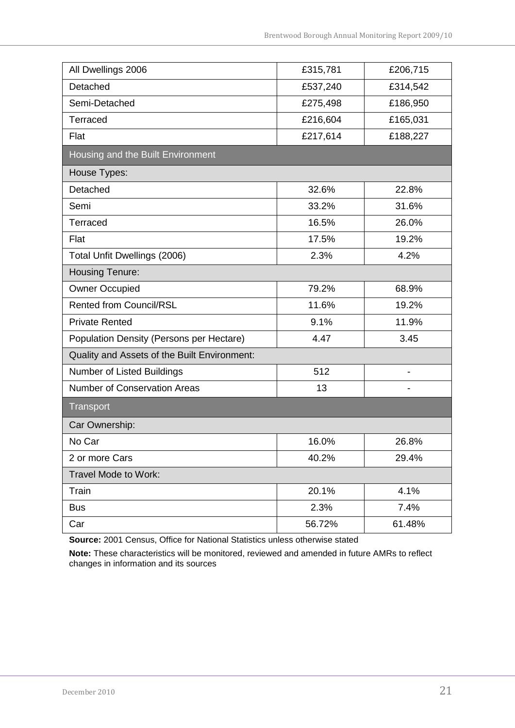| All Dwellings 2006                           | £315,781 | £206,715 |
|----------------------------------------------|----------|----------|
| Detached                                     | £537,240 | £314,542 |
| Semi-Detached                                | £275,498 | £186,950 |
| Terraced                                     | £216,604 | £165,031 |
| Flat                                         | £217,614 | £188,227 |
| Housing and the Built Environment            |          |          |
| House Types:                                 |          |          |
| Detached                                     | 32.6%    | 22.8%    |
| Semi                                         | 33.2%    | 31.6%    |
| Terraced                                     | 16.5%    | 26.0%    |
| Flat                                         | 17.5%    | 19.2%    |
| Total Unfit Dwellings (2006)                 | 2.3%     | 4.2%     |
| <b>Housing Tenure:</b>                       |          |          |
| <b>Owner Occupied</b>                        | 79.2%    | 68.9%    |
| <b>Rented from Council/RSL</b>               | 11.6%    | 19.2%    |
| <b>Private Rented</b>                        | 9.1%     | 11.9%    |
| Population Density (Persons per Hectare)     | 4.47     | 3.45     |
| Quality and Assets of the Built Environment: |          |          |
| Number of Listed Buildings                   | 512      | -        |
| <b>Number of Conservation Areas</b>          | 13       |          |
| Transport                                    |          |          |
| Car Ownership:                               |          |          |
| No Car                                       | 16.0%    | 26.8%    |
| 2 or more Cars                               | 40.2%    | 29.4%    |
| Travel Mode to Work:                         |          |          |
| Train                                        | 20.1%    | 4.1%     |
| <b>Bus</b>                                   | 2.3%     | 7.4%     |
| Car                                          | 56.72%   | 61.48%   |

**Source:** 2001 Census, Office for National Statistics unless otherwise stated

**Note:** These characteristics will be monitored, reviewed and amended in future AMRs to reflect changes in information and its sources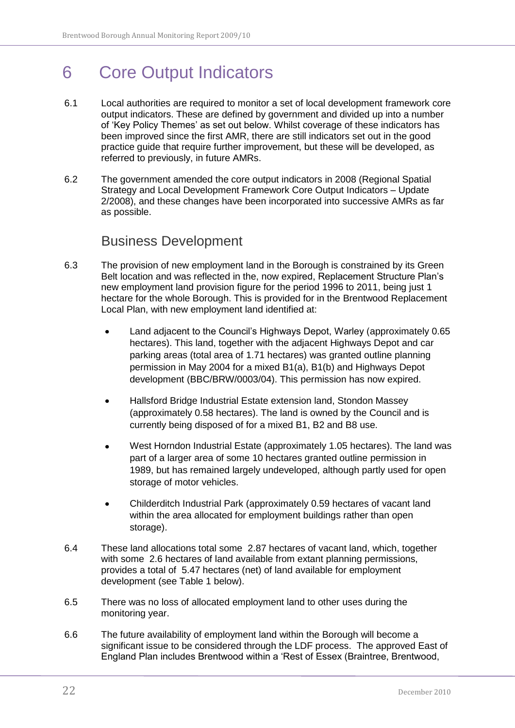## <span id="page-21-0"></span>6 Core Output Indicators

- 6.1 Local authorities are required to monitor a set of local development framework core output indicators. These are defined by government and divided up into a number of "Key Policy Themes" as set out below. Whilst coverage of these indicators has been improved since the first AMR, there are still indicators set out in the good practice guide that require further improvement, but these will be developed, as referred to previously, in future AMRs.
- 6.2 The government amended the core output indicators in 2008 (Regional Spatial Strategy and Local Development Framework Core Output Indicators – Update 2/2008), and these changes have been incorporated into successive AMRs as far as possible.

### Business Development

- <span id="page-21-1"></span>6.3 The provision of new employment land in the Borough is constrained by its Green Belt location and was reflected in the, now expired, Replacement Structure Plan"s new employment land provision figure for the period 1996 to 2011, being just 1 hectare for the whole Borough. This is provided for in the Brentwood Replacement Local Plan, with new employment land identified at:
	- Land adjacent to the Council"s Highways Depot, Warley (approximately 0.65  $\bullet$ hectares). This land, together with the adjacent Highways Depot and car parking areas (total area of 1.71 hectares) was granted outline planning permission in May 2004 for a mixed B1(a), B1(b) and Highways Depot development (BBC/BRW/0003/04). This permission has now expired.
	- Hallsford Bridge Industrial Estate extension land, Stondon Massey (approximately 0.58 hectares). The land is owned by the Council and is currently being disposed of for a mixed B1, B2 and B8 use.
	- West Horndon Industrial Estate (approximately 1.05 hectares). The land was part of a larger area of some 10 hectares granted outline permission in 1989, but has remained largely undeveloped, although partly used for open storage of motor vehicles.
	- $\bullet$ Childerditch Industrial Park (approximately 0.59 hectares of vacant land within the area allocated for employment buildings rather than open storage).
- 6.4 These land allocations total some 2.87 hectares of vacant land, which, together with some 2.6 hectares of land available from extant planning permissions, provides a total of 5.47 hectares (net) of land available for employment development (see Table 1 below).
- 6.5 There was no loss of allocated employment land to other uses during the monitoring year.
- 6.6 The future availability of employment land within the Borough will become a significant issue to be considered through the LDF process. The approved East of England Plan includes Brentwood within a "Rest of Essex (Braintree, Brentwood,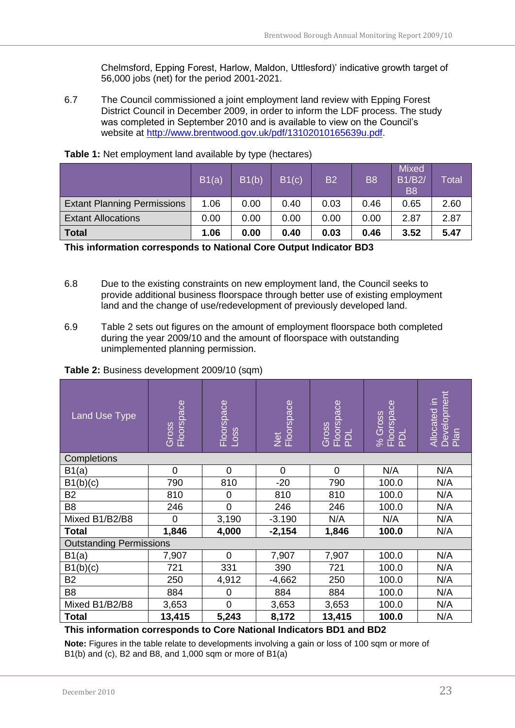Chelmsford, Epping Forest, Harlow, Maldon, Uttlesford)" indicative growth target of 56,000 jobs (net) for the period 2001-2021.

6.7 The Council commissioned a joint employment land review with Epping Forest District Council in December 2009, in order to inform the LDF process. The study was completed in September 2010 and is available to view on the Council"s website at [http://www.brentwood.gov.uk/pdf/13102010165639u.pdf.](http://www.brentwood.gov.uk/pdf/13102010165639u.pdf)

|                                    | B1(a) | B1(b) | B1(c) | <b>B2</b> | <b>B8</b> | <b>Mixed</b><br><b>B1/B2/</b><br><b>B8</b> | $\overline{\mathsf{T}}$ otal $\overline{\mathsf{N}}$ |
|------------------------------------|-------|-------|-------|-----------|-----------|--------------------------------------------|------------------------------------------------------|
| <b>Extant Planning Permissions</b> | 1.06  | 0.00  | 0.40  | 0.03      | 0.46      | 0.65                                       | 2.60                                                 |
| <b>Extant Allocations</b>          | 0.00  | 0.00  | 0.00  | 0.00      | 0.00      | 2.87                                       | 2.87                                                 |
| <b>Total</b>                       | 1.06  | 0.00  | 0.40  | 0.03      | 0.46      | 3.52                                       | 5.47                                                 |

<span id="page-22-0"></span>

**This information corresponds to National Core Output Indicator BD3**

- 6.8 Due to the existing constraints on new employment land, the Council seeks to provide additional business floorspace through better use of existing employment land and the change of use/redevelopment of previously developed land.
- 6.9 Table 2 sets out figures on the amount of employment floorspace both completed during the year 2009/10 and the amount of floorspace with outstanding unimplemented planning permission.

<span id="page-22-1"></span>**Table 2:** Business development 2009/10 (sqm)

| <b>Land Use Type</b>           | Gross<br>Floorspace | Floorspace<br>Loss | Net<br>Floorspace | Floorspace<br>PDL<br>Gross | % Gross<br>Floorspace<br>PDL | Development<br>Plan<br>Allocated in |
|--------------------------------|---------------------|--------------------|-------------------|----------------------------|------------------------------|-------------------------------------|
| Completions                    |                     |                    |                   |                            |                              |                                     |
| B1(a)                          | $\overline{0}$      | $\overline{0}$     | $\overline{0}$    | $\mathbf 0$                | N/A                          | N/A                                 |
| B1(b)(c)                       | 790                 | 810                | $-20$             | 790                        | 100.0                        | N/A                                 |
| <b>B2</b>                      | 810                 | 0                  | 810               | 810                        | 100.0                        | N/A                                 |
| B <sub>8</sub>                 | 246                 | $\overline{0}$     | 246               | 246                        | 100.0                        | N/A                                 |
| Mixed B1/B2/B8                 | $\Omega$            | 3,190              | $-3.190$          | N/A                        | N/A                          | N/A                                 |
| <b>Total</b>                   | 1,846               | 4,000              | $-2,154$          | 1,846                      | 100.0                        | N/A                                 |
| <b>Outstanding Permissions</b> |                     |                    |                   |                            |                              |                                     |
| B1(a)                          | 7,907               | $\mathbf 0$        | 7,907             | 7,907                      | 100.0                        | N/A                                 |
| B1(b)(c)                       | 721                 | 331                | 390               | 721                        | 100.0                        | N/A                                 |
| <b>B2</b>                      | 250                 | 4,912              | $-4,662$          | 250                        | 100.0                        | N/A                                 |
| B <sub>8</sub>                 | 884                 | $\mathbf 0$        | 884               | 884                        | 100.0                        | N/A                                 |
| Mixed B1/B2/B8                 | 3,653               | $\mathbf 0$        | 3,653             | 3,653                      | 100.0                        | N/A                                 |
| <b>Total</b>                   | 13,415              | 5,243              | 8,172             | 13,415                     | 100.0                        | N/A                                 |

#### **This information corresponds to Core National Indicators BD1 and BD2**

**Note:** Figures in the table relate to developments involving a gain or loss of 100 sqm or more of B1(b) and (c), B2 and B8, and  $1,000$  sqm or more of B1(a)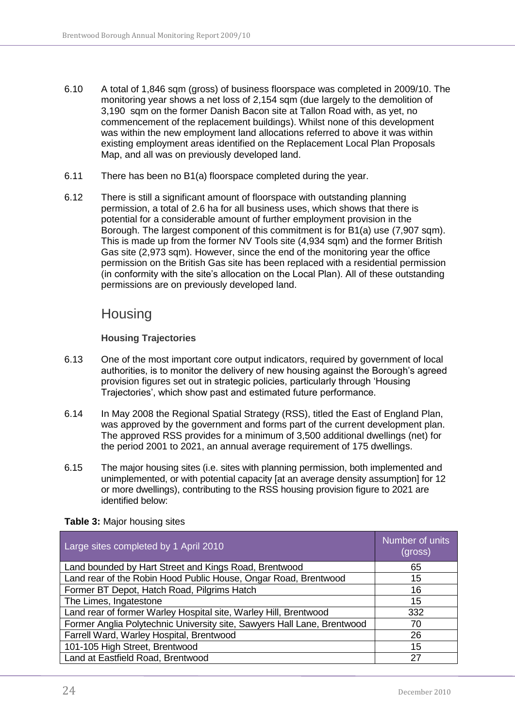- 6.10 A total of 1,846 sqm (gross) of business floorspace was completed in 2009/10. The monitoring year shows a net loss of 2,154 sqm (due largely to the demolition of 3,190 sqm on the former Danish Bacon site at Tallon Road with, as yet, no commencement of the replacement buildings). Whilst none of this development was within the new employment land allocations referred to above it was within existing employment areas identified on the Replacement Local Plan Proposals Map, and all was on previously developed land.
- 6.11 There has been no B1(a) floorspace completed during the year.
- 6.12 There is still a significant amount of floorspace with outstanding planning permission, a total of 2.6 ha for all business uses, which shows that there is potential for a considerable amount of further employment provision in the Borough. The largest component of this commitment is for B1(a) use (7,907 sqm). This is made up from the former NV Tools site (4,934 sqm) and the former British Gas site (2,973 sqm). However, since the end of the monitoring year the office permission on the British Gas site has been replaced with a residential permission (in conformity with the site"s allocation on the Local Plan). All of these outstanding permissions are on previously developed land.

### <span id="page-23-0"></span>**Housing**

#### **Housing Trajectories**

- <span id="page-23-1"></span>6.13 One of the most important core output indicators, required by government of local authorities, is to monitor the delivery of new housing against the Borough's agreed provision figures set out in strategic policies, particularly through "Housing Trajectories", which show past and estimated future performance.
- 6.14 In May 2008 the Regional Spatial Strategy (RSS), titled the East of England Plan, was approved by the government and forms part of the current development plan. The approved RSS provides for a minimum of 3,500 additional dwellings (net) for the period 2001 to 2021, an annual average requirement of 175 dwellings.
- 6.15 The major housing sites (i.e. sites with planning permission, both implemented and unimplemented, or with potential capacity [at an average density assumption] for 12 or more dwellings), contributing to the RSS housing provision figure to 2021 are identified below:

| Large sites completed by 1 April 2010                                   | Number of units<br>(gross) |
|-------------------------------------------------------------------------|----------------------------|
| Land bounded by Hart Street and Kings Road, Brentwood                   | 65                         |
| Land rear of the Robin Hood Public House, Ongar Road, Brentwood         | 15                         |
| Former BT Depot, Hatch Road, Pilgrims Hatch                             | 16                         |
| The Limes, Ingatestone                                                  | 15                         |
| Land rear of former Warley Hospital site, Warley Hill, Brentwood        | 332                        |
| Former Anglia Polytechnic University site, Sawyers Hall Lane, Brentwood | 70                         |
| Farrell Ward, Warley Hospital, Brentwood                                | 26                         |
| 101-105 High Street, Brentwood                                          | 15                         |
| Land at Eastfield Road, Brentwood                                       | 27                         |

#### <span id="page-23-2"></span>**Table 3:** Major housing sites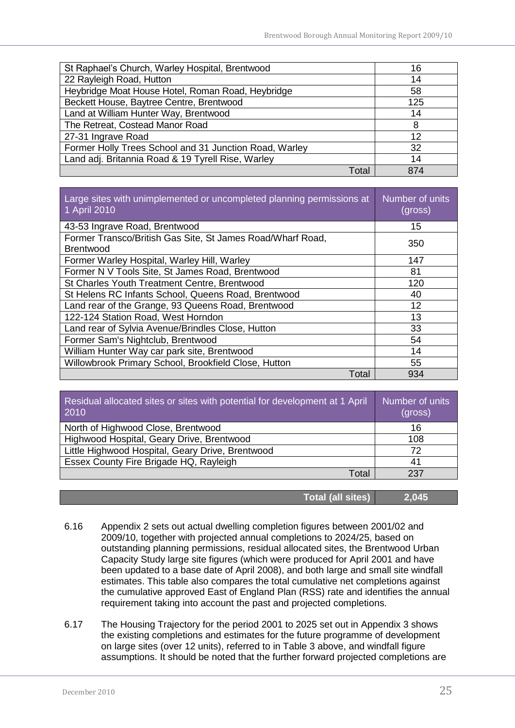| St Raphael's Church, Warley Hospital, Brentwood        | 16  |
|--------------------------------------------------------|-----|
| 22 Rayleigh Road, Hutton                               | 14  |
| Heybridge Moat House Hotel, Roman Road, Heybridge      | 58  |
| Beckett House, Baytree Centre, Brentwood               | 125 |
| Land at William Hunter Way, Brentwood                  | 14  |
| The Retreat, Costead Manor Road                        | 8   |
| 27-31 Ingrave Road                                     | 12  |
| Former Holly Trees School and 31 Junction Road, Warley | 32  |
| Land adj. Britannia Road & 19 Tyrell Rise, Warley      | 14  |
| Tota                                                   | 874 |

| Large sites with unimplemented or uncompleted planning permissions at<br>1 April 2010 | Number of units<br>(gross) |
|---------------------------------------------------------------------------------------|----------------------------|
| 43-53 Ingrave Road, Brentwood                                                         | 15                         |
| Former Transco/British Gas Site, St James Road/Wharf Road,<br><b>Brentwood</b>        | 350                        |
| Former Warley Hospital, Warley Hill, Warley                                           | 147                        |
| Former N V Tools Site, St James Road, Brentwood                                       | 81                         |
| St Charles Youth Treatment Centre, Brentwood                                          | 120                        |
| St Helens RC Infants School, Queens Road, Brentwood                                   | 40                         |
| Land rear of the Grange, 93 Queens Road, Brentwood                                    | 12                         |
| 122-124 Station Road, West Horndon                                                    | 13                         |
| Land rear of Sylvia Avenue/Brindles Close, Hutton                                     | 33                         |
| Former Sam's Nightclub, Brentwood                                                     | 54                         |
| William Hunter Way car park site, Brentwood                                           | 14                         |
| Willowbrook Primary School, Brookfield Close, Hutton                                  | 55                         |
| Total                                                                                 | 934                        |

| Residual allocated sites or sites with potential for development at 1 April<br>2010 | Number of units<br>(gross) |
|-------------------------------------------------------------------------------------|----------------------------|
| North of Highwood Close, Brentwood                                                  | 16                         |
| Highwood Hospital, Geary Drive, Brentwood                                           | 108                        |
| Little Highwood Hospital, Geary Drive, Brentwood                                    | 72                         |
| Essex County Fire Brigade HQ, Rayleigh                                              | 41                         |
| Total                                                                               | 237                        |

| Total (all sites)1 | 2,045 |
|--------------------|-------|
|--------------------|-------|

- 6.16 Appendix 2 sets out actual dwelling completion figures between 2001/02 and 2009/10, together with projected annual completions to 2024/25, based on outstanding planning permissions, residual allocated sites, the Brentwood Urban Capacity Study large site figures (which were produced for April 2001 and have been updated to a base date of April 2008), and both large and small site windfall estimates. This table also compares the total cumulative net completions against the cumulative approved East of England Plan (RSS) rate and identifies the annual requirement taking into account the past and projected completions.
- 6.17 The Housing Trajectory for the period 2001 to 2025 set out in Appendix 3 shows the existing completions and estimates for the future programme of development on large sites (over 12 units), referred to in Table 3 above, and windfall figure assumptions. It should be noted that the further forward projected completions are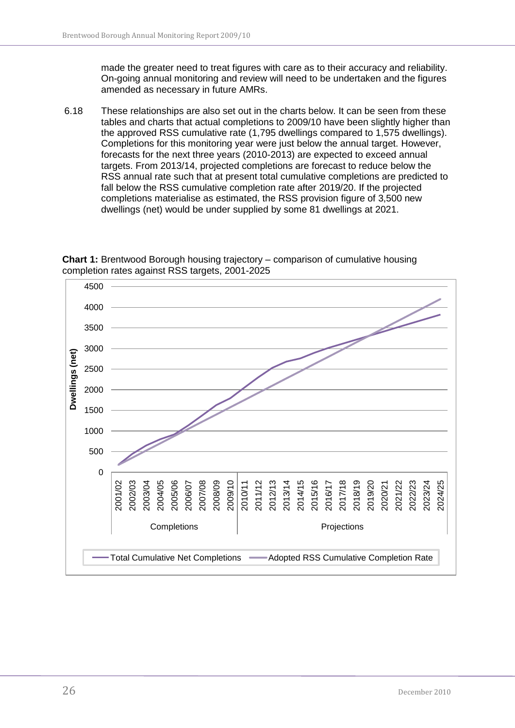made the greater need to treat figures with care as to their accuracy and reliability. On-going annual monitoring and review will need to be undertaken and the figures amended as necessary in future AMRs.

6.18 These relationships are also set out in the charts below. It can be seen from these tables and charts that actual completions to 2009/10 have been slightly higher than the approved RSS cumulative rate (1,795 dwellings compared to 1,575 dwellings). Completions for this monitoring year were just below the annual target. However, forecasts for the next three years (2010-2013) are expected to exceed annual targets. From 2013/14, projected completions are forecast to reduce below the RSS annual rate such that at present total cumulative completions are predicted to fall below the RSS cumulative completion rate after 2019/20. If the projected completions materialise as estimated, the RSS provision figure of 3,500 new dwellings (net) would be under supplied by some 81 dwellings at 2021.



<span id="page-25-0"></span>**Chart 1:** Brentwood Borough housing trajectory – comparison of cumulative housing completion rates against RSS targets, 2001-2025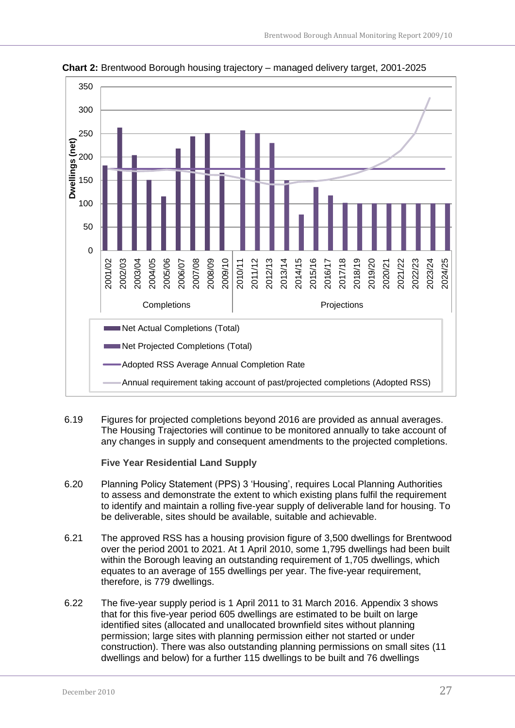

<span id="page-26-1"></span>**Chart 2:** Brentwood Borough housing trajectory – managed delivery target, 2001-2025

6.19 Figures for projected completions beyond 2016 are provided as annual averages. The Housing Trajectories will continue to be monitored annually to take account of any changes in supply and consequent amendments to the projected completions.

**Five Year Residential Land Supply**

- <span id="page-26-0"></span>6.20 Planning Policy Statement (PPS) 3 "Housing", requires Local Planning Authorities to assess and demonstrate the extent to which existing plans fulfil the requirement to identify and maintain a rolling five-year supply of deliverable land for housing. To be deliverable, sites should be available, suitable and achievable.
- 6.21 The approved RSS has a housing provision figure of 3,500 dwellings for Brentwood over the period 2001 to 2021. At 1 April 2010, some 1,795 dwellings had been built within the Borough leaving an outstanding requirement of 1,705 dwellings, which equates to an average of 155 dwellings per year. The five-year requirement, therefore, is 779 dwellings.
- 6.22 The five-year supply period is 1 April 2011 to 31 March 2016. Appendix 3 shows that for this five-year period 605 dwellings are estimated to be built on large identified sites (allocated and unallocated brownfield sites without planning permission; large sites with planning permission either not started or under construction). There was also outstanding planning permissions on small sites (11 dwellings and below) for a further 115 dwellings to be built and 76 dwellings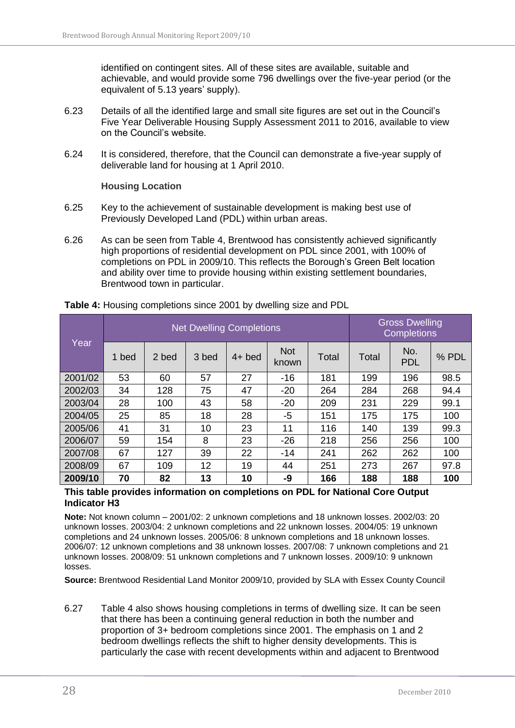identified on contingent sites. All of these sites are available, suitable and achievable, and would provide some 796 dwellings over the five-year period (or the equivalent of 5.13 years' supply).

- 6.23 Details of all the identified large and small site figures are set out in the Council"s Five Year Deliverable Housing Supply Assessment 2011 to 2016, available to view on the Council"s website.
- 6.24 It is considered, therefore, that the Council can demonstrate a five-year supply of deliverable land for housing at 1 April 2010.

**Housing Location**

- <span id="page-27-0"></span>6.25 Key to the achievement of sustainable development is making best use of Previously Developed Land (PDL) within urban areas.
- 6.26 As can be seen from Table 4, Brentwood has consistently achieved significantly high proportions of residential development on PDL since 2001, with 100% of completions on PDL in 2009/10. This reflects the Borough"s Green Belt location and ability over time to provide housing within existing settlement boundaries, Brentwood town in particular.

| Year    |       | <b>Net Dwelling Completions</b> |       |          |                     |       |       | <b>Gross Dwelling</b><br><b>Completions</b> |       |  |
|---------|-------|---------------------------------|-------|----------|---------------------|-------|-------|---------------------------------------------|-------|--|
|         | 1 bed | 2 bed                           | 3 bed | $4+$ bed | <b>Not</b><br>known | Total | Total | No.<br><b>PDL</b>                           | % PDL |  |
| 2001/02 | 53    | 60                              | 57    | 27       | $-16$               | 181   | 199   | 196                                         | 98.5  |  |
| 2002/03 | 34    | 128                             | 75    | 47       | $-20$               | 264   | 284   | 268                                         | 94.4  |  |
| 2003/04 | 28    | 100                             | 43    | 58       | $-20$               | 209   | 231   | 229                                         | 99.1  |  |
| 2004/05 | 25    | 85                              | 18    | 28       | $-5$                | 151   | 175   | 175                                         | 100   |  |
| 2005/06 | 41    | 31                              | 10    | 23       | 11                  | 116   | 140   | 139                                         | 99.3  |  |
| 2006/07 | 59    | 154                             | 8     | 23       | $-26$               | 218   | 256   | 256                                         | 100   |  |
| 2007/08 | 67    | 127                             | 39    | 22       | $-14$               | 241   | 262   | 262                                         | 100   |  |
| 2008/09 | 67    | 109                             | 12    | 19       | 44                  | 251   | 273   | 267                                         | 97.8  |  |
| 2009/10 | 70    | 82                              | 13    | 10       | -9                  | 166   | 188   | 188                                         | 100   |  |

<span id="page-27-1"></span>**Table 4:** Housing completions since 2001 by dwelling size and PDL

#### **This table provides information on completions on PDL for National Core Output Indicator H3**

**Note:** Not known column – 2001/02: 2 unknown completions and 18 unknown losses. 2002/03: 20 unknown losses. 2003/04: 2 unknown completions and 22 unknown losses. 2004/05: 19 unknown completions and 24 unknown losses. 2005/06: 8 unknown completions and 18 unknown losses. 2006/07: 12 unknown completions and 38 unknown losses. 2007/08: 7 unknown completions and 21 unknown losses. 2008/09: 51 unknown completions and 7 unknown losses. 2009/10: 9 unknown losses.

**Source:** Brentwood Residential Land Monitor 2009/10, provided by SLA with Essex County Council

6.27 Table 4 also shows housing completions in terms of dwelling size. It can be seen that there has been a continuing general reduction in both the number and proportion of 3+ bedroom completions since 2001. The emphasis on 1 and 2 bedroom dwellings reflects the shift to higher density developments. This is particularly the case with recent developments within and adjacent to Brentwood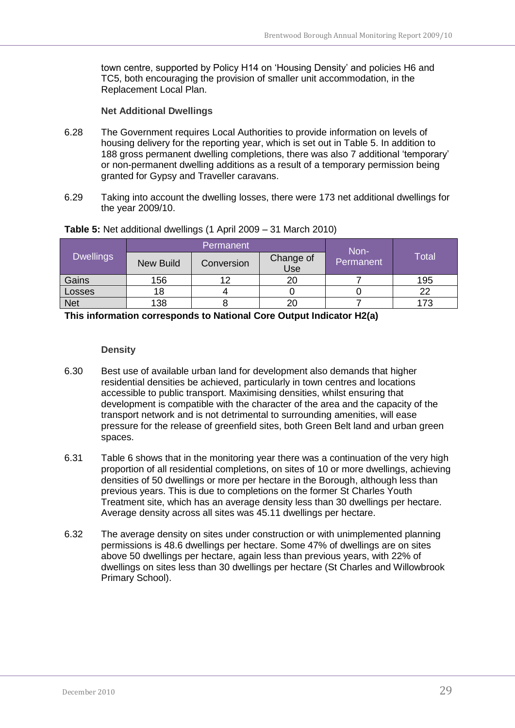town centre, supported by Policy H14 on "Housing Density" and policies H6 and TC5, both encouraging the provision of smaller unit accommodation, in the Replacement Local Plan.

#### **Net Additional Dwellings**

- <span id="page-28-0"></span>6.28 The Government requires Local Authorities to provide information on levels of housing delivery for the reporting year, which is set out in Table 5. In addition to 188 gross permanent dwelling completions, there was also 7 additional "temporary" or non-permanent dwelling additions as a result of a temporary permission being granted for Gypsy and Traveller caravans.
- 6.29 Taking into account the dwelling losses, there were 173 net additional dwellings for the year 2009/10.

|                  |                  | Permanent  | Non-             |           |       |
|------------------|------------------|------------|------------------|-----------|-------|
| <b>Dwellings</b> | <b>New Build</b> | Conversion | Change of<br>Use | Permanent | Total |
| Gains            | 156              |            | 20               |           | 195   |
| <b>Losses</b>    | 18               |            |                  |           | 22    |
| <b>Net</b>       | 138              |            | 20               |           | 173   |

#### <span id="page-28-2"></span>**Table 5:** Net additional dwellings (1 April 2009 – 31 March 2010)

**This information corresponds to National Core Output Indicator H2(a)**

#### **Density**

- <span id="page-28-1"></span>6.30 Best use of available urban land for development also demands that higher residential densities be achieved, particularly in town centres and locations accessible to public transport. Maximising densities, whilst ensuring that development is compatible with the character of the area and the capacity of the transport network and is not detrimental to surrounding amenities, will ease pressure for the release of greenfield sites, both Green Belt land and urban green spaces.
- 6.31 Table 6 shows that in the monitoring year there was a continuation of the very high proportion of all residential completions, on sites of 10 or more dwellings, achieving densities of 50 dwellings or more per hectare in the Borough, although less than previous years. This is due to completions on the former St Charles Youth Treatment site, which has an average density less than 30 dwellings per hectare. Average density across all sites was 45.11 dwellings per hectare.
- 6.32 The average density on sites under construction or with unimplemented planning permissions is 48.6 dwellings per hectare. Some 47% of dwellings are on sites above 50 dwellings per hectare, again less than previous years, with 22% of dwellings on sites less than 30 dwellings per hectare (St Charles and Willowbrook Primary School).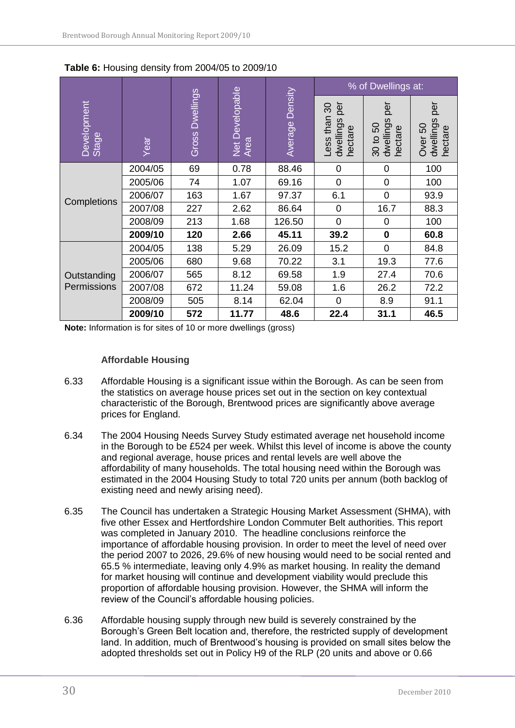|                                                                                      |         |     |                    | % of Dwellings at:                                   |                                                        |                                        |      |
|--------------------------------------------------------------------------------------|---------|-----|--------------------|------------------------------------------------------|--------------------------------------------------------|----------------------------------------|------|
| Net Developable<br>Area<br><b>Dwellings</b><br>Development<br>Gross<br>Stage<br>Year |         |     | Density<br>Average | per<br>$\infty$<br>-ess than<br>dwellings<br>hectare | per<br>dwellings<br>င္တ<br>hectare<br>30 <sub>to</sub> | per<br>dwellings<br>hectare<br>Over 50 |      |
|                                                                                      | 2004/05 | 69  | 0.78               | 88.46                                                | 0                                                      | 0                                      | 100  |
|                                                                                      | 2005/06 | 74  | 1.07               | 69.16                                                | $\mathbf 0$                                            | 0                                      | 100  |
|                                                                                      | 2006/07 | 163 | 1.67               | 97.37                                                | 6.1                                                    | $\overline{0}$                         | 93.9 |
| Completions                                                                          | 2007/08 | 227 | 2.62               | 86.64                                                | 0                                                      | 16.7                                   | 88.3 |
|                                                                                      | 2008/09 | 213 | 1.68               | 126.50                                               | $\overline{0}$                                         | 0                                      | 100  |
|                                                                                      | 2009/10 | 120 | 2.66               | 45.11                                                | 39.2                                                   | $\bf{0}$                               | 60.8 |
|                                                                                      | 2004/05 | 138 | 5.29               | 26.09                                                | 15.2                                                   | $\overline{0}$                         | 84.8 |
|                                                                                      | 2005/06 | 680 | 9.68               | 70.22                                                | 3.1                                                    | 19.3                                   | 77.6 |
| Outstanding<br>Permissions                                                           | 2006/07 | 565 | 8.12               | 69.58                                                | 1.9                                                    | 27.4                                   | 70.6 |
|                                                                                      | 2007/08 | 672 | 11.24              | 59.08                                                | 1.6                                                    | 26.2                                   | 72.2 |
|                                                                                      | 2008/09 | 505 | 8.14               | 62.04                                                | $\overline{0}$                                         | 8.9                                    | 91.1 |
|                                                                                      | 2009/10 | 572 | 11.77              | 48.6                                                 | 22.4                                                   | 31.1                                   | 46.5 |

<span id="page-29-1"></span>**Table 6:** Housing density from 2004/05 to 2009/10

**Note:** Information is for sites of 10 or more dwellings (gross)

#### **Affordable Housing**

- <span id="page-29-0"></span>6.33 Affordable Housing is a significant issue within the Borough. As can be seen from the statistics on average house prices set out in the section on key contextual characteristic of the Borough, Brentwood prices are significantly above average prices for England.
- 6.34 The 2004 Housing Needs Survey Study estimated average net household income in the Borough to be £524 per week. Whilst this level of income is above the county and regional average, house prices and rental levels are well above the affordability of many households. The total housing need within the Borough was estimated in the 2004 Housing Study to total 720 units per annum (both backlog of existing need and newly arising need).
- 6.35 The Council has undertaken a Strategic Housing Market Assessment (SHMA), with five other Essex and Hertfordshire London Commuter Belt authorities. This report was completed in January 2010. The headline conclusions reinforce the importance of affordable housing provision. In order to meet the level of need over the period 2007 to 2026, 29.6% of new housing would need to be social rented and 65.5 % intermediate, leaving only 4.9% as market housing. In reality the demand for market housing will continue and development viability would preclude this proportion of affordable housing provision. However, the SHMA will inform the review of the Council"s affordable housing policies.
- 6.36 Affordable housing supply through new build is severely constrained by the Borough"s Green Belt location and, therefore, the restricted supply of development land. In addition, much of Brentwood"s housing is provided on small sites below the adopted thresholds set out in Policy H9 of the RLP (20 units and above or 0.66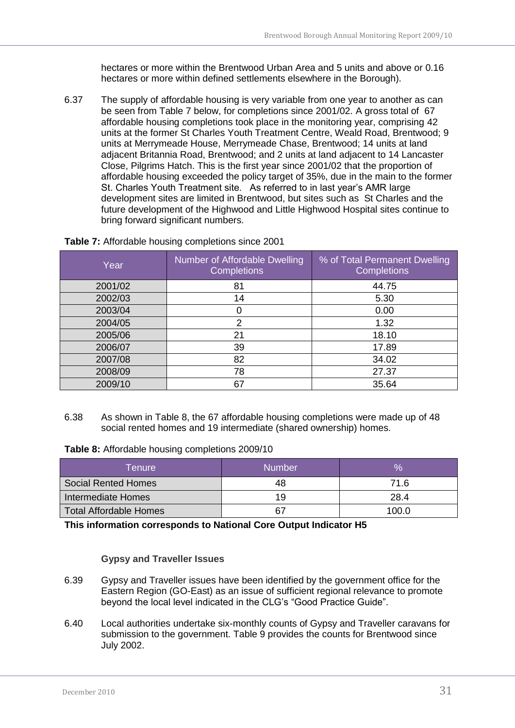hectares or more within the Brentwood Urban Area and 5 units and above or 0.16 hectares or more within defined settlements elsewhere in the Borough).

6.37 The supply of affordable housing is very variable from one year to another as can be seen from Table 7 below, for completions since 2001/02. A gross total of 67 affordable housing completions took place in the monitoring year, comprising 42 units at the former St Charles Youth Treatment Centre, Weald Road, Brentwood; 9 units at Merrymeade House, Merrymeade Chase, Brentwood; 14 units at land adjacent Britannia Road, Brentwood; and 2 units at land adjacent to 14 Lancaster Close, Pilgrims Hatch. This is the first year since 2001/02 that the proportion of affordable housing exceeded the policy target of 35%, due in the main to the former St. Charles Youth Treatment site. As referred to in last year"s AMR large development sites are limited in Brentwood, but sites such as St Charles and the future development of the Highwood and Little Highwood Hospital sites continue to bring forward significant numbers.

| Year    | Number of Affordable Dwelling<br><b>Completions</b> | % of Total Permanent Dwelling<br><b>Completions</b> |
|---------|-----------------------------------------------------|-----------------------------------------------------|
| 2001/02 | 81                                                  | 44.75                                               |
| 2002/03 | 14                                                  | 5.30                                                |
| 2003/04 | 0                                                   | 0.00                                                |
| 2004/05 | 2                                                   | 1.32                                                |
| 2005/06 | 21                                                  | 18.10                                               |
| 2006/07 | 39                                                  | 17.89                                               |
| 2007/08 | 82                                                  | 34.02                                               |
| 2008/09 | 78                                                  | 27.37                                               |
| 2009/10 | 67                                                  | 35.64                                               |

#### <span id="page-30-1"></span>**Table 7:** Affordable housing completions since 2001

6.38 As shown in Table 8, the 67 affordable housing completions were made up of 48 social rented homes and 19 intermediate (shared ownership) homes.

<span id="page-30-2"></span>**Table 8:** Affordable housing completions 2009/10

| Tenure                        | <b>Number</b> |       |
|-------------------------------|---------------|-------|
| <b>Social Rented Homes</b>    |               | 71 6  |
| Intermediate Homes            | 19            | 28.4  |
| <b>Total Affordable Homes</b> |               | 100.0 |

**This information corresponds to National Core Output Indicator H5**

#### **Gypsy and Traveller Issues**

- <span id="page-30-0"></span>6.39 Gypsy and Traveller issues have been identified by the government office for the Eastern Region (GO-East) as an issue of sufficient regional relevance to promote beyond the local level indicated in the CLG"s "Good Practice Guide".
- 6.40 Local authorities undertake six-monthly counts of Gypsy and Traveller caravans for submission to the government. Table 9 provides the counts for Brentwood since July 2002.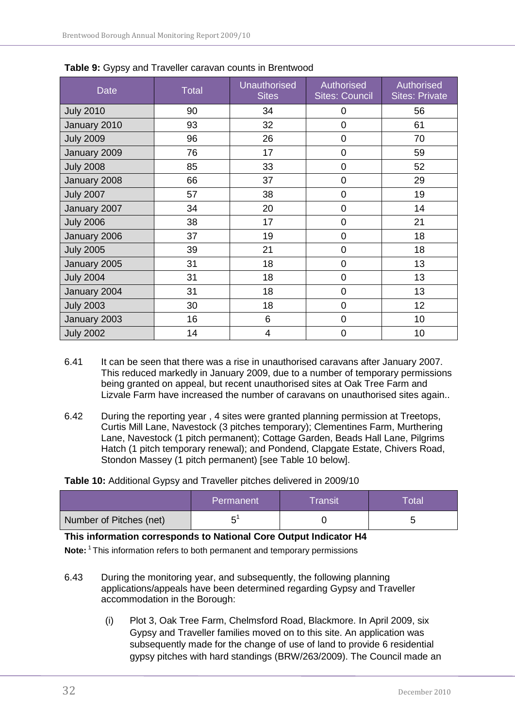| <b>Date</b>      | <b>Total</b> | <b>Unauthorised</b><br><b>Sites</b> | Authorised<br><b>Sites: Council</b> | Authorised<br><b>Sites: Private</b> |
|------------------|--------------|-------------------------------------|-------------------------------------|-------------------------------------|
| <b>July 2010</b> | 90           | 34                                  | 0                                   | 56                                  |
| January 2010     | 93           | 32                                  | $\overline{0}$                      | 61                                  |
| <b>July 2009</b> | 96           | 26                                  | 0                                   | 70                                  |
| January 2009     | 76           | 17                                  | $\overline{0}$                      | 59                                  |
| <b>July 2008</b> | 85           | 33                                  | 0                                   | 52                                  |
| January 2008     | 66           | 37                                  | $\overline{0}$                      | 29                                  |
| <b>July 2007</b> | 57           | 38                                  | 0                                   | 19                                  |
| January 2007     | 34           | 20                                  | 0                                   | 14                                  |
| <b>July 2006</b> | 38           | 17                                  | 0                                   | 21                                  |
| January 2006     | 37           | 19                                  | 0                                   | 18                                  |
| <b>July 2005</b> | 39           | 21                                  | 0                                   | 18                                  |
| January 2005     | 31           | 18                                  | 0                                   | 13                                  |
| <b>July 2004</b> | 31           | 18                                  | $\overline{0}$                      | 13                                  |
| January 2004     | 31           | 18                                  | 0                                   | 13                                  |
| <b>July 2003</b> | 30           | 18                                  | $\overline{0}$                      | 12                                  |
| January 2003     | 16           | 6                                   | $\overline{0}$                      | 10                                  |
| <b>July 2002</b> | 14           | 4                                   | 0                                   | 10                                  |

<span id="page-31-0"></span>

- 6.41 It can be seen that there was a rise in unauthorised caravans after January 2007. This reduced markedly in January 2009, due to a number of temporary permissions being granted on appeal, but recent unauthorised sites at Oak Tree Farm and Lizvale Farm have increased the number of caravans on unauthorised sites again..
- 6.42 During the reporting year , 4 sites were granted planning permission at Treetops, Curtis Mill Lane, Navestock (3 pitches temporary); Clementines Farm, Murthering Lane, Navestock (1 pitch permanent); Cottage Garden, Beads Hall Lane, Pilgrims Hatch (1 pitch temporary renewal); and Pondend, Clapgate Estate, Chivers Road, Stondon Massey (1 pitch permanent) [see Table 10 below].

<span id="page-31-1"></span>**Table 10:** Additional Gypsy and Traveller pitches delivered in 2009/10

|                         | Permanent | <b>Transit</b> | <b>Total</b> |
|-------------------------|-----------|----------------|--------------|
| Number of Pitches (net) | ┍         |                |              |

#### **This information corresponds to National Core Output Indicator H4**

**Note:** <sup>1</sup>This information refers to both permanent and temporary permissions

- 6.43 During the monitoring year, and subsequently, the following planning applications/appeals have been determined regarding Gypsy and Traveller accommodation in the Borough:
	- (i) Plot 3, Oak Tree Farm, Chelmsford Road, Blackmore. In April 2009, six Gypsy and Traveller families moved on to this site. An application was subsequently made for the change of use of land to provide 6 residential gypsy pitches with hard standings (BRW/263/2009). The Council made an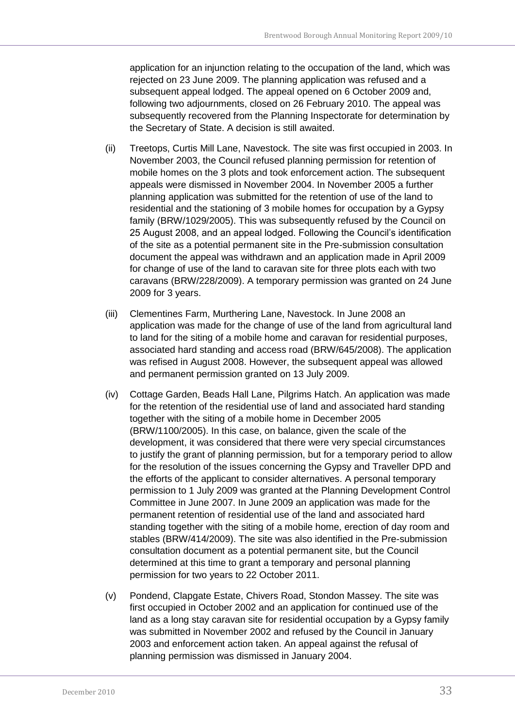application for an injunction relating to the occupation of the land, which was rejected on 23 June 2009. The planning application was refused and a subsequent appeal lodged. The appeal opened on 6 October 2009 and, following two adjournments, closed on 26 February 2010. The appeal was subsequently recovered from the Planning Inspectorate for determination by the Secretary of State. A decision is still awaited.

- (ii) Treetops, Curtis Mill Lane, Navestock. The site was first occupied in 2003. In November 2003, the Council refused planning permission for retention of mobile homes on the 3 plots and took enforcement action. The subsequent appeals were dismissed in November 2004. In November 2005 a further planning application was submitted for the retention of use of the land to residential and the stationing of 3 mobile homes for occupation by a Gypsy family (BRW/1029/2005). This was subsequently refused by the Council on 25 August 2008, and an appeal lodged. Following the Council"s identification of the site as a potential permanent site in the Pre-submission consultation document the appeal was withdrawn and an application made in April 2009 for change of use of the land to caravan site for three plots each with two caravans (BRW/228/2009). A temporary permission was granted on 24 June 2009 for 3 years.
- (iii) Clementines Farm, Murthering Lane, Navestock. In June 2008 an application was made for the change of use of the land from agricultural land to land for the siting of a mobile home and caravan for residential purposes, associated hard standing and access road (BRW/645/2008). The application was refised in August 2008. However, the subsequent appeal was allowed and permanent permission granted on 13 July 2009.
- (iv) Cottage Garden, Beads Hall Lane, Pilgrims Hatch. An application was made for the retention of the residential use of land and associated hard standing together with the siting of a mobile home in December 2005 (BRW/1100/2005). In this case, on balance, given the scale of the development, it was considered that there were very special circumstances to justify the grant of planning permission, but for a temporary period to allow for the resolution of the issues concerning the Gypsy and Traveller DPD and the efforts of the applicant to consider alternatives. A personal temporary permission to 1 July 2009 was granted at the Planning Development Control Committee in June 2007. In June 2009 an application was made for the permanent retention of residential use of the land and associated hard standing together with the siting of a mobile home, erection of day room and stables (BRW/414/2009). The site was also identified in the Pre-submission consultation document as a potential permanent site, but the Council determined at this time to grant a temporary and personal planning permission for two years to 22 October 2011.
- (v) Pondend, Clapgate Estate, Chivers Road, Stondon Massey. The site was first occupied in October 2002 and an application for continued use of the land as a long stay caravan site for residential occupation by a Gypsy family was submitted in November 2002 and refused by the Council in January 2003 and enforcement action taken. An appeal against the refusal of planning permission was dismissed in January 2004.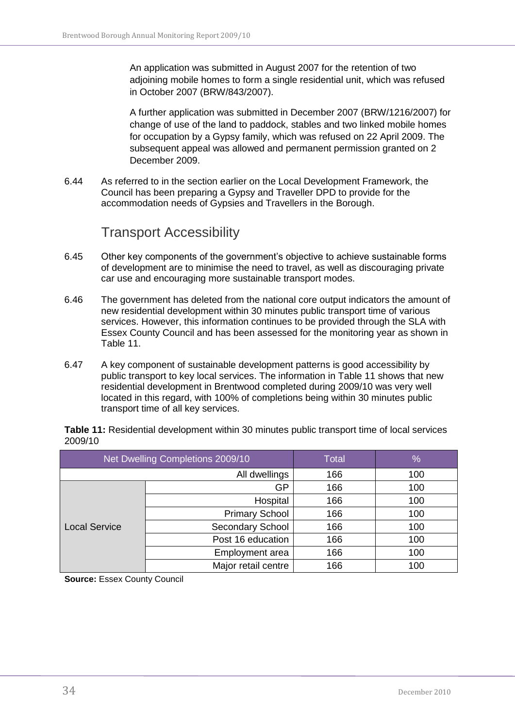An application was submitted in August 2007 for the retention of two adjoining mobile homes to form a single residential unit, which was refused in October 2007 (BRW/843/2007).

A further application was submitted in December 2007 (BRW/1216/2007) for change of use of the land to paddock, stables and two linked mobile homes for occupation by a Gypsy family, which was refused on 22 April 2009. The subsequent appeal was allowed and permanent permission granted on 2 December 2009.

6.44 As referred to in the section earlier on the Local Development Framework, the Council has been preparing a Gypsy and Traveller DPD to provide for the accommodation needs of Gypsies and Travellers in the Borough.

### Transport Accessibility

- <span id="page-33-0"></span>6.45 Other key components of the government"s objective to achieve sustainable forms of development are to minimise the need to travel, as well as discouraging private car use and encouraging more sustainable transport modes.
- 6.46 The government has deleted from the national core output indicators the amount of new residential development within 30 minutes public transport time of various services. However, this information continues to be provided through the SLA with Essex County Council and has been assessed for the monitoring year as shown in Table 11.
- 6.47 A key component of sustainable development patterns is good accessibility by public transport to key local services. The information in Table 11 shows that new residential development in Brentwood completed during 2009/10 was very well located in this regard, with 100% of completions being within 30 minutes public transport time of all key services.

|                      | Net Dwelling Completions 2009/10 | <b>Total</b> | %   |
|----------------------|----------------------------------|--------------|-----|
|                      | All dwellings                    | 166          | 100 |
| <b>Local Service</b> | GP                               | 166          | 100 |
|                      | Hospital                         | 166          | 100 |
|                      | <b>Primary School</b>            | 166          | 100 |
|                      | Secondary School                 | 166          | 100 |
|                      | Post 16 education                | 166          | 100 |
|                      | Employment area                  | 166          | 100 |
|                      | Major retail centre              | 166          | 100 |

<span id="page-33-1"></span>**Table 11:** Residential development within 30 minutes public transport time of local services 2009/10

**Source:** Essex County Council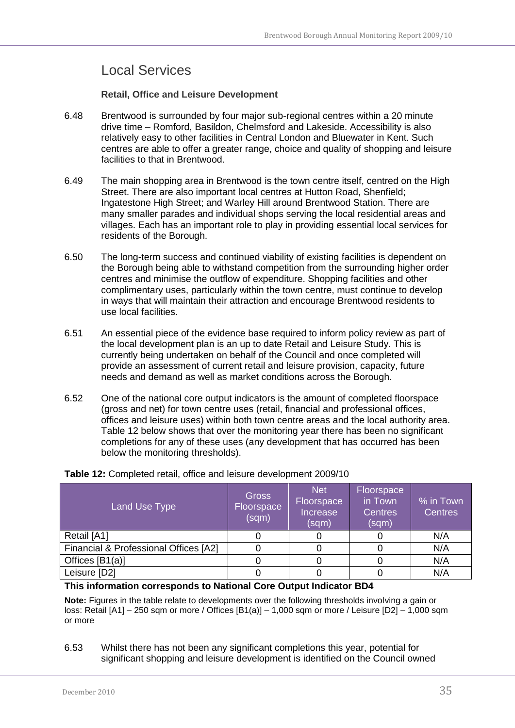### <span id="page-34-0"></span>Local Services

**Retail, Office and Leisure Development**

- <span id="page-34-1"></span>6.48 Brentwood is surrounded by four major sub-regional centres within a 20 minute drive time – Romford, Basildon, Chelmsford and Lakeside. Accessibility is also relatively easy to other facilities in Central London and Bluewater in Kent. Such centres are able to offer a greater range, choice and quality of shopping and leisure facilities to that in Brentwood.
- 6.49 The main shopping area in Brentwood is the town centre itself, centred on the High Street. There are also important local centres at Hutton Road, Shenfield; Ingatestone High Street; and Warley Hill around Brentwood Station. There are many smaller parades and individual shops serving the local residential areas and villages. Each has an important role to play in providing essential local services for residents of the Borough.
- 6.50 The long-term success and continued viability of existing facilities is dependent on the Borough being able to withstand competition from the surrounding higher order centres and minimise the outflow of expenditure. Shopping facilities and other complimentary uses, particularly within the town centre, must continue to develop in ways that will maintain their attraction and encourage Brentwood residents to use local facilities.
- 6.51 An essential piece of the evidence base required to inform policy review as part of the local development plan is an up to date Retail and Leisure Study. This is currently being undertaken on behalf of the Council and once completed will provide an assessment of current retail and leisure provision, capacity, future needs and demand as well as market conditions across the Borough.
- 6.52 One of the national core output indicators is the amount of completed floorspace (gross and net) for town centre uses (retail, financial and professional offices, offices and leisure uses) within both town centre areas and the local authority area. Table 12 below shows that over the monitoring year there has been no significant completions for any of these uses (any development that has occurred has been below the monitoring thresholds).

| Land Use Type                         | <b>Gross</b><br>Floorspace<br>(sqm) | Net<br>Floorspace<br>Increase<br>(sqm) | Floorspace<br>in Town<br><b>Centres</b><br>(sqm) | $\overline{\ }$ % in Town<br><b>Centres</b> |
|---------------------------------------|-------------------------------------|----------------------------------------|--------------------------------------------------|---------------------------------------------|
| Retail [A1]                           |                                     |                                        |                                                  | N/A                                         |
| Financial & Professional Offices [A2] |                                     |                                        |                                                  | N/A                                         |
| Offices [B1(a)]                       |                                     |                                        |                                                  | N/A                                         |
| Leisure [D2]                          |                                     |                                        |                                                  | N/A                                         |

<span id="page-34-2"></span>**Table 12:** Completed retail, office and leisure development 2009/10

#### **This information corresponds to National Core Output Indicator BD4**

**Note:** Figures in the table relate to developments over the following thresholds involving a gain or loss: Retail [A1] – 250 sqm or more / Offices [B1(a)] – 1,000 sqm or more / Leisure [D2] – 1,000 sqm or more

6.53 Whilst there has not been any significant completions this year, potential for significant shopping and leisure development is identified on the Council owned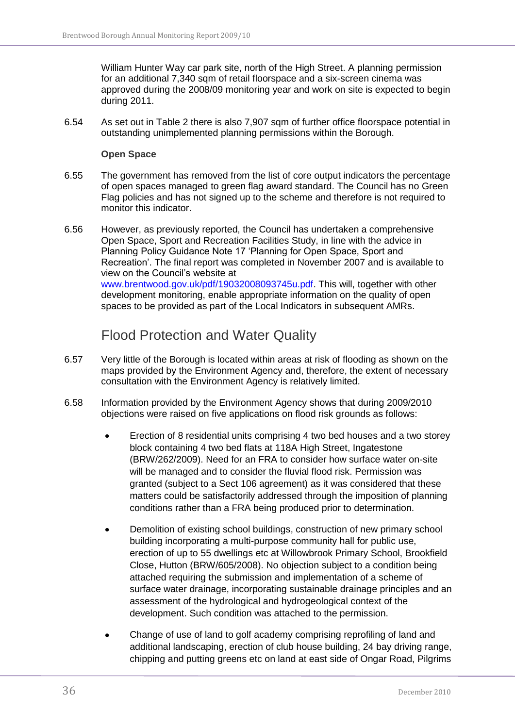William Hunter Way car park site, north of the High Street. A planning permission for an additional 7,340 sqm of retail floorspace and a six-screen cinema was approved during the 2008/09 monitoring year and work on site is expected to begin during 2011.

6.54 As set out in Table 2 there is also 7,907 sqm of further office floorspace potential in outstanding unimplemented planning permissions within the Borough.

#### **Open Space**

- <span id="page-35-0"></span>6.55 The government has removed from the list of core output indicators the percentage of open spaces managed to green flag award standard. The Council has no Green Flag policies and has not signed up to the scheme and therefore is not required to monitor this indicator.
- 6.56 However, as previously reported, the Council has undertaken a comprehensive Open Space, Sport and Recreation Facilities Study, in line with the advice in Planning Policy Guidance Note 17 "Planning for Open Space, Sport and Recreation'. The final report was completed in November 2007 and is available to view on the Council"s website at [www.brentwood.gov.uk/pdf/19032008093745u.pdf.](http://www.brentwood.gov.uk/pdf/19032008093745u.pdf) This will, together with other development monitoring, enable appropriate information on the quality of open spaces to be provided as part of the Local Indicators in subsequent AMRs.

### Flood Protection and Water Quality

- <span id="page-35-1"></span>6.57 Very little of the Borough is located within areas at risk of flooding as shown on the maps provided by the Environment Agency and, therefore, the extent of necessary consultation with the Environment Agency is relatively limited.
- 6.58 Information provided by the Environment Agency shows that during 2009/2010 objections were raised on five applications on flood risk grounds as follows:
	- Erection of 8 residential units comprising 4 two bed houses and a two storey block containing 4 two bed flats at 118A High Street, Ingatestone (BRW/262/2009). Need for an FRA to consider how surface water on-site will be managed and to consider the fluvial flood risk. Permission was granted (subject to a Sect 106 agreement) as it was considered that these matters could be satisfactorily addressed through the imposition of planning conditions rather than a FRA being produced prior to determination.
	- Demolition of existing school buildings, construction of new primary school  $\bullet$ building incorporating a multi-purpose community hall for public use, erection of up to 55 dwellings etc at Willowbrook Primary School, Brookfield Close, Hutton (BRW/605/2008). No objection subject to a condition being attached requiring the submission and implementation of a scheme of surface water drainage, incorporating sustainable drainage principles and an assessment of the hydrological and hydrogeological context of the development. Such condition was attached to the permission.
	- Change of use of land to golf academy comprising reprofiling of land and  $\bullet$ additional landscaping, erection of club house building, 24 bay driving range, chipping and putting greens etc on land at east side of Ongar Road, Pilgrims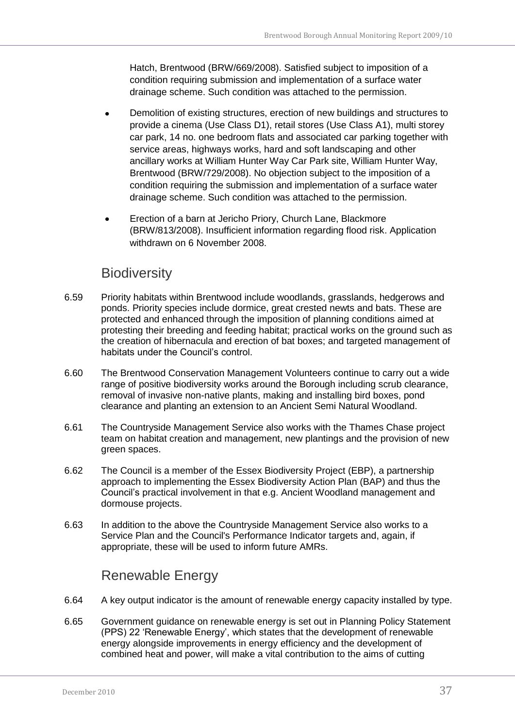Hatch, Brentwood (BRW/669/2008). Satisfied subject to imposition of a condition requiring submission and implementation of a surface water drainage scheme. Such condition was attached to the permission.

- Demolition of existing structures, erection of new buildings and structures to  $\bullet$ provide a cinema (Use Class D1), retail stores (Use Class A1), multi storey car park, 14 no. one bedroom flats and associated car parking together with service areas, highways works, hard and soft landscaping and other ancillary works at William Hunter Way Car Park site, William Hunter Way, Brentwood (BRW/729/2008). No objection subject to the imposition of a condition requiring the submission and implementation of a surface water drainage scheme. Such condition was attached to the permission.
- Erection of a barn at Jericho Priory, Church Lane, Blackmore  $\bullet$ (BRW/813/2008). Insufficient information regarding flood risk. Application withdrawn on 6 November 2008.

### **Biodiversity**

- <span id="page-36-0"></span>6.59 Priority habitats within Brentwood include woodlands, grasslands, hedgerows and ponds. Priority species include dormice, great crested newts and bats. These are protected and enhanced through the imposition of planning conditions aimed at protesting their breeding and feeding habitat; practical works on the ground such as the creation of hibernacula and erection of bat boxes; and targeted management of habitats under the Council"s control.
- 6.60 The Brentwood Conservation Management Volunteers continue to carry out a wide range of positive biodiversity works around the Borough including scrub clearance, removal of invasive non-native plants, making and installing bird boxes, pond clearance and planting an extension to an Ancient Semi Natural Woodland.
- 6.61 The Countryside Management Service also works with the Thames Chase project team on habitat creation and management, new plantings and the provision of new green spaces.
- 6.62 The Council is a member of the Essex Biodiversity Project (EBP), a partnership approach to implementing the Essex Biodiversity Action Plan (BAP) and thus the Council"s practical involvement in that e.g. Ancient Woodland management and dormouse projects.
- 6.63 In addition to the above the Countryside Management Service also works to a Service Plan and the Council's Performance Indicator targets and, again, if appropriate, these will be used to inform future AMRs.

### Renewable Energy

- <span id="page-36-1"></span>6.64 A key output indicator is the amount of renewable energy capacity installed by type.
- 6.65 Government guidance on renewable energy is set out in Planning Policy Statement (PPS) 22 "Renewable Energy", which states that the development of renewable energy alongside improvements in energy efficiency and the development of combined heat and power, will make a vital contribution to the aims of cutting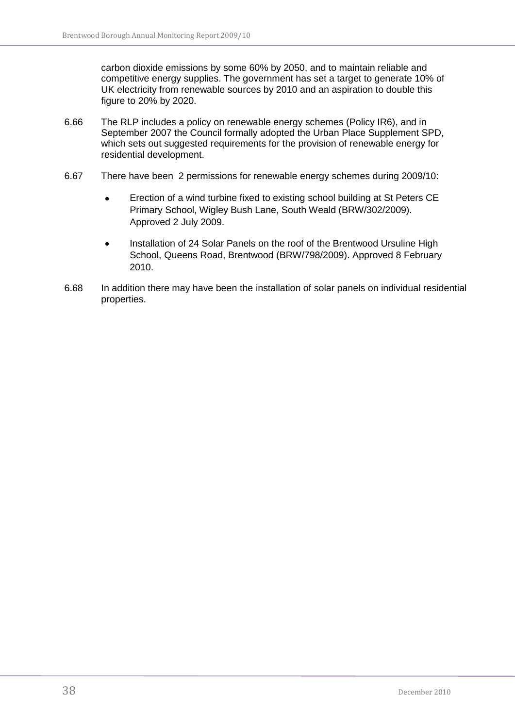carbon dioxide emissions by some 60% by 2050, and to maintain reliable and competitive energy supplies. The government has set a target to generate 10% of UK electricity from renewable sources by 2010 and an aspiration to double this figure to 20% by 2020.

- 6.66 The RLP includes a policy on renewable energy schemes (Policy IR6), and in September 2007 the Council formally adopted the Urban Place Supplement SPD, which sets out suggested requirements for the provision of renewable energy for residential development.
- 6.67 There have been 2 permissions for renewable energy schemes during 2009/10:
	- Erection of a wind turbine fixed to existing school building at St Peters CE  $\bullet$ Primary School, Wigley Bush Lane, South Weald (BRW/302/2009). Approved 2 July 2009.
	- Installation of 24 Solar Panels on the roof of the Brentwood Ursuline High School, Queens Road, Brentwood (BRW/798/2009). Approved 8 February 2010.
- 6.68 In addition there may have been the installation of solar panels on individual residential properties.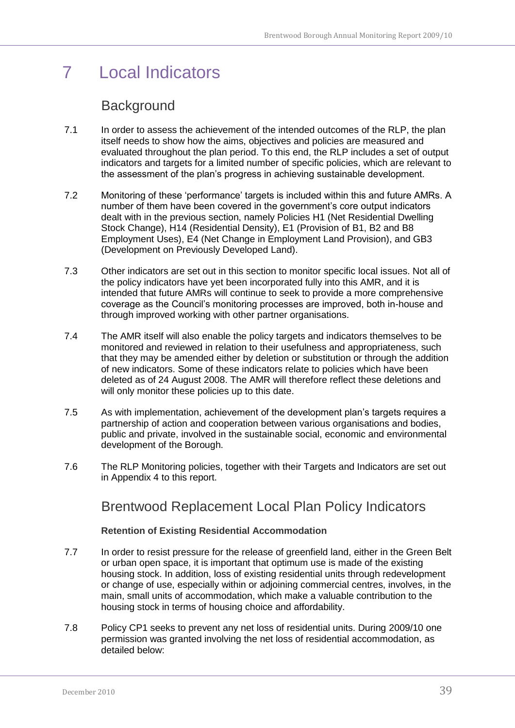## <span id="page-38-0"></span>7 Local Indicators

### **Background**

- <span id="page-38-1"></span>7.1 In order to assess the achievement of the intended outcomes of the RLP, the plan itself needs to show how the aims, objectives and policies are measured and evaluated throughout the plan period. To this end, the RLP includes a set of output indicators and targets for a limited number of specific policies, which are relevant to the assessment of the plan"s progress in achieving sustainable development.
- 7.2 Monitoring of these "performance" targets is included within this and future AMRs. A number of them have been covered in the government"s core output indicators dealt with in the previous section, namely Policies H1 (Net Residential Dwelling Stock Change), H14 (Residential Density), E1 (Provision of B1, B2 and B8 Employment Uses), E4 (Net Change in Employment Land Provision), and GB3 (Development on Previously Developed Land).
- 7.3 Other indicators are set out in this section to monitor specific local issues. Not all of the policy indicators have yet been incorporated fully into this AMR, and it is intended that future AMRs will continue to seek to provide a more comprehensive coverage as the Council"s monitoring processes are improved, both in-house and through improved working with other partner organisations.
- 7.4 The AMR itself will also enable the policy targets and indicators themselves to be monitored and reviewed in relation to their usefulness and appropriateness, such that they may be amended either by deletion or substitution or through the addition of new indicators. Some of these indicators relate to policies which have been deleted as of 24 August 2008. The AMR will therefore reflect these deletions and will only monitor these policies up to this date.
- 7.5 As with implementation, achievement of the development plan"s targets requires a partnership of action and cooperation between various organisations and bodies, public and private, involved in the sustainable social, economic and environmental development of the Borough.
- <span id="page-38-2"></span>7.6 The RLP Monitoring policies, together with their Targets and Indicators are set out in Appendix 4 to this report.

### Brentwood Replacement Local Plan Policy Indicators

#### **Retention of Existing Residential Accommodation**

- <span id="page-38-3"></span>7.7 In order to resist pressure for the release of greenfield land, either in the Green Belt or urban open space, it is important that optimum use is made of the existing housing stock. In addition, loss of existing residential units through redevelopment or change of use, especially within or adjoining commercial centres, involves, in the main, small units of accommodation, which make a valuable contribution to the housing stock in terms of housing choice and affordability.
- 7.8 Policy CP1 seeks to prevent any net loss of residential units. During 2009/10 one permission was granted involving the net loss of residential accommodation, as detailed below: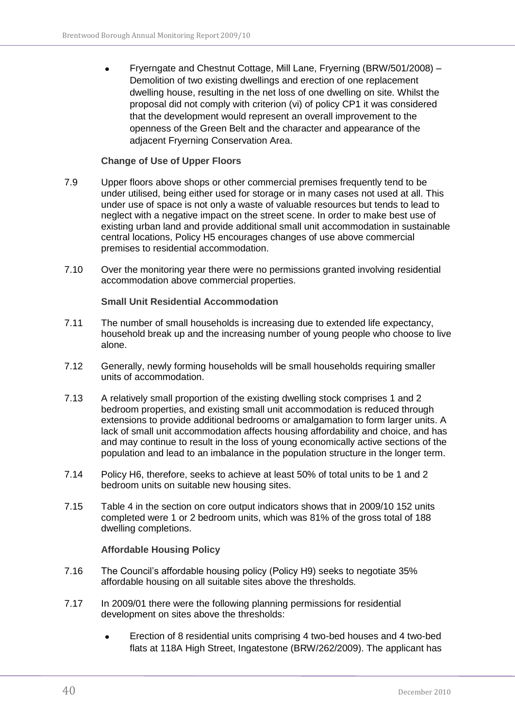$\bullet$ Fryerngate and Chestnut Cottage, Mill Lane, Fryerning (BRW/501/2008) – Demolition of two existing dwellings and erection of one replacement dwelling house, resulting in the net loss of one dwelling on site. Whilst the proposal did not comply with criterion (vi) of policy CP1 it was considered that the development would represent an overall improvement to the openness of the Green Belt and the character and appearance of the adjacent Fryerning Conservation Area.

#### **Change of Use of Upper Floors**

- <span id="page-39-0"></span>7.9 Upper floors above shops or other commercial premises frequently tend to be under utilised, being either used for storage or in many cases not used at all. This under use of space is not only a waste of valuable resources but tends to lead to neglect with a negative impact on the street scene. In order to make best use of existing urban land and provide additional small unit accommodation in sustainable central locations, Policy H5 encourages changes of use above commercial premises to residential accommodation.
- 7.10 Over the monitoring year there were no permissions granted involving residential accommodation above commercial properties.

#### **Small Unit Residential Accommodation**

- <span id="page-39-1"></span>7.11 The number of small households is increasing due to extended life expectancy, household break up and the increasing number of young people who choose to live alone.
- 7.12 Generally, newly forming households will be small households requiring smaller units of accommodation.
- 7.13 A relatively small proportion of the existing dwelling stock comprises 1 and 2 bedroom properties, and existing small unit accommodation is reduced through extensions to provide additional bedrooms or amalgamation to form larger units. A lack of small unit accommodation affects housing affordability and choice, and has and may continue to result in the loss of young economically active sections of the population and lead to an imbalance in the population structure in the longer term.
- 7.14 Policy H6, therefore, seeks to achieve at least 50% of total units to be 1 and 2 bedroom units on suitable new housing sites.
- 7.15 Table 4 in the section on core output indicators shows that in 2009/10 152 units completed were 1 or 2 bedroom units, which was 81% of the gross total of 188 dwelling completions.

#### **Affordable Housing Policy**

- <span id="page-39-2"></span>7.16 The Council"s affordable housing policy (Policy H9) seeks to negotiate 35% affordable housing on all suitable sites above the thresholds.
- 7.17 In 2009/01 there were the following planning permissions for residential development on sites above the thresholds:
	- Erection of 8 residential units comprising 4 two-bed houses and 4 two-bed  $\bullet$ flats at 118A High Street, Ingatestone (BRW/262/2009). The applicant has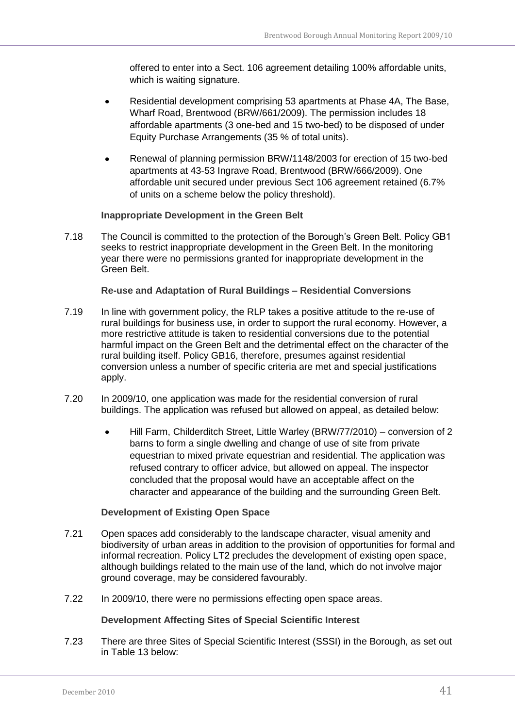offered to enter into a Sect. 106 agreement detailing 100% affordable units, which is waiting signature.

- Residential development comprising 53 apartments at Phase 4A, The Base, Wharf Road, Brentwood (BRW/661/2009). The permission includes 18 affordable apartments (3 one-bed and 15 two-bed) to be disposed of under Equity Purchase Arrangements (35 % of total units).
- Renewal of planning permission BRW/1148/2003 for erection of 15 two-bed apartments at 43-53 Ingrave Road, Brentwood (BRW/666/2009). One affordable unit secured under previous Sect 106 agreement retained (6.7% of units on a scheme below the policy threshold).

#### **Inappropriate Development in the Green Belt**

<span id="page-40-0"></span>7.18 The Council is committed to the protection of the Borough"s Green Belt. Policy GB1 seeks to restrict inappropriate development in the Green Belt. In the monitoring year there were no permissions granted for inappropriate development in the Green Belt.

#### **Re-use and Adaptation of Rural Buildings – Residential Conversions**

- <span id="page-40-1"></span>7.19 In line with government policy, the RLP takes a positive attitude to the re-use of rural buildings for business use, in order to support the rural economy. However, a more restrictive attitude is taken to residential conversions due to the potential harmful impact on the Green Belt and the detrimental effect on the character of the rural building itself. Policy GB16, therefore, presumes against residential conversion unless a number of specific criteria are met and special justifications apply.
- 7.20 In 2009/10, one application was made for the residential conversion of rural buildings. The application was refused but allowed on appeal, as detailed below:
	- Hill Farm, Childerditch Street, Little Warley (BRW/77/2010) conversion of 2  $\bullet$ barns to form a single dwelling and change of use of site from private equestrian to mixed private equestrian and residential. The application was refused contrary to officer advice, but allowed on appeal. The inspector concluded that the proposal would have an acceptable affect on the character and appearance of the building and the surrounding Green Belt.

#### **Development of Existing Open Space**

- <span id="page-40-2"></span>7.21 Open spaces add considerably to the landscape character, visual amenity and biodiversity of urban areas in addition to the provision of opportunities for formal and informal recreation. Policy LT2 precludes the development of existing open space, although buildings related to the main use of the land, which do not involve major ground coverage, may be considered favourably.
- <span id="page-40-3"></span>7.22 In 2009/10, there were no permissions effecting open space areas.

#### **Development Affecting Sites of Special Scientific Interest**

7.23 There are three Sites of Special Scientific Interest (SSSI) in the Borough, as set out in Table 13 below: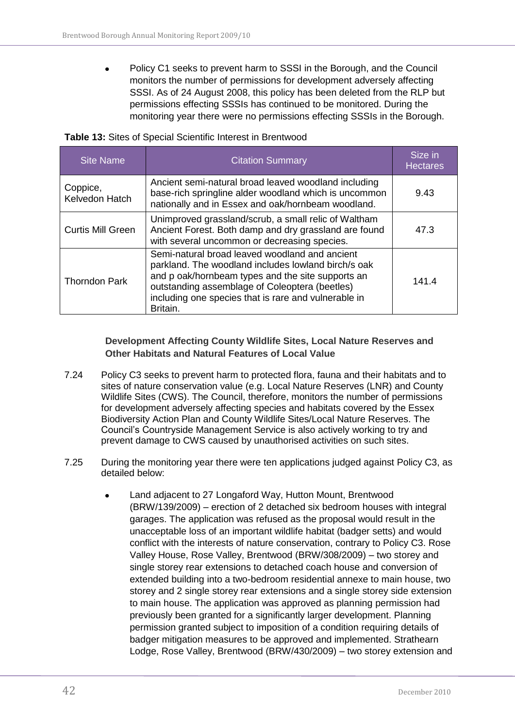$\bullet$ Policy C1 seeks to prevent harm to SSSI in the Borough, and the Council monitors the number of permissions for development adversely affecting SSSI. As of 24 August 2008, this policy has been deleted from the RLP but permissions effecting SSSIs has continued to be monitored. During the monitoring year there were no permissions effecting SSSIs in the Borough.

#### <span id="page-41-1"></span>**Table 13:** Sites of Special Scientific Interest in Brentwood

| <b>Site Name</b>           | <b>Citation Summary</b>                                                                                                                                                                                                                                                          | Size in<br><b>Hectares</b> |
|----------------------------|----------------------------------------------------------------------------------------------------------------------------------------------------------------------------------------------------------------------------------------------------------------------------------|----------------------------|
| Coppice,<br>Kelvedon Hatch | Ancient semi-natural broad leaved woodland including<br>base-rich springline alder woodland which is uncommon<br>nationally and in Essex and oak/hornbeam woodland.                                                                                                              | 9.43                       |
| Curtis Mill Green          | Unimproved grassland/scrub, a small relic of Waltham<br>Ancient Forest. Both damp and dry grassland are found<br>with several uncommon or decreasing species.                                                                                                                    | 47.3                       |
| <b>Thorndon Park</b>       | Semi-natural broad leaved woodland and ancient<br>parkland. The woodland includes lowland birch/s oak<br>and p oak/hornbeam types and the site supports an<br>outstanding assemblage of Coleoptera (beetles)<br>including one species that is rare and vulnerable in<br>Britain. | 141.4                      |

#### **Development Affecting County Wildlife Sites, Local Nature Reserves and Other Habitats and Natural Features of Local Value**

- <span id="page-41-0"></span>7.24 Policy C3 seeks to prevent harm to protected flora, fauna and their habitats and to sites of nature conservation value (e.g. Local Nature Reserves (LNR) and County Wildlife Sites (CWS). The Council, therefore, monitors the number of permissions for development adversely affecting species and habitats covered by the Essex Biodiversity Action Plan and County Wildlife Sites/Local Nature Reserves. The Council"s Countryside Management Service is also actively working to try and prevent damage to CWS caused by unauthorised activities on such sites.
- 7.25 During the monitoring year there were ten applications judged against Policy C3, as detailed below:
	- Land adjacent to 27 Longaford Way, Hutton Mount, Brentwood (BRW/139/2009) – erection of 2 detached six bedroom houses with integral garages. The application was refused as the proposal would result in the unacceptable loss of an important wildlife habitat (badger setts) and would conflict with the interests of nature conservation, contrary to Policy C3. Rose Valley House, Rose Valley, Brentwood (BRW/308/2009) – two storey and single storey rear extensions to detached coach house and conversion of extended building into a two-bedroom residential annexe to main house, two storey and 2 single storey rear extensions and a single storey side extension to main house. The application was approved as planning permission had previously been granted for a significantly larger development. Planning permission granted subject to imposition of a condition requiring details of badger mitigation measures to be approved and implemented. Strathearn Lodge, Rose Valley, Brentwood (BRW/430/2009) – two storey extension and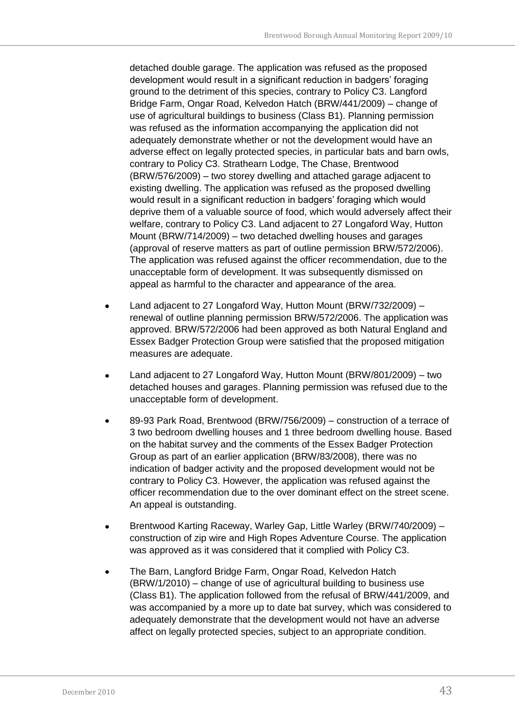detached double garage. The application was refused as the proposed development would result in a significant reduction in badgers' foraging ground to the detriment of this species, contrary to Policy C3. Langford Bridge Farm, Ongar Road, Kelvedon Hatch (BRW/441/2009) – change of use of agricultural buildings to business (Class B1). Planning permission was refused as the information accompanying the application did not adequately demonstrate whether or not the development would have an adverse effect on legally protected species, in particular bats and barn owls, contrary to Policy C3. Strathearn Lodge, The Chase, Brentwood (BRW/576/2009) – two storey dwelling and attached garage adjacent to existing dwelling. The application was refused as the proposed dwelling would result in a significant reduction in badgers" foraging which would deprive them of a valuable source of food, which would adversely affect their welfare, contrary to Policy C3. Land adjacent to 27 Longaford Way, Hutton Mount (BRW/714/2009) – two detached dwelling houses and garages (approval of reserve matters as part of outline permission BRW/572/2006). The application was refused against the officer recommendation, due to the unacceptable form of development. It was subsequently dismissed on appeal as harmful to the character and appearance of the area.

- Land adjacent to 27 Longaford Way, Hutton Mount (BRW/732/2009) renewal of outline planning permission BRW/572/2006. The application was approved. BRW/572/2006 had been approved as both Natural England and Essex Badger Protection Group were satisfied that the proposed mitigation measures are adequate.
- Land adjacent to 27 Longaford Way, Hutton Mount (BRW/801/2009) two  $\bullet$ detached houses and garages. Planning permission was refused due to the unacceptable form of development.
- 89-93 Park Road, Brentwood (BRW/756/2009) construction of a terrace of 3 two bedroom dwelling houses and 1 three bedroom dwelling house. Based on the habitat survey and the comments of the Essex Badger Protection Group as part of an earlier application (BRW/83/2008), there was no indication of badger activity and the proposed development would not be contrary to Policy C3. However, the application was refused against the officer recommendation due to the over dominant effect on the street scene. An appeal is outstanding.
- Brentwood Karting Raceway, Warley Gap, Little Warley (BRW/740/2009)  $\bullet$ construction of zip wire and High Ropes Adventure Course. The application was approved as it was considered that it complied with Policy C3.
- The Barn, Langford Bridge Farm, Ongar Road, Kelvedon Hatch (BRW/1/2010) – change of use of agricultural building to business use (Class B1). The application followed from the refusal of BRW/441/2009, and was accompanied by a more up to date bat survey, which was considered to adequately demonstrate that the development would not have an adverse affect on legally protected species, subject to an appropriate condition.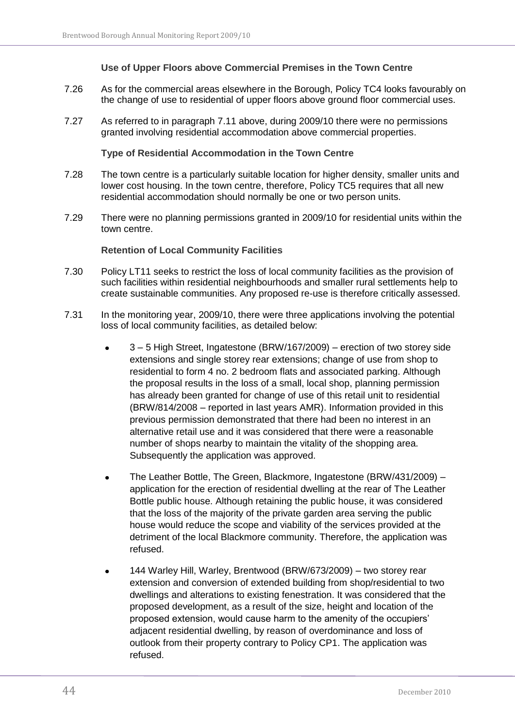#### **Use of Upper Floors above Commercial Premises in the Town Centre**

- <span id="page-43-0"></span>7.26 As for the commercial areas elsewhere in the Borough, Policy TC4 looks favourably on the change of use to residential of upper floors above ground floor commercial uses.
- 7.27 As referred to in paragraph 7.11 above, during 2009/10 there were no permissions granted involving residential accommodation above commercial properties.

**Type of Residential Accommodation in the Town Centre**

- <span id="page-43-1"></span>7.28 The town centre is a particularly suitable location for higher density, smaller units and lower cost housing. In the town centre, therefore, Policy TC5 requires that all new residential accommodation should normally be one or two person units.
- 7.29 There were no planning permissions granted in 2009/10 for residential units within the town centre.

#### **Retention of Local Community Facilities**

- <span id="page-43-2"></span>7.30 Policy LT11 seeks to restrict the loss of local community facilities as the provision of such facilities within residential neighbourhoods and smaller rural settlements help to create sustainable communities. Any proposed re-use is therefore critically assessed.
- 7.31 In the monitoring year, 2009/10, there were three applications involving the potential loss of local community facilities, as detailed below:
	- 3 5 High Street, Ingatestone (BRW/167/2009) erection of two storey side extensions and single storey rear extensions; change of use from shop to residential to form 4 no. 2 bedroom flats and associated parking. Although the proposal results in the loss of a small, local shop, planning permission has already been granted for change of use of this retail unit to residential (BRW/814/2008 – reported in last years AMR). Information provided in this previous permission demonstrated that there had been no interest in an alternative retail use and it was considered that there were a reasonable number of shops nearby to maintain the vitality of the shopping area. Subsequently the application was approved.
	- The Leather Bottle, The Green, Blackmore, Ingatestone (BRW/431/2009)  $\bullet$ application for the erection of residential dwelling at the rear of The Leather Bottle public house. Although retaining the public house, it was considered that the loss of the majority of the private garden area serving the public house would reduce the scope and viability of the services provided at the detriment of the local Blackmore community. Therefore, the application was refused.
	- 144 Warley Hill, Warley, Brentwood (BRW/673/2009) two storey rear extension and conversion of extended building from shop/residential to two dwellings and alterations to existing fenestration. It was considered that the proposed development, as a result of the size, height and location of the proposed extension, would cause harm to the amenity of the occupiers" adjacent residential dwelling, by reason of overdominance and loss of outlook from their property contrary to Policy CP1. The application was refused.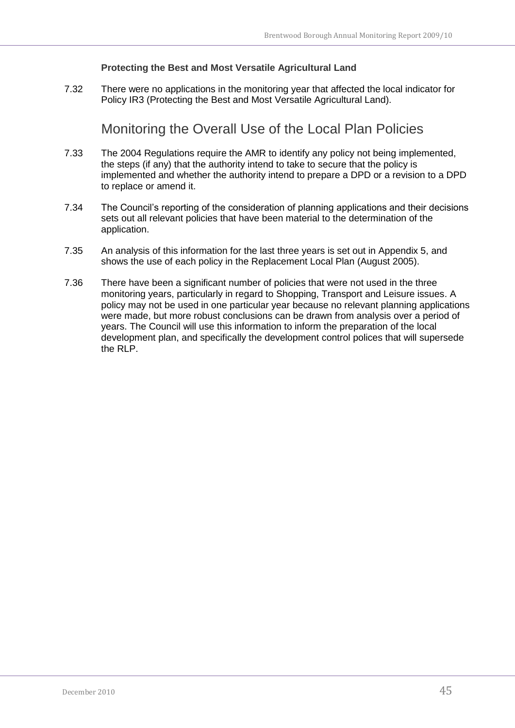#### **Protecting the Best and Most Versatile Agricultural Land**

<span id="page-44-1"></span><span id="page-44-0"></span>7.32 There were no applications in the monitoring year that affected the local indicator for Policy IR3 (Protecting the Best and Most Versatile Agricultural Land).

Monitoring the Overall Use of the Local Plan Policies

- 7.33 The 2004 Regulations require the AMR to identify any policy not being implemented, the steps (if any) that the authority intend to take to secure that the policy is implemented and whether the authority intend to prepare a DPD or a revision to a DPD to replace or amend it.
- 7.34 The Council"s reporting of the consideration of planning applications and their decisions sets out all relevant policies that have been material to the determination of the application.
- 7.35 An analysis of this information for the last three years is set out in Appendix 5, and shows the use of each policy in the Replacement Local Plan (August 2005).
- 7.36 There have been a significant number of policies that were not used in the three monitoring years, particularly in regard to Shopping, Transport and Leisure issues. A policy may not be used in one particular year because no relevant planning applications were made, but more robust conclusions can be drawn from analysis over a period of years. The Council will use this information to inform the preparation of the local development plan, and specifically the development control polices that will supersede the RLP.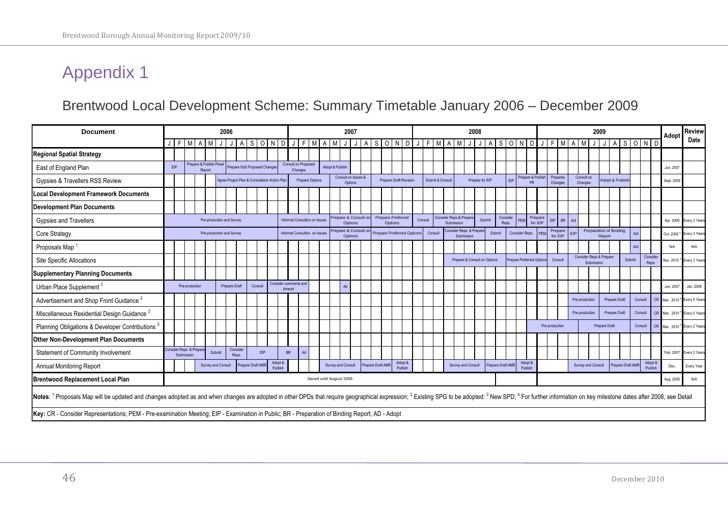### Brentwood Local Development Scheme: Summary Timetable January 2006 – December 2009

<span id="page-45-1"></span><span id="page-45-0"></span>

| <b>Document</b>                                                                                                                                                                                                                                                    |            |            | 2006                    |        |                         |                           |                   |                                              | 2007       |                    |           |                                |                               |  |                         |                                |  | 2008              |  |                                     |                    |  |         |                  |                                       |            |                         |                              | 2009   |                   |  |                               |                    |                |                     |      |                       | Adopt              | <b>Review</b>                    |                   |        |                    |           |                        |                                      |
|--------------------------------------------------------------------------------------------------------------------------------------------------------------------------------------------------------------------------------------------------------------------|------------|------------|-------------------------|--------|-------------------------|---------------------------|-------------------|----------------------------------------------|------------|--------------------|-----------|--------------------------------|-------------------------------|--|-------------------------|--------------------------------|--|-------------------|--|-------------------------------------|--------------------|--|---------|------------------|---------------------------------------|------------|-------------------------|------------------------------|--------|-------------------|--|-------------------------------|--------------------|----------------|---------------------|------|-----------------------|--------------------|----------------------------------|-------------------|--------|--------------------|-----------|------------------------|--------------------------------------|
|                                                                                                                                                                                                                                                                    |            | J F M      |                         |        |                         |                           |                   | S                                            | $\Omega$   | ND                 |           |                                | FIMAM                         |  |                         |                                |  | A                 |  |                                     |                    |  |         |                  | SONDJFMAM                             |            | J                       |                              |        | A S O N           |  |                               |                    |                |                     |      |                       |                    |                                  |                   |        | SOND               |           |                        | Date                                 |
| <b>Regional Spatial Strategy</b>                                                                                                                                                                                                                                   |            |            |                         |        |                         |                           |                   |                                              |            |                    |           |                                |                               |  |                         |                                |  |                   |  |                                     |                    |  |         |                  |                                       |            |                         |                              |        |                   |  |                               |                    |                |                     |      |                       |                    |                                  |                   |        |                    |           |                        |                                      |
| East of England Plan                                                                                                                                                                                                                                               | <b>EIP</b> |            |                         | Report | Prepare & Publish Panel |                           |                   | Prepare SoS Proposed Changes                 |            |                    |           | Consult on Proposed<br>Changes |                               |  | Adopt & Publish         |                                |  |                   |  |                                     |                    |  |         |                  |                                       |            |                         |                              |        |                   |  |                               |                    |                |                     |      |                       |                    |                                  |                   |        |                    |           | Jun. 2007              |                                      |
| Gypsies & Travellers RSS Review                                                                                                                                                                                                                                    |            |            |                         |        |                         |                           |                   | Agree Project Plan & Consultation Action Pla |            |                    |           |                                | Prepare Options               |  |                         | Consult on Issues &<br>Options |  |                   |  | <b>Prepare Draft Revision</b>       |                    |  |         | Submit & Consult |                                       |            |                         | Prepare for EIP              |        | EIP               |  | Prepare & Publis<br><b>PR</b> |                    |                | Prepares<br>Changes |      | Consult on<br>Changes |                    | Adopt & Publish                  |                   |        |                    |           | Sept. 2009             |                                      |
| <b>Local Development Framework Documents</b>                                                                                                                                                                                                                       |            |            |                         |        |                         |                           |                   |                                              |            |                    |           |                                |                               |  |                         |                                |  |                   |  |                                     |                    |  |         |                  |                                       |            |                         |                              |        |                   |  |                               |                    |                |                     |      |                       |                    |                                  |                   |        |                    |           |                        |                                      |
| <b>Development Plan Documents</b>                                                                                                                                                                                                                                  |            |            |                         |        |                         |                           |                   |                                              |            |                    |           |                                |                               |  |                         |                                |  |                   |  |                                     |                    |  |         |                  |                                       |            |                         |                              |        |                   |  |                               |                    |                |                     |      |                       |                    |                                  |                   |        |                    |           |                        |                                      |
| <b>Gypsies and Travellers</b>                                                                                                                                                                                                                                      |            |            |                         |        |                         | Pre-production and Survey |                   |                                              |            |                    |           |                                | Informal Consultion on Issues |  |                         | repare & Consult or<br>Options |  |                   |  | <b>Prepare Preferred</b><br>Options |                    |  | Consult |                  | Consider Reps.& Prepare<br>Submission |            |                         | Submit                       |        | Consider<br>Reps. |  |                               | Prepare<br>for EIP | <b>FIP</b>     | BR I                | Ad   |                       |                    |                                  |                   |        |                    |           | Apr 2009               | Every 3 Years                        |
| Core Strategy                                                                                                                                                                                                                                                      |            |            |                         |        |                         | Pre-production and Survey |                   |                                              |            |                    |           |                                | Informal Consultion on Issues |  |                         | repare & Consult or<br>Options |  |                   |  | <b>Prepare Preferred Options</b>    |                    |  |         | Consult          |                                       | Submission | Consider Reps. & Prepar |                              | Submit |                   |  | Consider Reps.                | PEM                |                | Prepare<br>for EIP  | ET P |                       |                    | Preparation of Binding<br>Report |                   |        |                    |           | Oct. 2009 <sup>4</sup> | Every 3 Years                        |
| Proposals Map                                                                                                                                                                                                                                                      |            |            |                         |        |                         |                           |                   |                                              |            |                    |           |                                |                               |  |                         |                                |  |                   |  |                                     |                    |  |         |                  |                                       |            |                         |                              |        |                   |  |                               |                    |                |                     |      |                       |                    |                                  |                   | Ad     |                    |           | N/A                    | N/A                                  |
| <b>Site Specific Allocations</b>                                                                                                                                                                                                                                   |            |            |                         |        |                         |                           |                   |                                              |            |                    |           |                                |                               |  |                         |                                |  |                   |  |                                     |                    |  |         |                  |                                       |            |                         | Prepare & Consult on Options |        |                   |  | Prepare Preferred Options     |                    |                | Consult             |      |                       | Submission         | Consider Reps & Prepare          |                   | Submit | Conside<br>Reps.   |           | Nov. 2010'             | <sup>4</sup> Every 3 Years           |
| <b>Supplementary Planning Documents</b>                                                                                                                                                                                                                            |            |            |                         |        |                         |                           |                   |                                              |            |                    |           |                                |                               |  |                         |                                |  |                   |  |                                     |                    |  |         |                  |                                       |            |                         |                              |        |                   |  |                               |                    |                |                     |      |                       |                    |                                  |                   |        |                    |           |                        |                                      |
| Urban Place Supplement <sup>3</sup>                                                                                                                                                                                                                                |            |            | Pre-production          |        |                         | <b>Prepare Draft</b>      |                   | Consult                                      |            |                    | Amend     | Consider comments and          |                               |  |                         | Ad                             |  |                   |  |                                     |                    |  |         |                  |                                       |            |                         |                              |        |                   |  |                               |                    |                |                     |      |                       |                    |                                  |                   |        |                    |           | Jun. 2007              | Jan. 2009                            |
| Advertisement and Shop Front Guidance <sup>2</sup>                                                                                                                                                                                                                 |            |            |                         |        |                         |                           |                   |                                              |            |                    |           |                                |                               |  |                         |                                |  |                   |  |                                     |                    |  |         |                  |                                       |            |                         |                              |        |                   |  |                               |                    |                |                     |      | Pre-production        |                    | Prepare Draft                    |                   |        | Consult            | CR        | Mar. 2010 <sup>4</sup> | Every 5 Years                        |
| Miscellaneous Residential Design Guidance <sup>2</sup>                                                                                                                                                                                                             |            |            |                         |        |                         |                           |                   |                                              |            |                    |           |                                |                               |  |                         |                                |  |                   |  |                                     |                    |  |         |                  |                                       |            |                         |                              |        |                   |  |                               |                    |                |                     |      | Pre-production        |                    | <b>Prepare Draft</b>             |                   |        | Consult            | <b>CR</b> | Mar. 2010 <sup>4</sup> | Every 5 Years                        |
| Planning Obligations & Developer Contributions <sup>3</sup>                                                                                                                                                                                                        |            |            |                         |        |                         |                           |                   |                                              |            |                    |           |                                |                               |  |                         |                                |  |                   |  |                                     |                    |  |         |                  |                                       |            |                         |                              |        |                   |  |                               |                    | Pre-production |                     |      |                       |                    | Prepare Draft                    |                   |        | Consult            | CR        |                        | Mar. 2010 <sup>4</sup> Every 2 Years |
| <b>Other Non-Development Plan Documents</b>                                                                                                                                                                                                                        |            |            |                         |        |                         |                           |                   |                                              |            |                    |           |                                |                               |  |                         |                                |  |                   |  |                                     |                    |  |         |                  |                                       |            |                         |                              |        |                   |  |                               |                    |                |                     |      |                       |                    |                                  |                   |        |                    |           |                        |                                      |
| Statement of Community Involvement                                                                                                                                                                                                                                 |            | Submission | Consider Reps. & Prepar |        | Submit                  |                           | Consider<br>Reps. |                                              | <b>EIP</b> |                    | <b>BR</b> | Ad                             |                               |  |                         |                                |  |                   |  |                                     |                    |  |         |                  |                                       |            |                         |                              |        |                   |  |                               |                    |                |                     |      |                       |                    |                                  |                   |        |                    |           | Feb. 2007              | Every 3 Years                        |
| <b>Annual Monitoring Report</b>                                                                                                                                                                                                                                    |            |            |                         |        | Survey and Consult      |                           |                   | Prepare Draft AMF                            |            | Adopt &<br>Publish |           |                                |                               |  | Survey and Consult      |                                |  | Prepare Draft AMR |  |                                     | Adopt &<br>Publish |  |         |                  |                                       |            | Survey and Consult      |                              |        | Prepare Draft AMF |  | Adopt &<br>Publish            |                    |                |                     |      |                       | Survey and Consult |                                  | Prepare Draft AMF |        | Adopt 8<br>Publish |           | Dec.                   | Every Year                           |
| <b>Brentwood Replacement Local Plan</b>                                                                                                                                                                                                                            |            |            |                         |        |                         |                           |                   |                                              |            |                    |           |                                |                               |  | Saved until August 2008 |                                |  |                   |  |                                     |                    |  |         |                  |                                       |            |                         |                              |        |                   |  |                               |                    |                |                     |      |                       |                    |                                  |                   |        |                    |           | Aug. 2005              | N/A                                  |
| Notes: <sup>1</sup> Proposals Map will be updated and changes adopted as and when changes are adopted in other DPDs that require geographical expression; <sup>2</sup> Existing SPG to be adopted: <sup>3</sup> New SPD; <sup>4</sup> For further information on k |            |            |                         |        |                         |                           |                   |                                              |            |                    |           |                                |                               |  |                         |                                |  |                   |  |                                     |                    |  |         |                  |                                       |            |                         |                              |        |                   |  |                               |                    |                |                     |      |                       |                    |                                  |                   |        |                    |           |                        |                                      |
| Key: CR - Consider Representations; PEM - Pre-examination Meeting; EIP - Examination in Public; BR - Preparation of Binding Report; AD - Adopt                                                                                                                     |            |            |                         |        |                         |                           |                   |                                              |            |                    |           |                                |                               |  |                         |                                |  |                   |  |                                     |                    |  |         |                  |                                       |            |                         |                              |        |                   |  |                               |                    |                |                     |      |                       |                    |                                  |                   |        |                    |           |                        |                                      |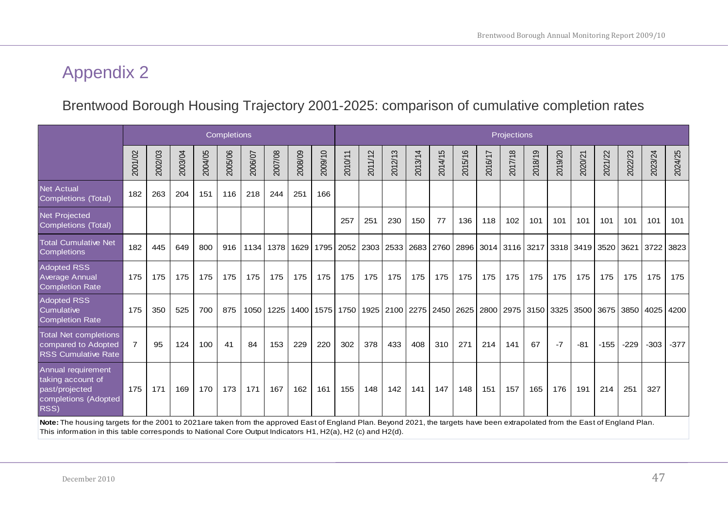### Brentwood Borough Housing Trajectory 2001-2025: comparison of cumulative completion rates

|                                                                                                                                                                                | <b>Completions</b> |         |         |         |         |         |         |                    |         | Projections |           |         |         |         |         |         |                               |                                                                            |         |                |           |           |         |         |
|--------------------------------------------------------------------------------------------------------------------------------------------------------------------------------|--------------------|---------|---------|---------|---------|---------|---------|--------------------|---------|-------------|-----------|---------|---------|---------|---------|---------|-------------------------------|----------------------------------------------------------------------------|---------|----------------|-----------|-----------|---------|---------|
|                                                                                                                                                                                | 2001/02            | 2002/03 | 2003/04 | 2004/05 | 2005/06 | 2006/07 | 2007/08 | 2008/09            | 2009/10 | 2010/11     | 2011/12   | 2012/13 | 2013/14 | 2014/15 | 2015/16 | 2016/17 | 2017/18                       | 2018/19                                                                    | 2019/20 | 2020/21        | 2021/22   | 2022/23   | 2023/24 | 2024/25 |
| <b>Net Actual</b><br>Completions (Total)                                                                                                                                       | 182                | 263     | 204     | 151     | 116     | 218     | 244     | 251                | 166     |             |           |         |         |         |         |         |                               |                                                                            |         |                |           |           |         |         |
| <b>Net Projected</b><br><b>Completions (Total)</b>                                                                                                                             |                    |         |         |         |         |         |         |                    |         | 257         | 251       | 230     | 150     | 77      | 136     | 118     | 102                           | 101                                                                        | 101     | 101            | 101       | 101       | 101     | 101     |
| <b>Total Cumulative Net</b><br>Completions                                                                                                                                     | 182                | 445     | 649     | 800     | 916     | 1134    |         | 1378   1629   1795 |         |             | 2052 2303 | 2533    |         |         |         |         | 2683 2760 2896 3014 3116 3217 |                                                                            |         | 3318 3419 3520 |           | 3621      | 3722    | 3823    |
| Adopted RSS<br><b>Average Annual</b><br><b>Completion Rate</b>                                                                                                                 | 175                | 175     | 175     | 175     | 175     | 175     | 175     | 175                | 175     | 175         | 175       | 175     | 175     | 175     | 175     | 175     | 175                           | 175                                                                        | 175     | 175            | 175       | 175       | 175     | 175     |
| <b>Adopted RSS</b><br>Cumulative<br><b>Completion Rate</b>                                                                                                                     | 175                | 350     | 525     | 700     | 875     | 1050    | 1225    |                    |         |             |           |         |         |         |         |         |                               | 1400   1575   1750   1925   2100   2275   2450   2625   2800   2975   3150 | 3325    |                | 3500 3675 | 3850 4025 |         | 4200    |
| <b>Total Net completions</b><br>compared to Adopted<br><b>RSS Cumulative Rate</b>                                                                                              | $\overline{7}$     | 95      | 124     | 100     | 41      | 84      | 153     | 229                | 220     | 302         | 378       | 433     | 408     | 310     | 271     | 214     | 141                           | 67                                                                         | $-7$    | $-81$          | $-155$    | $-229$    | $-303$  | $-377$  |
| Annual requirement<br>taking account of<br>past/projected<br>completions (Adopted<br>RSS)                                                                                      | 175                | 171     | 169     | 170     | 173     | 171     | 167     | 162                | 161     | 155         | 148       | 142     | 141     | 147     | 148     | 151     | 157                           | 165                                                                        | 176     | 191            | 214       | 251       | 327     |         |
| Note: The housing targets for the 2001 to 2021are taken from the approved East of England Plan. Beyond 2021, the targets have been extrapolated from the East of England Plan. |                    |         |         |         |         |         |         |                    |         |             |           |         |         |         |         |         |                               |                                                                            |         |                |           |           |         |         |

<span id="page-46-1"></span><span id="page-46-0"></span>This information in this table corresponds to National Core Output Indicators H1, H2(a), H2 (c) and H2(d).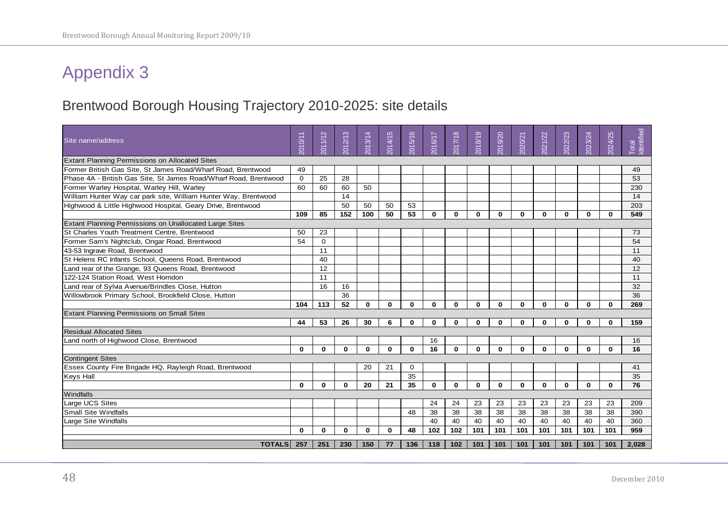### Brentwood Borough Housing Trajectory 2010-2025: site details

<span id="page-47-1"></span><span id="page-47-0"></span>

| Site name/address                                                | 2010/11      | 2011/12  | 2012/13  | 2013/14  | 2014/15  | 5/16<br>$\overline{20}$ | 2016/17      | 2017/18      | 2018/19      | 2019/20  | 2020/21      | 2021/22      | 2022/23  | 2023/24     | 2024/25      | Identified<br><b>Total</b> |
|------------------------------------------------------------------|--------------|----------|----------|----------|----------|-------------------------|--------------|--------------|--------------|----------|--------------|--------------|----------|-------------|--------------|----------------------------|
| <b>Extant Planning Permissions on Allocated Sites</b>            |              |          |          |          |          |                         |              |              |              |          |              |              |          |             |              |                            |
| Former British Gas Site, St James Road/Wharf Road, Brentwood     | 49           |          |          |          |          |                         |              |              |              |          |              |              |          |             |              | 49                         |
| Phase 4A - British Gas Site. St James Road/Wharf Road. Brentwood | $\Omega$     | 25       | 28       |          |          |                         |              |              |              |          |              |              |          |             |              | 53                         |
| Former Warley Hospital, Warley Hill, Warley                      | 60           | 60       | 60       | 50       |          |                         |              |              |              |          |              |              |          |             |              | 230                        |
| William Hunter Way car park site, William Hunter Way, Brentwood  |              |          | 14       |          |          |                         |              |              |              |          |              |              |          |             |              | 14                         |
| Highwood & Little Highwood Hospital, Geary Drive, Brentwood      |              |          | 50       | 50       | 50       | 53                      |              |              |              |          |              |              |          |             |              | 203                        |
|                                                                  | 109          | 85       | 152      | 100      | 50       | 53                      | $\Omega$     | $\bf{0}$     | $\mathbf{0}$ | $\bf{0}$ | $\mathbf{0}$ | $\bf{0}$     | $\Omega$ | $\mathbf 0$ | $\mathbf{0}$ | 549                        |
| Extant Planning Permissions on Unallocated Large Sites           |              |          |          |          |          |                         |              |              |              |          |              |              |          |             |              |                            |
| St Charles Youth Treatment Centre, Brentwood                     | 50           | 23       |          |          |          |                         |              |              |              |          |              |              |          |             |              | 73                         |
| Former Sam's Nightclub, Ongar Road, Brentwood                    | 54           | $\Omega$ |          |          |          |                         |              |              |              |          |              |              |          |             |              | 54                         |
| 43-53 Ingrave Road, Brentwood                                    |              | 11       |          |          |          |                         |              |              |              |          |              |              |          |             |              | 11                         |
| St Helens RC Infants School, Queens Road, Brentwood              |              | 40       |          |          |          |                         |              |              |              |          |              |              |          |             |              | 40                         |
| Land rear of the Grange, 93 Queens Road, Brentwood               |              | 12       |          |          |          |                         |              |              |              |          |              |              |          |             |              | 12                         |
| 122-124 Station Road, West Horndon                               |              | 11       |          |          |          |                         |              |              |              |          |              |              |          |             |              | 11                         |
| Land rear of Sylvia Avenue/Brindles Close, Hutton                |              | 16       | 16       |          |          |                         |              |              |              |          |              |              |          |             |              | 32                         |
| Willowbrook Primary School, Brookfield Close, Hutton             |              |          | 36       |          |          |                         |              |              |              |          |              |              |          |             |              | 36                         |
|                                                                  | 104          | 113      | 52       | $\Omega$ | $\bf{0}$ | $\bf{0}$                | $\mathbf{0}$ | $\bf{0}$     | $\Omega$     | $\Omega$ | $\bf{0}$     | $\bf{0}$     | $\Omega$ | $\Omega$    | $\mathbf{0}$ | 269                        |
| <b>Extant Planning Permissions on Small Sites</b>                |              |          |          |          |          |                         |              |              |              |          |              |              |          |             |              |                            |
|                                                                  | 44           | 53       | 26       | 30       | 6        | $\bf{0}$                | $\Omega$     | $\bf{0}$     | $\bf{0}$     | $\bf{0}$ | $\mathbf{0}$ | $\bf{0}$     | 0        | $\bf{0}$    | $\bf{0}$     | 159                        |
| <b>Residual Allocated Sites</b>                                  |              |          |          |          |          |                         |              |              |              |          |              |              |          |             |              |                            |
| Land north of Highwood Close, Brentwood                          |              |          |          |          |          |                         | 16           |              |              |          |              |              |          |             |              | 16                         |
|                                                                  | $\mathbf 0$  | $\Omega$ | $\bf{0}$ | $\bf{0}$ | $\bf{0}$ | $\bf{0}$                | 16           | $\mathbf{0}$ | $\bf{0}$     | $\Omega$ | $\mathbf{0}$ | 0            | $\bf{0}$ | $\bf{0}$    | $\mathbf{0}$ | 16                         |
| <b>Contingent Sites</b>                                          |              |          |          |          |          |                         |              |              |              |          |              |              |          |             |              |                            |
| Essex County Fire Brigade HQ, Rayleigh Road, Brentwood           |              |          |          | 20       | 21       | $\mathbf 0$             |              |              |              |          |              |              |          |             |              | 41                         |
| <b>Keys Hall</b>                                                 |              |          |          |          |          | 35                      |              |              |              |          |              |              |          |             |              | 35                         |
|                                                                  | $\mathbf{0}$ | $\Omega$ | $\bf{0}$ | 20       | 21       | 35                      | $\bf{0}$     | $\bf{0}$     | $\bf{0}$     | $\bf{0}$ | $\mathbf{0}$ | $\mathbf{0}$ | $\bf{0}$ | $\bf{0}$    | $\Omega$     | 76                         |
| Windfalls                                                        |              |          |          |          |          |                         |              |              |              |          |              |              |          |             |              |                            |
| <b>Large UCS Sites</b>                                           |              |          |          |          |          |                         | 24           | 24           | 23           | 23       | 23           | 23           | 23       | 23          | 23           | 209                        |
| <b>Small Site Windfalls</b>                                      |              |          |          |          |          | 48                      | 38           | 38           | 38           | 38       | 38           | 38           | 38       | 38          | 38           | 390                        |
| Large Site Windfalls                                             |              |          |          |          |          |                         | 40           | 40           | 40           | 40       | 40           | 40           | 40       | 40          | 40           | 360                        |
|                                                                  | $\bf{0}$     | $\bf{0}$ | $\bf{0}$ | $\bf{0}$ | $\bf{0}$ | 48                      | 102          | 102          | 101          | 101      | 101          | 101          | 101      | 101         | 101          | 959                        |
| <b>TOTALS</b>                                                    | 257          | 251      | 230      | 150      | 77       | 136                     | 118          | 102          | 101          | 101      | 101          | 101          | 101      | 101         | 101          | 2,028                      |
|                                                                  |              |          |          |          |          |                         |              |              |              |          |              |              |          |             |              |                            |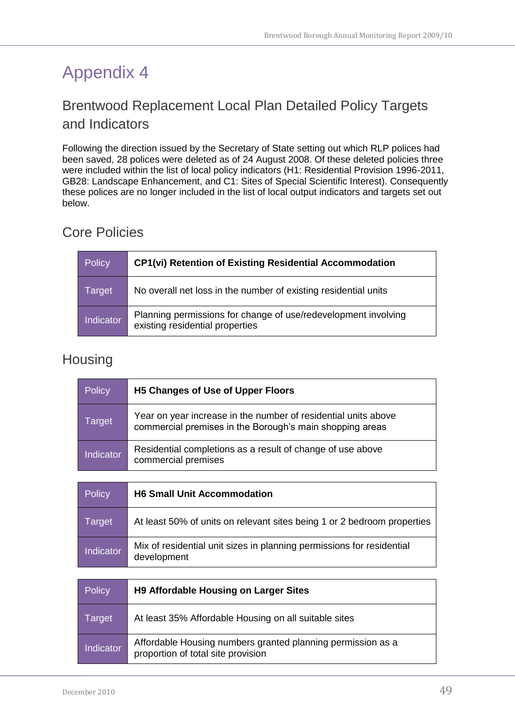### <span id="page-48-1"></span><span id="page-48-0"></span>Brentwood Replacement Local Plan Detailed Policy Targets and Indicators

Following the direction issued by the Secretary of State setting out which RLP polices had been saved, 28 polices were deleted as of 24 August 2008. Of these deleted policies three were included within the list of local policy indicators (H1: Residential Provision 1996-2011, GB28: Landscape Enhancement, and C1: Sites of Special Scientific Interest). Consequently these polices are no longer included in the list of local output indicators and targets set out below.

### <span id="page-48-2"></span>Core Policies

| Policy           | <b>CP1(vi) Retention of Existing Residential Accommodation</b>                                    |
|------------------|---------------------------------------------------------------------------------------------------|
| Target           | No overall net loss in the number of existing residential units                                   |
| <b>Indicator</b> | Planning permissions for change of use/redevelopment involving<br>existing residential properties |

### <span id="page-48-3"></span>Housing

| Policy           | H5 Changes of Use of Upper Floors                                                                                          |
|------------------|----------------------------------------------------------------------------------------------------------------------------|
| Target           | Year on year increase in the number of residential units above<br>commercial premises in the Borough's main shopping areas |
| <b>Indicator</b> | Residential completions as a result of change of use above<br>commercial premises                                          |

| Policy           | <b>H6 Small Unit Accommodation</b>                                                   |
|------------------|--------------------------------------------------------------------------------------|
| Target           | At least 50% of units on relevant sites being 1 or 2 bedroom properties              |
| <b>Indicator</b> | Mix of residential unit sizes in planning permissions for residential<br>development |

| Policy           | <b>H9 Affordable Housing on Larger Sites</b>                                                      |
|------------------|---------------------------------------------------------------------------------------------------|
| Target           | At least 35% Affordable Housing on all suitable sites                                             |
| <b>Indicator</b> | Affordable Housing numbers granted planning permission as a<br>proportion of total site provision |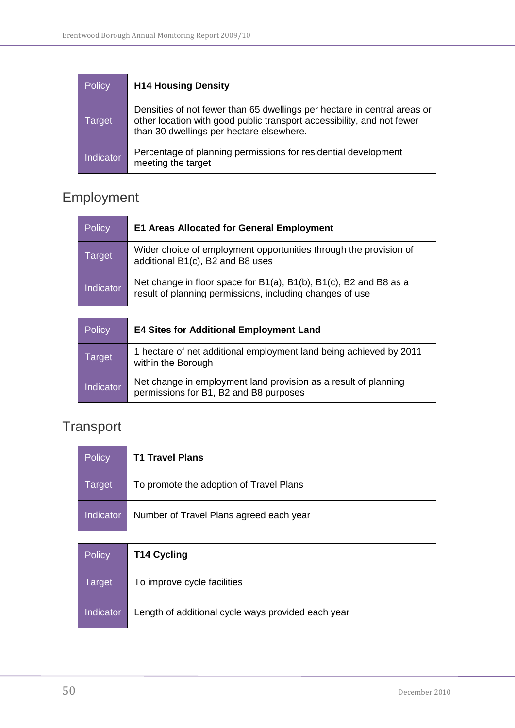| Policy           | <b>H14 Housing Density</b>                                                                                                                                                                     |
|------------------|------------------------------------------------------------------------------------------------------------------------------------------------------------------------------------------------|
| Target           | Densities of not fewer than 65 dwellings per hectare in central areas or<br>other location with good public transport accessibility, and not fewer<br>than 30 dwellings per hectare elsewhere. |
| <b>Indicator</b> | Percentage of planning permissions for residential development<br>meeting the target                                                                                                           |

## <span id="page-49-0"></span>Employment

| Policy    | <b>E1 Areas Allocated for General Employment</b>                                                                              |
|-----------|-------------------------------------------------------------------------------------------------------------------------------|
| Target    | Wider choice of employment opportunities through the provision of<br>additional B1(c), B2 and B8 uses                         |
| Indicator | Net change in floor space for B1(a), B1(b), B1(c), B2 and B8 as a<br>result of planning permissions, including changes of use |

| <b>Policy</b> | <b>E4 Sites for Additional Employment Land</b>                                                            |
|---------------|-----------------------------------------------------------------------------------------------------------|
| Target        | 1 hectare of net additional employment land being achieved by 2011<br>within the Borough                  |
| Indicator     | Net change in employment land provision as a result of planning<br>permissions for B1, B2 and B8 purposes |

## <span id="page-49-1"></span>**Transport**

| <b>Policy</b> | <b>T1 Travel Plans</b>                  |
|---------------|-----------------------------------------|
| Target        | To promote the adoption of Travel Plans |
| Indicator     | Number of Travel Plans agreed each year |
|               |                                         |

| Policy    | <b>T14 Cycling</b>                                 |
|-----------|----------------------------------------------------|
| Target    | To improve cycle facilities                        |
| Indicator | Length of additional cycle ways provided each year |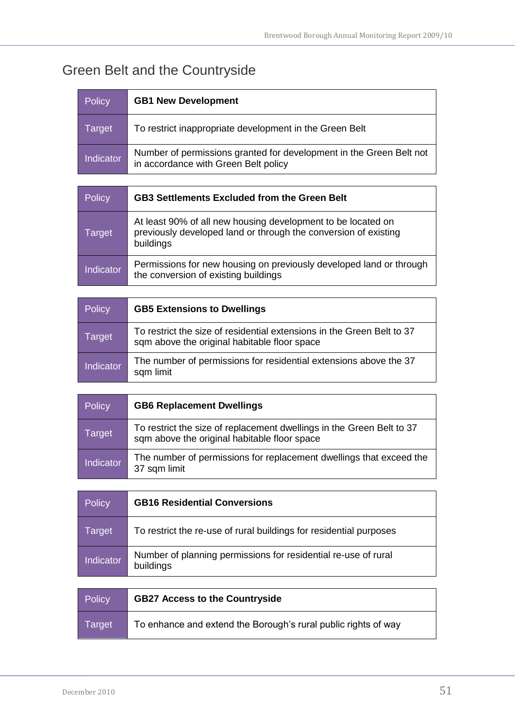## <span id="page-50-0"></span>Green Belt and the Countryside

| <b>Policy</b> | <b>GB1 New Development</b>                                                                                  |
|---------------|-------------------------------------------------------------------------------------------------------------|
| Target        | To restrict inappropriate development in the Green Belt                                                     |
| Indicator     | Number of permissions granted for development in the Green Belt not<br>in accordance with Green Belt policy |

| <b>Policy</b>    | <b>GB3 Settlements Excluded from the Green Belt</b>                                                                                          |
|------------------|----------------------------------------------------------------------------------------------------------------------------------------------|
| Target           | At least 90% of all new housing development to be located on<br>previously developed land or through the conversion of existing<br>buildings |
| <b>Indicator</b> | Permissions for new housing on previously developed land or through<br>the conversion of existing buildings                                  |

| Policy    | <b>GB5 Extensions to Dwellings</b>                                                                                     |
|-----------|------------------------------------------------------------------------------------------------------------------------|
| Target    | To restrict the size of residential extensions in the Green Belt to 37<br>sqm above the original habitable floor space |
| Indicator | The number of permissions for residential extensions above the 37<br>sqm limit                                         |

| <b>Policy</b>    | <b>GB6 Replacement Dwellings</b>                                                                                      |
|------------------|-----------------------------------------------------------------------------------------------------------------------|
| Target           | To restrict the size of replacement dwellings in the Green Belt to 37<br>sqm above the original habitable floor space |
| <b>Indicator</b> | The number of permissions for replacement dwellings that exceed the<br>37 sqm limit                                   |

| Policy           | <b>GB16 Residential Conversions</b>                                         |
|------------------|-----------------------------------------------------------------------------|
| Target           | To restrict the re-use of rural buildings for residential purposes          |
| <b>Indicator</b> | Number of planning permissions for residential re-use of rural<br>buildings |

| Policy | <b>GB27 Access to the Countryside</b>                          |
|--------|----------------------------------------------------------------|
| Target | To enhance and extend the Borough's rural public rights of way |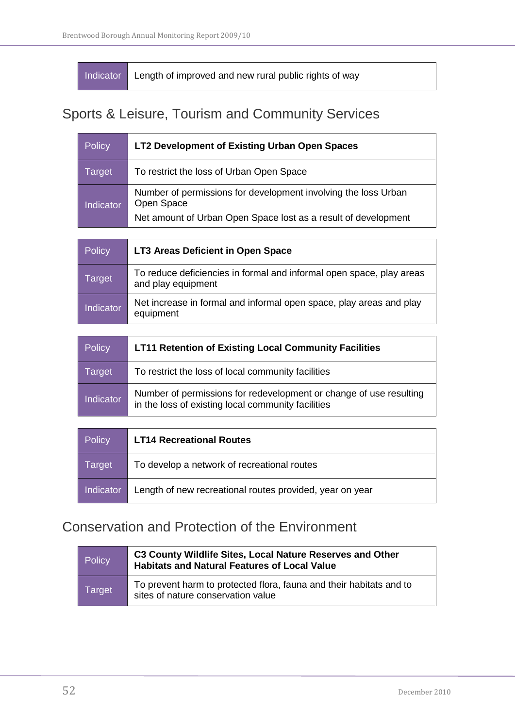Indicator Length of improved and new rural public rights of way

### <span id="page-51-0"></span>Sports & Leisure, Tourism and Community Services

| Policy           | LT2 Development of Existing Urban Open Spaces                                                                                                  |
|------------------|------------------------------------------------------------------------------------------------------------------------------------------------|
| Target           | To restrict the loss of Urban Open Space                                                                                                       |
| <b>Indicator</b> | Number of permissions for development involving the loss Urban<br>Open Space<br>Net amount of Urban Open Space lost as a result of development |

| Policy    | LT3 Areas Deficient in Open Space                                                          |
|-----------|--------------------------------------------------------------------------------------------|
| Target    | To reduce deficiencies in formal and informal open space, play areas<br>and play equipment |
| Indicator | Net increase in formal and informal open space, play areas and play<br>equipment           |

| Policy           | <b>LT11 Retention of Existing Local Community Facilities</b>                                                             |
|------------------|--------------------------------------------------------------------------------------------------------------------------|
| Target           | To restrict the loss of local community facilities                                                                       |
| <b>Indicator</b> | Number of permissions for redevelopment or change of use resulting<br>in the loss of existing local community facilities |

| Policy    | <b>LT14 Recreational Routes</b>                          |
|-----------|----------------------------------------------------------|
| Target    | To develop a network of recreational routes              |
| Indicator | Length of new recreational routes provided, year on year |

### <span id="page-51-1"></span>Conservation and Protection of the Environment

| Policy | C3 County Wildlife Sites, Local Nature Reserves and Other<br><b>Habitats and Natural Features of Local Value</b> |
|--------|------------------------------------------------------------------------------------------------------------------|
| Target | To prevent harm to protected flora, fauna and their habitats and to<br>sites of nature conservation value        |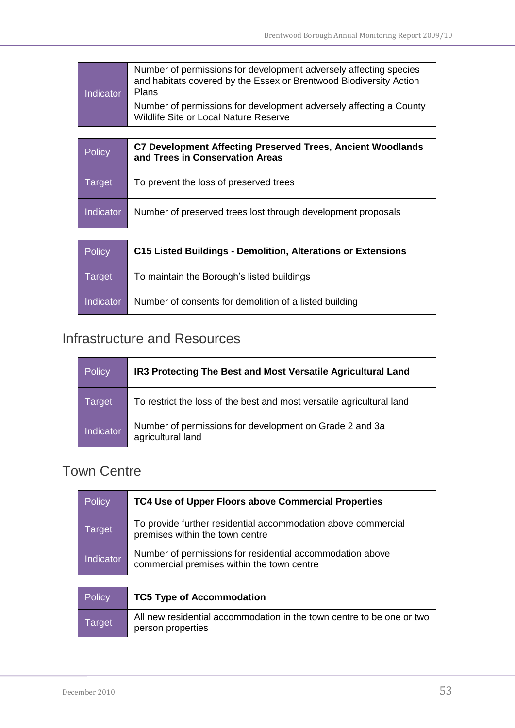| <b>Indicator</b> | Number of permissions for development adversely affecting species<br>and habitats covered by the Essex or Brentwood Biodiversity Action<br><b>Plans</b> |
|------------------|---------------------------------------------------------------------------------------------------------------------------------------------------------|
|                  | Number of permissions for development adversely affecting a County<br><b>Wildlife Site or Local Nature Reserve</b>                                      |
|                  |                                                                                                                                                         |
|                  |                                                                                                                                                         |
| <b>Policy</b>    | <b>C7 Development Affecting Preserved Trees, Ancient Woodlands</b><br>and Trees in Conservation Areas                                                   |
| Target           | To prevent the loss of preserved trees                                                                                                                  |

| Policy    | <b>C15 Listed Buildings - Demolition, Alterations or Extensions</b> |
|-----------|---------------------------------------------------------------------|
| Target    | To maintain the Borough's listed buildings                          |
| Indicator | Number of consents for demolition of a listed building              |

### <span id="page-52-0"></span>Infrastructure and Resources

person properties

| <b>Policy</b>    | IR3 Protecting The Best and Most Versatile Agricultural Land                 |
|------------------|------------------------------------------------------------------------------|
| Target           | To restrict the loss of the best and most versatile agricultural land        |
| <b>Indicator</b> | Number of permissions for development on Grade 2 and 3a<br>agricultural land |

### <span id="page-52-1"></span>Town Centre

| <b>Policy</b>    | TC4 Use of Upper Floors above Commercial Properties                                                     |
|------------------|---------------------------------------------------------------------------------------------------------|
| Target           | To provide further residential accommodation above commercial<br>premises within the town centre        |
| <b>Indicator</b> | Number of permissions for residential accommodation above<br>commercial premises within the town centre |
|                  |                                                                                                         |
| <b>Policy</b>    | <b>TC5 Type of Accommodation</b>                                                                        |
| Target           | All new residential accommodation in the town centre to be one or two<br>naroon nronartion              |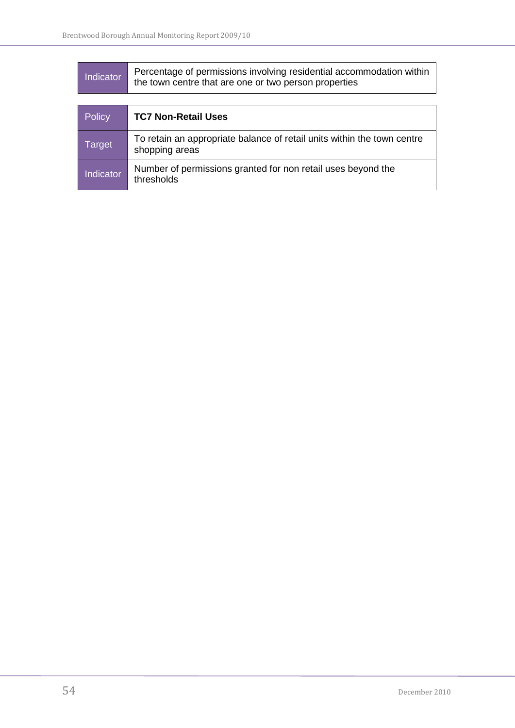| <b>Indicator</b> | Percentage of permissions involving residential accommodation within<br>the town centre that are one or two person properties |
|------------------|-------------------------------------------------------------------------------------------------------------------------------|
|                  |                                                                                                                               |
| <b>Policy</b>    | <b>TC7 Non-Retail Uses</b>                                                                                                    |
| Target           | To retain an appropriate balance of retail units within the town centre<br>shopping areas                                     |
| Indicator        | Number of permissions granted for non retail uses beyond the<br>thresholds                                                    |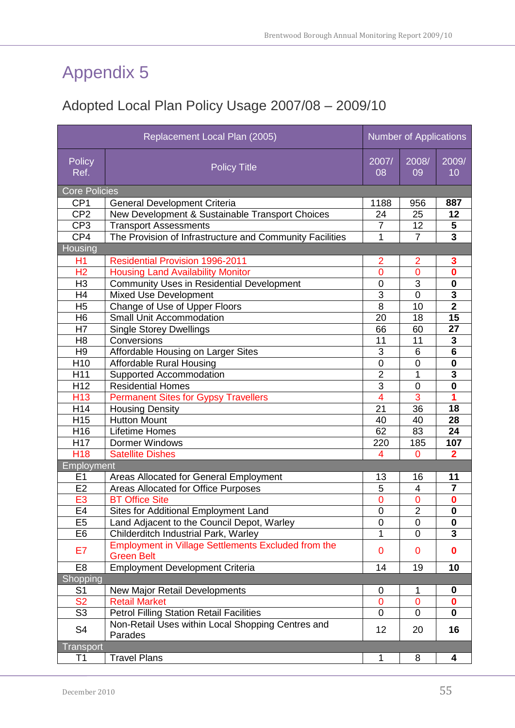### <span id="page-54-1"></span><span id="page-54-0"></span>Adopted Local Plan Policy Usage 2007/08 – 2009/10

| Replacement Local Plan (2005) |                                                                                 | <b>Number of Applications</b> |                |                         |
|-------------------------------|---------------------------------------------------------------------------------|-------------------------------|----------------|-------------------------|
| Policy<br>Ref.                | <b>Policy Title</b>                                                             | 2007/<br>08                   | 2008/<br>09    | 2009/<br>10             |
| <b>Core Policies</b>          |                                                                                 |                               |                |                         |
| CP <sub>1</sub>               | <b>General Development Criteria</b>                                             | 1188                          | 956            | 887                     |
| CP <sub>2</sub>               | New Development & Sustainable Transport Choices                                 | 24                            | 25             | 12                      |
| CP <sub>3</sub>               | <b>Transport Assessments</b>                                                    | $\overline{7}$                | 12             | 5                       |
| CP4                           | The Provision of Infrastructure and Community Facilities                        | 1                             | $\overline{7}$ | $\overline{3}$          |
| Housing                       |                                                                                 |                               |                |                         |
| H1                            | <b>Residential Provision 1996-2011</b>                                          | $\overline{2}$                | 2              | 3                       |
| H <sub>2</sub>                | <b>Housing Land Availability Monitor</b>                                        | $\overline{0}$                | $\overline{0}$ | $\overline{\mathbf{0}}$ |
| H <sub>3</sub>                | <b>Community Uses in Residential Development</b>                                | $\mathbf 0$                   | $\overline{3}$ | $\bf{0}$                |
| H4                            | <b>Mixed Use Development</b>                                                    | $\overline{3}$                | $\overline{0}$ | $\overline{\mathbf{3}}$ |
| H <sub>5</sub>                | Change of Use of Upper Floors                                                   | 8                             | 10             | $\overline{\mathbf{2}}$ |
| H <sub>6</sub>                | <b>Small Unit Accommodation</b>                                                 | 20                            | 18             | $\overline{15}$         |
| H7                            | <b>Single Storey Dwellings</b>                                                  | 66                            | 60             | 27                      |
| H <sub>8</sub>                | Conversions                                                                     | 11                            | 11             | $\mathbf{3}$            |
| H <sub>9</sub>                | Affordable Housing on Larger Sites                                              | 3                             | 6              | $6\phantom{1}$          |
| H <sub>10</sub>               | <b>Affordable Rural Housing</b>                                                 | $\overline{0}$                | $\overline{0}$ | $\mathbf 0$             |
| H11                           | Supported Accommodation                                                         | $\overline{2}$                | 1              | 3                       |
| H <sub>12</sub>               | <b>Residential Homes</b>                                                        | $\overline{3}$                | $\overline{0}$ | $\overline{\mathbf{0}}$ |
| H <sub>13</sub>               | <b>Permanent Sites for Gypsy Travellers</b>                                     | $\overline{4}$                | 3              | 1                       |
| H14                           | <b>Housing Density</b>                                                          | 21                            | 36             | 18                      |
| H <sub>15</sub>               | <b>Hutton Mount</b>                                                             | 40                            | 40             | 28                      |
| H16                           | Lifetime Homes                                                                  | 62                            | 83             | 24                      |
| H17                           | <b>Dormer Windows</b>                                                           | 220                           | 185            | 107                     |
| H <sub>18</sub>               | <b>Satellite Dishes</b><br>$\overline{4}$<br>0                                  |                               |                | $\mathbf 2$             |
| Employment                    |                                                                                 |                               |                |                         |
| E1                            | Areas Allocated for General Employment                                          | 13                            | 16             | 11                      |
| E <sub>2</sub>                | <b>Areas Allocated for Office Purposes</b>                                      | 5                             | $\overline{4}$ | $\overline{7}$          |
| E <sub>3</sub>                | <b>BT Office Site</b>                                                           | $\mathbf 0$                   | $\overline{0}$ | $\bf{0}$                |
| E4                            | Sites for Additional Employment Land                                            | $\overline{0}$                | $\overline{2}$ | $\overline{\mathbf{0}}$ |
| E <sub>5</sub>                | Land Adjacent to the Council Depot, Warley                                      | 0                             | 0              | 0                       |
| E <sub>6</sub>                | Childerditch Industrial Park, Warley                                            | 1                             | 0              | 3                       |
| E7                            | <b>Employment in Village Settlements Excluded from the</b><br><b>Green Belt</b> | $\overline{0}$                | 0              | 0                       |
| E <sub>8</sub>                | <b>Employment Development Criteria</b>                                          | 14                            | 19             | 10                      |
| Shopping                      |                                                                                 |                               |                |                         |
| S <sub>1</sub>                | New Major Retail Developments                                                   | 0                             | 1              | 0                       |
| <b>S2</b>                     | <b>Retail Market</b>                                                            | $\overline{0}$                | $\overline{0}$ | $\bf{0}$                |
| S <sub>3</sub>                | <b>Petrol Filling Station Retail Facilities</b>                                 | $\mathbf 0$                   | 0              | 0                       |
| S <sub>4</sub>                | Non-Retail Uses within Local Shopping Centres and<br>Parades                    | 12                            | 20             | 16                      |
| <b>Transport</b>              |                                                                                 |                               |                |                         |
| T1                            | <b>Travel Plans</b>                                                             | 1                             | 8              | 4                       |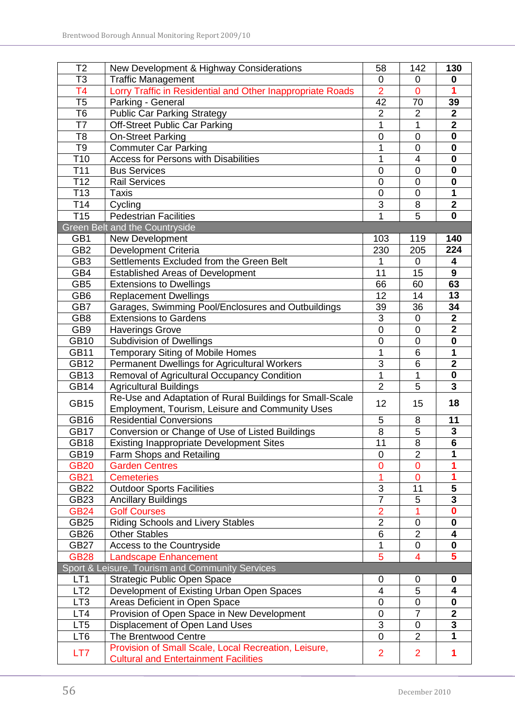| T <sub>2</sub>  | New Development & Highway Considerations                   | 58                      | 142            | 130                     |
|-----------------|------------------------------------------------------------|-------------------------|----------------|-------------------------|
| T3              | <b>Traffic Management</b>                                  |                         | 0              | 0                       |
| T4              | Lorry Traffic in Residential and Other Inappropriate Roads | 0<br>$\overline{2}$     | $\overline{0}$ | 1                       |
| T5              | Parking - General                                          | 42                      | 70             | 39                      |
| T <sub>6</sub>  | <b>Public Car Parking Strategy</b>                         | $\overline{2}$          | $\overline{2}$ | $\overline{\mathbf{2}}$ |
| T7              | <b>Off-Street Public Car Parking</b>                       | 1                       | 1              | $\overline{2}$          |
| T <sub>8</sub>  | <b>On-Street Parking</b>                                   | $\mathbf 0$             | $\mathbf 0$    | 0                       |
| T9              | <b>Commuter Car Parking</b>                                | 1                       | 0              | $\mathbf 0$             |
| T <sub>10</sub> | <b>Access for Persons with Disabilities</b>                | 1                       | 4              | $\mathbf 0$             |
| T <sub>11</sub> | <b>Bus Services</b>                                        | $\overline{0}$          | $\overline{0}$ | $\mathbf 0$             |
| T <sub>12</sub> | <b>Rail Services</b>                                       | $\mathbf 0$             | 0              | $\mathbf 0$             |
| T <sub>13</sub> | <b>Taxis</b>                                               | $\overline{0}$          | $\overline{0}$ | 1                       |
| T14             | Cycling                                                    | 3                       | 8              | $\overline{\mathbf{2}}$ |
| T <sub>15</sub> | <b>Pedestrian Facilities</b>                               | 1                       | $\overline{5}$ | 0                       |
|                 | Green Belt and the Countryside                             |                         |                |                         |
| GB1             | New Development                                            | 103                     | 119            | 140                     |
| GB <sub>2</sub> | <b>Development Criteria</b>                                | 230                     | 205            | 224                     |
| GB <sub>3</sub> | Settlements Excluded from the Green Belt                   | 1                       | $\overline{0}$ | 4                       |
| GB4             | <b>Established Areas of Development</b>                    | 11                      | 15             | 9                       |
| GB <sub>5</sub> | <b>Extensions to Dwellings</b>                             | 66                      | 60             | 63                      |
| GB <sub>6</sub> | <b>Replacement Dwellings</b>                               | 12                      | 14             | 13                      |
| GB7             | Garages, Swimming Pool/Enclosures and Outbuildings         | 39                      | 36             | 34                      |
| GB <sub>8</sub> | <b>Extensions to Gardens</b>                               | 3                       | 0              | $\overline{2}$          |
| GB9             | <b>Haverings Grove</b>                                     | $\overline{0}$          | 0              | $\overline{\mathbf{2}}$ |
| <b>GB10</b>     | Subdivision of Dwellings                                   | $\mathbf 0$             | $\overline{0}$ | $\overline{\mathbf{0}}$ |
| <b>GB11</b>     | <b>Temporary Siting of Mobile Homes</b>                    | 1                       | 6              | $\mathbf 1$             |
| <b>GB12</b>     | Permanent Dwellings for Agricultural Workers               | 3                       | $\overline{6}$ | $\overline{2}$          |
| <b>GB13</b>     | Removal of Agricultural Occupancy Condition                | 1                       | 1              | $\mathbf 0$             |
| <b>GB14</b>     | <b>Agricultural Buildings</b>                              | $\overline{2}$          | 5              | $\overline{\mathbf{3}}$ |
|                 | Re-Use and Adaptation of Rural Buildings for Small-Scale   |                         |                |                         |
| <b>GB15</b>     | Employment, Tourism, Leisure and Community Uses            | 12                      | 15             | 18                      |
| <b>GB16</b>     | <b>Residential Conversions</b>                             | $\mathbf 5$             | 8              | 11                      |
| <b>GB17</b>     | Conversion or Change of Use of Listed Buildings            | 8                       | 5              | $\mathbf 3$             |
| <b>GB18</b>     | <b>Existing Inappropriate Development Sites</b>            | 11                      | 8              | $6\phantom{1}$          |
| <b>GB19</b>     | Farm Shops and Retailing                                   | 0                       | $\overline{2}$ | 1                       |
| <b>GB20</b>     | <b>Garden Centres</b>                                      | $\overline{0}$          | $\overline{0}$ |                         |
| <b>GB21</b>     | <b>Cemeteries</b>                                          |                         | $\mathbf 0$    | 1                       |
| GB22            | <b>Outdoor Sports Facilities</b>                           | $\mathsf 3$             | 11             | 5                       |
| GB23            | <b>Ancillary Buildings</b>                                 | $\overline{7}$          | 5              | $\overline{\mathbf{3}}$ |
| <b>GB24</b>     | <b>Golf Courses</b>                                        | $\overline{2}$          |                | $\bf{0}$                |
| <b>GB25</b>     | <b>Riding Schools and Livery Stables</b>                   | $\overline{2}$          | 0              | $\mathbf 0$             |
| <b>GB26</b>     | <b>Other Stables</b>                                       | 6                       | $\overline{2}$ | 4                       |
| <b>GB27</b>     | Access to the Countryside                                  | 1                       | $\pmb{0}$      | 0                       |
| <b>GB28</b>     | <b>Landscape Enhancement</b>                               | 5                       | 4              | 5                       |
|                 | Sport & Leisure, Tourism and Community Services            |                         |                |                         |
| LT <sub>1</sub> | Strategic Public Open Space                                | $\overline{0}$          | 0              | 0                       |
| LT <sub>2</sub> | Development of Existing Urban Open Spaces                  | $\overline{\mathbf{4}}$ | 5              | 4                       |
| LT <sub>3</sub> | Areas Deficient in Open Space                              | 0                       | 0              | $\mathbf 0$             |
| LT4             | Provision of Open Space in New Development                 | $\mathbf 0$             | $\overline{7}$ | $\overline{2}$          |
| LT <sub>5</sub> | Displacement of Open Land Uses                             | 3                       | 0              | 3                       |
| LT6             | The Brentwood Centre                                       | $\mathbf 0$             | $\overline{2}$ | 1                       |
|                 | Provision of Small Scale, Local Recreation, Leisure,       |                         |                |                         |
| LT7             | <b>Cultural and Entertainment Facilities</b>               | $\overline{2}$          | $\overline{2}$ | 1                       |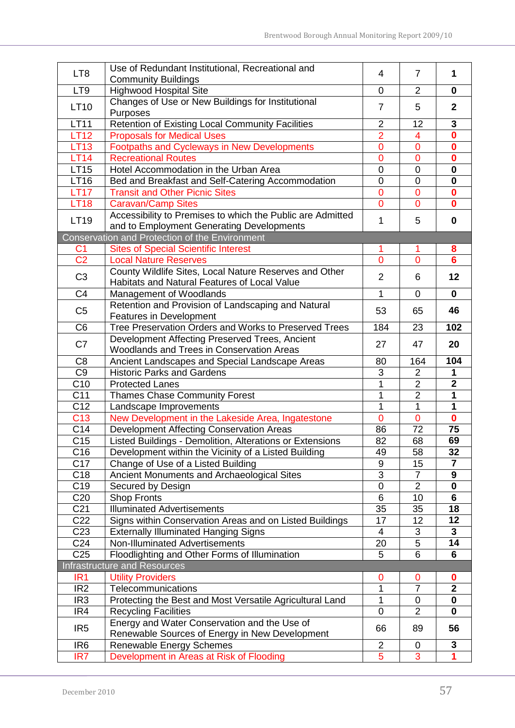| LT <sub>8</sub> | Use of Redundant Institutional, Recreational and                                               | 4              | $\overline{7}$ | 1                       |
|-----------------|------------------------------------------------------------------------------------------------|----------------|----------------|-------------------------|
|                 | <b>Community Buildings</b>                                                                     |                |                |                         |
| LT9             | <b>Highwood Hospital Site</b>                                                                  | 0              | $\overline{2}$ | $\mathbf 0$             |
| <b>LT10</b>     | Changes of Use or New Buildings for Institutional<br>$\overline{7}$<br>5<br>Purposes           |                |                | $\mathbf{2}$            |
| <b>LT11</b>     | Retention of Existing Local Community Facilities                                               | $\overline{2}$ | 12             | $\mathbf{3}$            |
| <b>LT12</b>     | <b>Proposals for Medical Uses</b>                                                              | $\overline{2}$ | 4              | $\bf{0}$                |
| <b>LT13</b>     | Footpaths and Cycleways in New Developments                                                    | $\mathbf 0$    | 0              | $\bf{0}$                |
| <b>LT14</b>     | <b>Recreational Routes</b>                                                                     | $\overline{0}$ | $\overline{0}$ | $\mathbf 0$             |
| <b>LT15</b>     | Hotel Accommodation in the Urban Area                                                          | $\overline{0}$ | $\mathbf 0$    | $\mathbf 0$             |
| LT16            | Bed and Breakfast and Self-Catering Accommodation                                              | $\overline{0}$ | $\overline{0}$ | $\mathbf 0$             |
| <b>LT17</b>     | <b>Transit and Other Picnic Sites</b>                                                          | $\mathbf 0$    | 0              | $\bf{0}$                |
| <b>LT18</b>     | <b>Caravan/Camp Sites</b>                                                                      | $\overline{0}$ | $\overline{0}$ | $\bf{0}$                |
| LT19            | Accessibility to Premises to which the Public are Admitted                                     | 1              | 5              | $\mathbf 0$             |
|                 | and to Employment Generating Developments                                                      |                |                |                         |
|                 | Conservation and Protection of the Environment                                                 |                |                |                         |
| C <sub>1</sub>  | <b>Sites of Special Scientific Interest</b>                                                    | 1              | 1              | 8                       |
| $\overline{C2}$ | <b>Local Nature Reserves</b>                                                                   | $\overline{0}$ | $\overline{0}$ | $6\overline{6}$         |
| C <sub>3</sub>  | County Wildlife Sites, Local Nature Reserves and Other                                         | 2              | 6              | 12                      |
|                 | Habitats and Natural Features of Local Value                                                   | 1              | $\overline{0}$ |                         |
| C <sub>4</sub>  | Management of Woodlands                                                                        |                |                | $\mathbf 0$             |
| C <sub>5</sub>  | Retention and Provision of Landscaping and Natural<br><b>Features in Development</b>           | 53             | 65             | 46                      |
| C <sub>6</sub>  | Tree Preservation Orders and Works to Preserved Trees                                          | 184            | 23             | 102                     |
| C7              | Development Affecting Preserved Trees, Ancient                                                 | 27             | 47             | 20                      |
|                 | Woodlands and Trees in Conservation Areas                                                      |                |                |                         |
| C <sub>8</sub>  | Ancient Landscapes and Special Landscape Areas<br>80                                           |                | 164            | 104                     |
| C <sub>9</sub>  | <b>Historic Parks and Gardens</b>                                                              | 3              | $\overline{2}$ | 1                       |
| C10             | <b>Protected Lanes</b>                                                                         | 1              | $\overline{2}$ | $\overline{\mathbf{2}}$ |
| C <sub>11</sub> | <b>Thames Chase Community Forest</b>                                                           | 1              | $\overline{2}$ | 1                       |
| C12             | Landscape Improvements                                                                         | 1              | 1              | 1                       |
| C <sub>13</sub> | New Development in the Lakeside Area, Ingatestone                                              | $\overline{0}$ | $\overline{0}$ | $\mathbf{0}$            |
| C <sub>14</sub> | Development Affecting Conservation Areas                                                       | 86             | 72             | 75                      |
| C <sub>15</sub> | Listed Buildings - Demolition, Alterations or Extensions                                       | 82             | 68             | 69                      |
| C16             | Development within the Vicinity of a Listed Building                                           | 49             | 58             | 32                      |
| C17             | Change of Use of a Listed Building                                                             | 9              | 15             | $\overline{7}$          |
| C <sub>18</sub> | Ancient Monuments and Archaeological Sites                                                     | 3              | $\overline{7}$ | 9                       |
| C <sub>19</sub> | Secured by Design                                                                              | $\mathbf 0$    | $\overline{2}$ | $\mathbf 0$             |
| C <sub>20</sub> | <b>Shop Fronts</b>                                                                             | 6              | 10             | 6                       |
| C <sub>21</sub> | <b>Illuminated Advertisements</b>                                                              | 35             | 35             | 18                      |
| C <sub>22</sub> | Signs within Conservation Areas and on Listed Buildings                                        | 17             | 12             | 12                      |
| C <sub>23</sub> | <b>Externally Illuminated Hanging Signs</b>                                                    | 4              | 3              | 3                       |
| C24             | Non-Illuminated Advertisements                                                                 | 20             | 5              | 14                      |
| C <sub>25</sub> | Floodlighting and Other Forms of Illumination                                                  | 5              | 6              | 6                       |
|                 | <b>Infrastructure and Resources</b>                                                            |                |                |                         |
| IR <sub>1</sub> | <b>Utility Providers</b>                                                                       | $\mathbf 0$    | 0              | 0                       |
| IR <sub>2</sub> | Telecommunications                                                                             | 1              | $\overline{7}$ | $\mathbf{2}$            |
| IR <sub>3</sub> | Protecting the Best and Most Versatile Agricultural Land                                       | 1              | 0              | 0                       |
| IR4             | <b>Recycling Facilities</b>                                                                    | $\mathbf 0$    | $\overline{2}$ | 0                       |
| IR <sub>5</sub> | Energy and Water Conservation and the Use of<br>Renewable Sources of Energy in New Development | 66             | 89             | 56                      |
| IR <sub>6</sub> | <b>Renewable Energy Schemes</b>                                                                | $\overline{2}$ | 0              | 3                       |
| IR7             | Development in Areas at Risk of Flooding                                                       | 5              | 3              | 1                       |
|                 |                                                                                                |                |                |                         |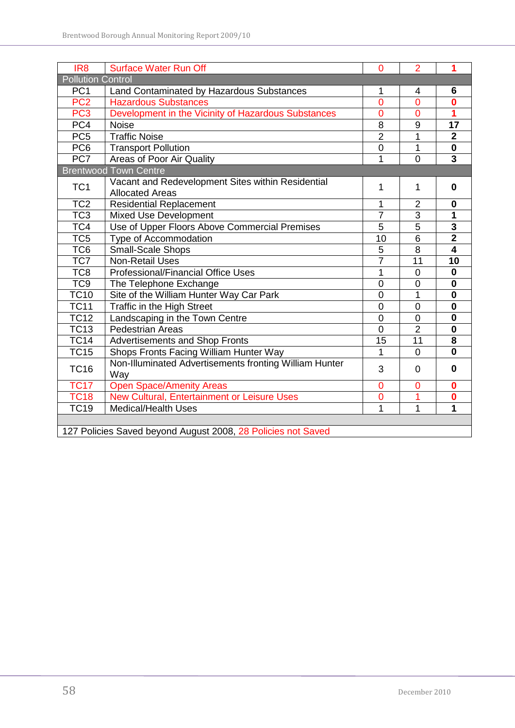| IR <sub>8</sub>          | <b>Surface Water Run Off</b>                                 | $\Omega$       | $\overline{2}$ | 1                       |
|--------------------------|--------------------------------------------------------------|----------------|----------------|-------------------------|
| <b>Pollution Control</b> |                                                              |                |                |                         |
| PC <sub>1</sub>          | Land Contaminated by Hazardous Substances<br>1               |                | 4              | 6                       |
| PC <sub>2</sub>          | <b>Hazardous Substances</b>                                  | $\overline{0}$ | $\overline{0}$ | $\bf{0}$                |
| PC <sub>3</sub>          | Development in the Vicinity of Hazardous Substances          | $\overline{0}$ | $\overline{0}$ | $\overline{\mathbf{1}}$ |
| PC4                      | <b>Noise</b>                                                 | $\overline{8}$ | $\overline{9}$ | $\overline{17}$         |
| PC <sub>5</sub>          | <b>Traffic Noise</b>                                         | $\overline{2}$ | 1              | $\mathbf{2}$            |
| PC <sub>6</sub>          | <b>Transport Pollution</b>                                   | $\overline{0}$ | 1              | $\mathbf 0$             |
| PC7                      | Areas of Poor Air Quality                                    | 1              | $\overline{0}$ | $\overline{3}$          |
|                          | <b>Brentwood Town Centre</b>                                 |                |                |                         |
| TC <sub>1</sub>          | Vacant and Redevelopment Sites within Residential            | 1              | 1              | $\mathbf 0$             |
|                          | <b>Allocated Areas</b>                                       |                |                |                         |
| TC <sub>2</sub>          | <b>Residential Replacement</b>                               | 1              | $\overline{2}$ | $\bf{0}$                |
| TC <sub>3</sub>          | <b>Mixed Use Development</b>                                 | $\overline{7}$ | $\overline{3}$ | 1                       |
| TC4                      | Use of Upper Floors Above Commercial Premises                | 5              | $\overline{5}$ | $\overline{\mathbf{3}}$ |
| TC <sub>5</sub>          | Type of Accommodation                                        | 10             | $\overline{6}$ | $\overline{2}$          |
| TC <sub>6</sub>          | Small-Scale Shops                                            | $\mathbf 5$    | 8              | $\overline{\mathbf{4}}$ |
| TC7                      | <b>Non-Retail Uses</b>                                       | $\overline{7}$ | 11             | $\overline{10}$         |
| TC8                      | Professional/Financial Office Uses                           | 1              | $\overline{0}$ | $\mathbf 0$             |
| TC <sub>9</sub>          | The Telephone Exchange                                       | $\overline{0}$ | $\overline{0}$ | $\mathbf 0$             |
| TC10                     | Site of the William Hunter Way Car Park                      | $\overline{0}$ | 1              | $\mathbf 0$             |
| <b>TC11</b>              | Traffic in the High Street                                   | $\overline{0}$ | $\overline{0}$ | $\mathbf 0$             |
| <b>TC12</b>              | Landscaping in the Town Centre                               | $\mathbf 0$    | $\overline{0}$ | $\bf{0}$                |
| <b>TC13</b>              | <b>Pedestrian Areas</b>                                      | $\overline{0}$ | $\overline{2}$ | $\mathbf 0$             |
| <b>TC14</b>              | Advertisements and Shop Fronts                               | 15             | 11             | 8                       |
| <b>TC15</b>              | Shops Fronts Facing William Hunter Way                       | $\overline{1}$ | $\overline{0}$ | $\mathbf 0$             |
| <b>TC16</b>              | Non-Illuminated Advertisements fronting William Hunter       | 3              | 0              | $\mathbf 0$             |
|                          | Way                                                          |                |                |                         |
| <b>TC17</b>              | <b>Open Space/Amenity Areas</b>                              | $\overline{0}$ | $\overline{0}$ | $\bf{0}$                |
| <b>TC18</b>              | New Cultural, Entertainment or Leisure Uses                  | $\mathbf 0$    |                | $\mathbf 0$             |
| <b>TC19</b>              | <b>Medical/Health Uses</b>                                   | 1              | $\overline{1}$ | 1                       |
|                          | 127 Policies Saved beyond August 2008, 28 Policies not Saved |                |                |                         |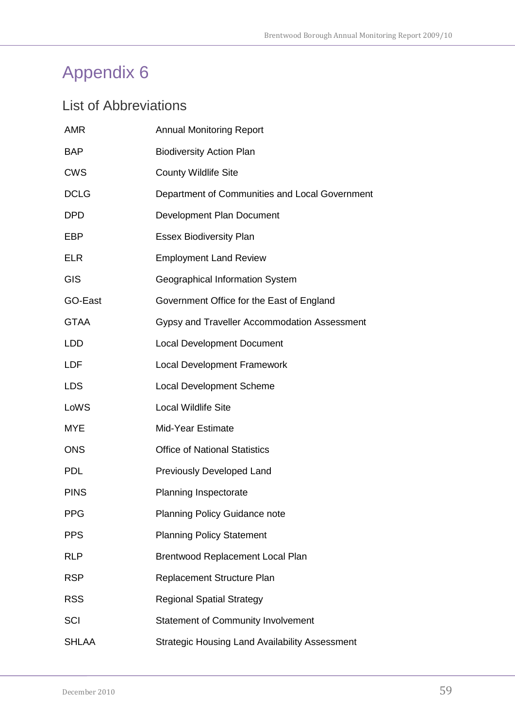### <span id="page-58-1"></span><span id="page-58-0"></span>List of Abbreviations

| <b>AMR</b>   | <b>Annual Monitoring Report</b>                       |
|--------------|-------------------------------------------------------|
| <b>BAP</b>   | <b>Biodiversity Action Plan</b>                       |
| <b>CWS</b>   | <b>County Wildlife Site</b>                           |
| <b>DCLG</b>  | Department of Communities and Local Government        |
| <b>DPD</b>   | Development Plan Document                             |
| EBP          | <b>Essex Biodiversity Plan</b>                        |
| <b>ELR</b>   | <b>Employment Land Review</b>                         |
| GIS          | Geographical Information System                       |
| GO-East      | Government Office for the East of England             |
| <b>GTAA</b>  | Gypsy and Traveller Accommodation Assessment          |
| <b>LDD</b>   | <b>Local Development Document</b>                     |
| <b>LDF</b>   | <b>Local Development Framework</b>                    |
| <b>LDS</b>   | <b>Local Development Scheme</b>                       |
| LoWS         | <b>Local Wildlife Site</b>                            |
| <b>MYE</b>   | Mid-Year Estimate                                     |
| <b>ONS</b>   | <b>Office of National Statistics</b>                  |
| <b>PDL</b>   | Previously Developed Land                             |
| <b>PINS</b>  | Planning Inspectorate                                 |
| <b>PPG</b>   | <b>Planning Policy Guidance note</b>                  |
| <b>PPS</b>   | <b>Planning Policy Statement</b>                      |
| <b>RLP</b>   | <b>Brentwood Replacement Local Plan</b>               |
| <b>RSP</b>   | Replacement Structure Plan                            |
| <b>RSS</b>   | <b>Regional Spatial Strategy</b>                      |
| <b>SCI</b>   | <b>Statement of Community Involvement</b>             |
| <b>SHLAA</b> | <b>Strategic Housing Land Availability Assessment</b> |